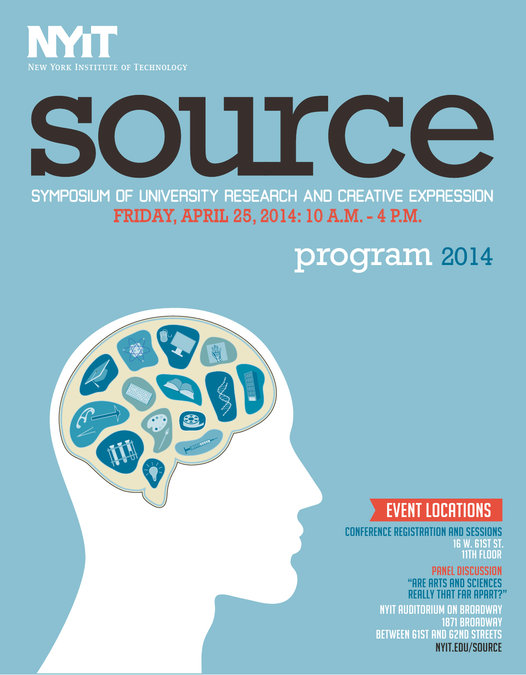

# OJUT CO 51

 FRIDAY, APRIL 25, 2014: 10 A.M. - 4 P.M. SYMPOSIUM OF UNIVERSITY RESEARCH AND CREATIVE EXPRESSION

# program 2014



CONFERENCE REGISTRATION AND SESSIONS 16 W. 61ST ST. 11TH FLOOR

> PANEL DISCUSSION "ARE ARTS AND SCIENCES REALLY THAT FAR APART?

NYIT AUDITORIUM ON BROADWAY 1871 BROADWAY BETWEEN 61ST AND 62ND STREETS nyit.edu/source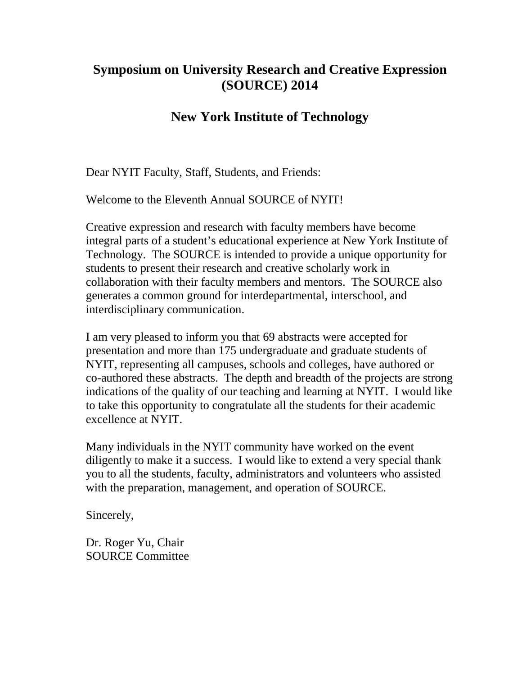#### **Symposium on University Research and Creative Expression (SOURCE) 2014**

#### **New York Institute of Technology**

Dear NYIT Faculty, Staff, Students, and Friends:

Welcome to the Eleventh Annual SOURCE of NYIT!

Creative expression and research with faculty members have become integral parts of a student's educational experience at New York Institute of Technology. The SOURCE is intended to provide a unique opportunity for students to present their research and creative scholarly work in collaboration with their faculty members and mentors. The SOURCE also generates a common ground for interdepartmental, interschool, and interdisciplinary communication.

I am very pleased to inform you that 69 abstracts were accepted for presentation and more than 175 undergraduate and graduate students of NYIT, representing all campuses, schools and colleges, have authored or co-authored these abstracts. The depth and breadth of the projects are strong indications of the quality of our teaching and learning at NYIT. I would like to take this opportunity to congratulate all the students for their academic excellence at NYIT.

Many individuals in the NYIT community have worked on the event diligently to make it a success. I would like to extend a very special thank you to all the students, faculty, administrators and volunteers who assisted with the preparation, management, and operation of SOURCE.

Sincerely,

Dr. Roger Yu, Chair SOURCE Committee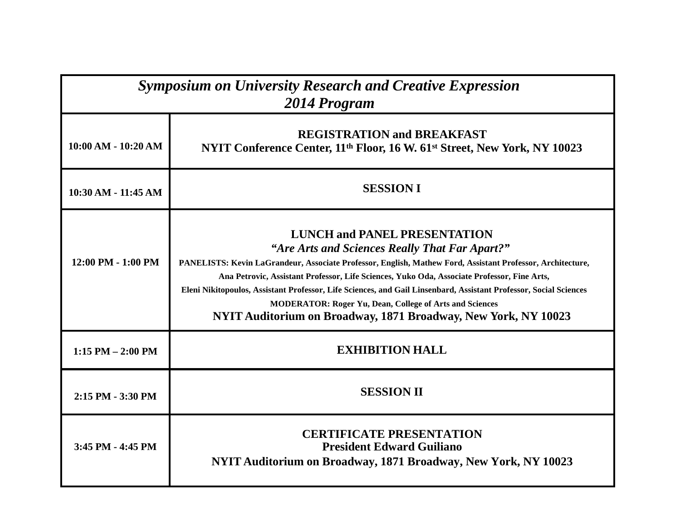| <b>Symposium on University Research and Creative Expression</b><br>2014 Program |                                                                                                                                                                                                                                                                                                                                                                                                                                                                                                                                                             |  |
|---------------------------------------------------------------------------------|-------------------------------------------------------------------------------------------------------------------------------------------------------------------------------------------------------------------------------------------------------------------------------------------------------------------------------------------------------------------------------------------------------------------------------------------------------------------------------------------------------------------------------------------------------------|--|
| $10:00$ AM - $10:20$ AM                                                         | <b>REGISTRATION and BREAKFAST</b><br>NYIT Conference Center, 11 <sup>th</sup> Floor, 16 W. 61 <sup>st</sup> Street, New York, NY 10023                                                                                                                                                                                                                                                                                                                                                                                                                      |  |
| 10:30 AM - 11:45 AM                                                             | <b>SESSION I</b>                                                                                                                                                                                                                                                                                                                                                                                                                                                                                                                                            |  |
| 12:00 PM - 1:00 PM                                                              | <b>LUNCH and PANEL PRESENTATION</b><br>"Are Arts and Sciences Really That Far Apart?"<br>PANELISTS: Kevin LaGrandeur, Associate Professor, English, Mathew Ford, Assistant Professor, Architecture,<br>Ana Petrovic, Assistant Professor, Life Sciences, Yuko Oda, Associate Professor, Fine Arts,<br>Eleni Nikitopoulos, Assistant Professor, Life Sciences, and Gail Linsenbard, Assistant Professor, Social Sciences<br><b>MODERATOR: Roger Yu, Dean, College of Arts and Sciences</b><br>NYIT Auditorium on Broadway, 1871 Broadway, New York, NY 10023 |  |
| $1:15$ PM $- 2:00$ PM                                                           | <b>EXHIBITION HALL</b>                                                                                                                                                                                                                                                                                                                                                                                                                                                                                                                                      |  |
| 2:15 PM - 3:30 PM                                                               | <b>SESSION II</b>                                                                                                                                                                                                                                                                                                                                                                                                                                                                                                                                           |  |
| 3:45 PM - 4:45 PM                                                               | <b>CERTIFICATE PRESENTATION</b><br><b>President Edward Guiliano</b><br>NYIT Auditorium on Broadway, 1871 Broadway, New York, NY 10023                                                                                                                                                                                                                                                                                                                                                                                                                       |  |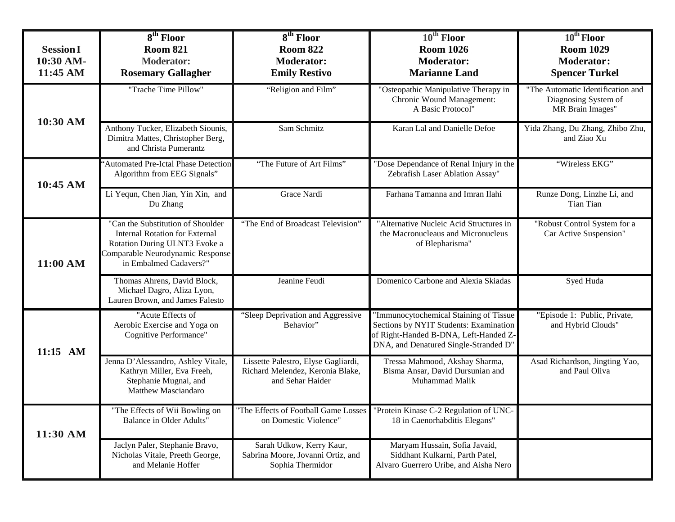| <b>Session I</b><br>10:30 AM-<br>11:45 AM | $8th$ Floor<br><b>Room 821</b><br><b>Moderator:</b><br><b>Rosemary Gallagher</b>                                                                                          | $8th$ Floor<br><b>Room 822</b><br><b>Moderator:</b><br><b>Emily Restivo</b>                 | $10^{\text{th}}$ Floor<br><b>Room 1026</b><br><b>Moderator:</b><br><b>Marianne Land</b>                                                                            | $10^{th}$ Floor<br><b>Room 1029</b><br><b>Moderator:</b><br><b>Spencer Turkel</b> |
|-------------------------------------------|---------------------------------------------------------------------------------------------------------------------------------------------------------------------------|---------------------------------------------------------------------------------------------|--------------------------------------------------------------------------------------------------------------------------------------------------------------------|-----------------------------------------------------------------------------------|
|                                           | "Trache Time Pillow"                                                                                                                                                      | "Religion and Film"                                                                         | "Osteopathic Manipulative Therapy in<br>Chronic Wound Management:<br>A Basic Protocol"                                                                             | "The Automatic Identification and<br>Diagnosing System of<br>MR Brain Images"     |
| 10:30 AM                                  | Anthony Tucker, Elizabeth Siounis,<br>Dimitra Mattes, Christopher Berg,<br>and Christa Pumerantz                                                                          | Sam Schmitz                                                                                 | Karan Lal and Danielle Defoe                                                                                                                                       | Yida Zhang, Du Zhang, Zhibo Zhu,<br>and Ziao Xu                                   |
| 10:45 AM                                  | 'Automated Pre-Ictal Phase Detection<br>Algorithm from EEG Signals"                                                                                                       | "The Future of Art Films"                                                                   | "Dose Dependance of Renal Injury in the<br>Zebrafish Laser Ablation Assay"                                                                                         | "Wireless EKG"                                                                    |
|                                           | Li Yequn, Chen Jian, Yin Xin, and<br>Du Zhang                                                                                                                             | Grace Nardi                                                                                 | Farhana Tamanna and Imran Ilahi                                                                                                                                    | Runze Dong, Linzhe Li, and<br><b>Tian Tian</b>                                    |
| 11:00 AM                                  | "Can the Substitution of Shoulder<br><b>Internal Rotation for External</b><br>Rotation During ULNT3 Evoke a<br>Comparable Neurodynamic Response<br>in Embalmed Cadavers?" | "The End of Broadcast Television"                                                           | "Alternative Nucleic Acid Structures in<br>the Macronucleaus and Micronucleus<br>of Blepharisma"                                                                   | "Robust Control System for a<br>Car Active Suspension"                            |
|                                           | Thomas Ahrens, David Block,<br>Michael Dagro, Aliza Lyon,<br>Lauren Brown, and James Falesto                                                                              | Jeanine Feudi                                                                               | Domenico Carbone and Alexia Skiadas                                                                                                                                | Syed Huda                                                                         |
| 11:15 AM                                  | "Acute Effects of<br>Aerobic Exercise and Yoga on<br>Cognitive Performance"                                                                                               | "Sleep Deprivation and Aggressive<br>Behavior"                                              | 'Immunocytochemical Staining of Tissue<br>Sections by NYIT Students: Examination<br>of Right-Handed B-DNA, Left-Handed Z-<br>DNA, and Denatured Single-Stranded D" | "Episode 1: Public, Private,<br>and Hybrid Clouds"                                |
|                                           | Jenna D'Alessandro, Ashley Vitale,<br>Kathryn Miller, Eva Freeh,<br>Stephanie Mugnai, and<br>Matthew Masciandaro                                                          | Lissette Palestro, Elyse Gagliardi,<br>Richard Melendez, Keronia Blake,<br>and Sehar Haider | Tressa Mahmood, Akshay Sharma,<br>Bisma Ansar, David Dursunian and<br>Muhammad Malik                                                                               | Asad Richardson, Jingting Yao,<br>and Paul Oliva                                  |
| 11:30 AM                                  | "The Effects of Wii Bowling on<br><b>Balance in Older Adults"</b>                                                                                                         | on Domestic Violence"                                                                       | "The Effects of Football Game Losses   "Protein Kinase C-2 Regulation of UNC-<br>18 in Caenorhabditis Elegans"                                                     |                                                                                   |
|                                           | Jaclyn Paler, Stephanie Bravo,<br>Nicholas Vitale, Preeth George,<br>and Melanie Hoffer                                                                                   | Sarah Udkow, Kerry Kaur,<br>Sabrina Moore, Jovanni Ortiz, and<br>Sophia Thermidor           | Maryam Hussain, Sofia Javaid,<br>Siddhant Kulkarni, Parth Patel,<br>Alvaro Guerrero Uribe, and Aisha Nero                                                          |                                                                                   |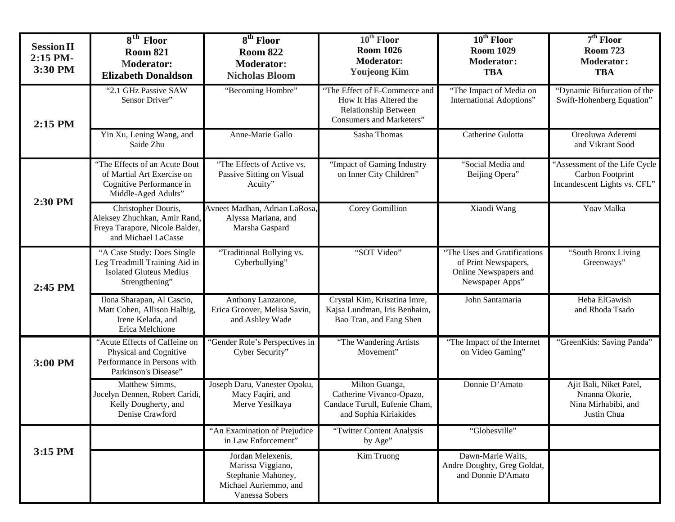| <b>Session II</b><br>2:15 PM-<br>3:30 PM | $8th$ Floor<br><b>Room 821</b><br><b>Moderator:</b><br><b>Elizabeth Donaldson</b>                               | 8 <sup>th</sup> Floor<br><b>Room 822</b><br><b>Moderator:</b><br><b>Nicholas Bloom</b>                  | $10^{\text{th}}$ Floor<br><b>Room 1026</b><br><b>Moderator:</b><br><b>Youjeong Kim</b>                             | $10th$ Floor<br><b>Room 1029</b><br><b>Moderator:</b><br><b>TBA</b>                              | $7th$ Floor<br><b>Room 723</b><br><b>Moderator:</b><br><b>TBA</b>                 |
|------------------------------------------|-----------------------------------------------------------------------------------------------------------------|---------------------------------------------------------------------------------------------------------|--------------------------------------------------------------------------------------------------------------------|--------------------------------------------------------------------------------------------------|-----------------------------------------------------------------------------------|
| 2:15 PM                                  | "2.1 GHz Passive SAW<br>Sensor Driver"                                                                          | "Becoming Hombre"                                                                                       | "The Effect of E-Commerce and<br>How It Has Altered the<br>Relationship Between<br><b>Consumers and Marketers"</b> | "The Impact of Media on<br>International Adoptions"                                              | "Dynamic Bifurcation of the<br>Swift-Hohenberg Equation"                          |
|                                          | Yin Xu, Lening Wang, and<br>Saide Zhu                                                                           | Anne-Marie Gallo                                                                                        | Sasha Thomas                                                                                                       | Catherine Gulotta                                                                                | Oreoluwa Aderemi<br>and Vikrant Sood                                              |
|                                          | "The Effects of an Acute Bout<br>of Martial Art Exercise on<br>Cognitive Performance in<br>Middle-Aged Adults"  | "The Effects of Active vs.<br>Passive Sitting on Visual<br>Acuity"                                      | "Impact of Gaming Industry<br>on Inner City Children"                                                              | "Social Media and<br>Beijing Opera"                                                              | 'Assessment of the Life Cycle<br>Carbon Footprint<br>Incandescent Lights vs. CFL" |
| 2:30 PM                                  | Christopher Douris,<br>Aleksey Zhuchkan, Amir Rand,<br>Freya Tarapore, Nicole Balder,<br>and Michael LaCasse    | Avneet Madhan, Adrian LaRosa,<br>Alyssa Mariana, and<br>Marsha Gaspard                                  | Corey Gomillion                                                                                                    | Xiaodi Wang                                                                                      | Yoav Malka                                                                        |
| 2:45 PM                                  | "A Case Study: Does Single<br>Leg Treadmill Training Aid in<br><b>Isolated Gluteus Medius</b><br>Strengthening" | "Traditional Bullying vs.<br>Cyberbullying"                                                             | "SOT Video"                                                                                                        | "The Uses and Gratifications<br>of Print Newspapers,<br>Online Newspapers and<br>Newspaper Apps" | "South Bronx Living<br>Greenways"                                                 |
|                                          | Ilona Sharapan, Al Cascio,<br>Matt Cohen, Allison Halbig,<br>Irene Kelada, and<br>Erica Melchione               | Anthony Lanzarone,<br>Erica Groover, Melisa Savin,<br>and Ashley Wade                                   | Crystal Kim, Krisztina Imre,<br>Kajsa Lundman, Iris Benhaim,<br>Bao Tran, and Fang Shen                            | John Santamaria                                                                                  | Heba ElGawish<br>and Rhoda Tsado                                                  |
| 3:00 PM                                  | "Acute Effects of Caffeine on<br>Physical and Cognitive<br>Performance in Persons with<br>Parkinson's Disease"  | "Gender Role's Perspectives in<br>Cyber Security"                                                       | "The Wandering Artists<br>Movement"                                                                                | "The Impact of the Internet<br>on Video Gaming"                                                  | "GreenKids: Saving Panda"                                                         |
|                                          | Matthew Simms,<br>Jocelyn Dennen, Robert Caridi,<br>Kelly Dougherty, and<br>Denise Crawford                     | Joseph Daru, Vanester Opoku,<br>Macy Faqiri, and<br>Merve Yesilkaya                                     | Milton Guanga,<br>Catherine Vivanco-Opazo,<br>Candace Turull, Eufenie Cham,<br>and Sophia Kiriakides               | Donnie D'Amato                                                                                   | Ajit Bali, Niket Patel,<br>Nnanna Okorie,<br>Nina Mirhabibi, and<br>Justin Chua   |
|                                          |                                                                                                                 | "An Examination of Prejudice<br>in Law Enforcement"                                                     | "Twitter Content Analysis<br>by Age"                                                                               | "Globesville"                                                                                    |                                                                                   |
| 3:15 PM                                  |                                                                                                                 | Jordan Melexenis,<br>Marissa Viggiano,<br>Stephanie Mahoney,<br>Michael Auriemmo, and<br>Vanessa Sobers | Kim Truong                                                                                                         | Dawn-Marie Waits,<br>Andre Doughty, Greg Goldat,<br>and Donnie D'Amato                           |                                                                                   |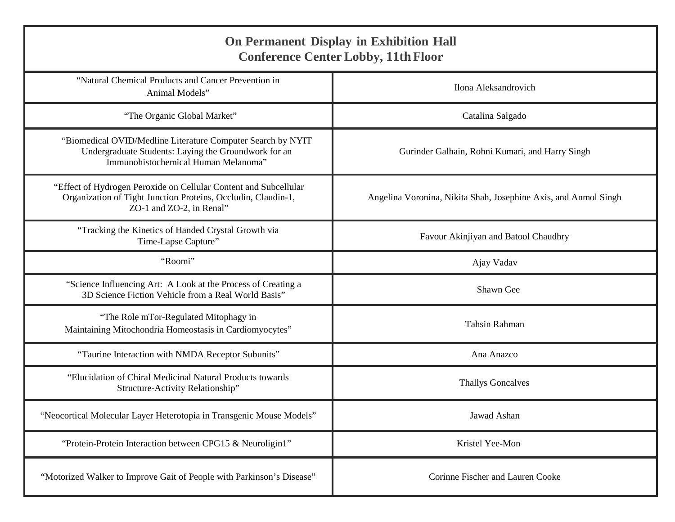| <b>On Permanent Display in Exhibition Hall</b><br><b>Conference Center Lobby, 11th Floor</b>                                                                  |                                                                 |  |
|---------------------------------------------------------------------------------------------------------------------------------------------------------------|-----------------------------------------------------------------|--|
| "Natural Chemical Products and Cancer Prevention in<br>Animal Models"                                                                                         | Ilona Aleksandrovich                                            |  |
| "The Organic Global Market"                                                                                                                                   | Catalina Salgado                                                |  |
| "Biomedical OVID/Medline Literature Computer Search by NYIT<br>Undergraduate Students: Laying the Groundwork for an<br>Immunohistochemical Human Melanoma"    | Gurinder Galhain, Rohni Kumari, and Harry Singh                 |  |
| "Effect of Hydrogen Peroxide on Cellular Content and Subcellular<br>Organization of Tight Junction Proteins, Occludin, Claudin-1,<br>ZO-1 and ZO-2, in Renal" | Angelina Voronina, Nikita Shah, Josephine Axis, and Anmol Singh |  |
| "Tracking the Kinetics of Handed Crystal Growth via<br>Time-Lapse Capture"                                                                                    | Favour Akinjiyan and Batool Chaudhry                            |  |
| "Roomi"                                                                                                                                                       | Ajay Vadav                                                      |  |
| "Science Influencing Art: A Look at the Process of Creating a<br>3D Science Fiction Vehicle from a Real World Basis"                                          | Shawn Gee                                                       |  |
| "The Role mTor-Regulated Mitophagy in<br>Maintaining Mitochondria Homeostasis in Cardiomyocytes"                                                              | <b>Tahsin Rahman</b>                                            |  |
| "Taurine Interaction with NMDA Receptor Subunits"                                                                                                             | Ana Anazco                                                      |  |
| "Elucidation of Chiral Medicinal Natural Products towards<br>Structure-Activity Relationship"                                                                 | <b>Thallys Goncalves</b>                                        |  |
| "Neocortical Molecular Layer Heterotopia in Transgenic Mouse Models"                                                                                          | Jawad Ashan                                                     |  |
| "Protein-Protein Interaction between CPG15 & Neuroligin1"                                                                                                     | Kristel Yee-Mon                                                 |  |
| "Motorized Walker to Improve Gait of People with Parkinson's Disease"                                                                                         | Corinne Fischer and Lauren Cooke                                |  |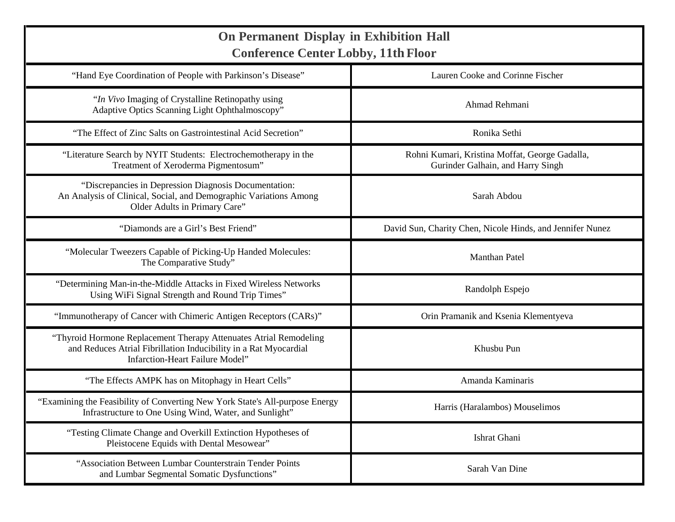| <b>On Permanent Display in Exhibition Hall</b><br><b>Conference Center Lobby, 11th Floor</b>                                                                                    |                                                                                     |  |
|---------------------------------------------------------------------------------------------------------------------------------------------------------------------------------|-------------------------------------------------------------------------------------|--|
| "Hand Eye Coordination of People with Parkinson's Disease"                                                                                                                      | Lauren Cooke and Corinne Fischer                                                    |  |
| "In Vivo Imaging of Crystalline Retinopathy using<br>Adaptive Optics Scanning Light Ophthalmoscopy"                                                                             | Ahmad Rehmani                                                                       |  |
| "The Effect of Zinc Salts on Gastrointestinal Acid Secretion"                                                                                                                   | Ronika Sethi                                                                        |  |
| "Literature Search by NYIT Students: Electrochemotherapy in the<br>Treatment of Xeroderma Pigmentosum"                                                                          | Rohni Kumari, Kristina Moffat, George Gadalla,<br>Gurinder Galhain, and Harry Singh |  |
| "Discrepancies in Depression Diagnosis Documentation:<br>An Analysis of Clinical, Social, and Demographic Variations Among<br>Older Adults in Primary Care"                     | Sarah Abdou                                                                         |  |
| "Diamonds are a Girl's Best Friend"                                                                                                                                             | David Sun, Charity Chen, Nicole Hinds, and Jennifer Nunez                           |  |
| "Molecular Tweezers Capable of Picking-Up Handed Molecules:<br>The Comparative Study"                                                                                           | <b>Manthan Patel</b>                                                                |  |
| "Determining Man-in-the-Middle Attacks in Fixed Wireless Networks<br>Using WiFi Signal Strength and Round Trip Times"                                                           | Randolph Espejo                                                                     |  |
| "Immunotherapy of Cancer with Chimeric Antigen Receptors (CARs)"                                                                                                                | Orin Pramanik and Ksenia Klementyeva                                                |  |
| "Thyroid Hormone Replacement Therapy Attenuates Atrial Remodeling<br>and Reduces Atrial Fibrillation Inducibility in a Rat Myocardial<br><b>Infarction-Heart Failure Model"</b> | Khusbu Pun                                                                          |  |
| "The Effects AMPK has on Mitophagy in Heart Cells"                                                                                                                              | Amanda Kaminaris                                                                    |  |
| "Examining the Feasibility of Converting New York State's All-purpose Energy<br>Infrastructure to One Using Wind, Water, and Sunlight"                                          | Harris (Haralambos) Mouselimos                                                      |  |
| "Testing Climate Change and Overkill Extinction Hypotheses of<br>Pleistocene Equids with Dental Mesowear"                                                                       | Ishrat Ghani                                                                        |  |
| "Association Between Lumbar Counterstrain Tender Points<br>and Lumbar Segmental Somatic Dysfunctions"                                                                           | Sarah Van Dine                                                                      |  |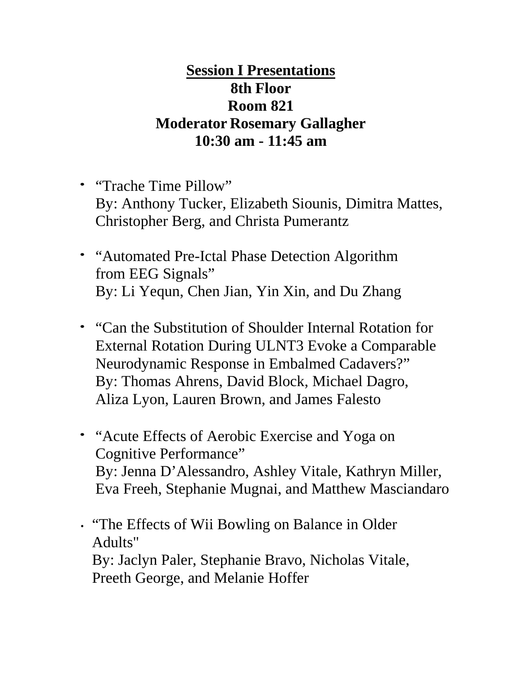# **Session I Presentations 8th Floor Room 821 Moderator Rosemary Gallagher 10:30 am - 11:45 am**

- "Trache Time Pillow" By: Anthony Tucker, Elizabeth Siounis, Dimitra Mattes, Christopher Berg, and Christa Pumerantz
- "Automated Pre-Ictal Phase Detection Algorithm from EEG Signals" By: Li Yequn, Chen Jian, Yin Xin, and Du Zhang
- "Can the Substitution of Shoulder Internal Rotation for External Rotation During ULNT3 Evoke a Comparable Neurodynamic Response in Embalmed Cadavers?" By: Thomas Ahrens, David Block, Michael Dagro, Aliza Lyon, Lauren Brown, and James Falesto
- "Acute Effects of Aerobic Exercise and Yoga on Cognitive Performance" By: Jenna D'Alessandro, Ashley Vitale, Kathryn Miller, Eva Freeh, Stephanie Mugnai, and Matthew Masciandaro

• "The Effects of Wii Bowling on Balance in Older Adults" By: Jaclyn Paler, Stephanie Bravo, Nicholas Vitale, Preeth George, and Melanie Hoffer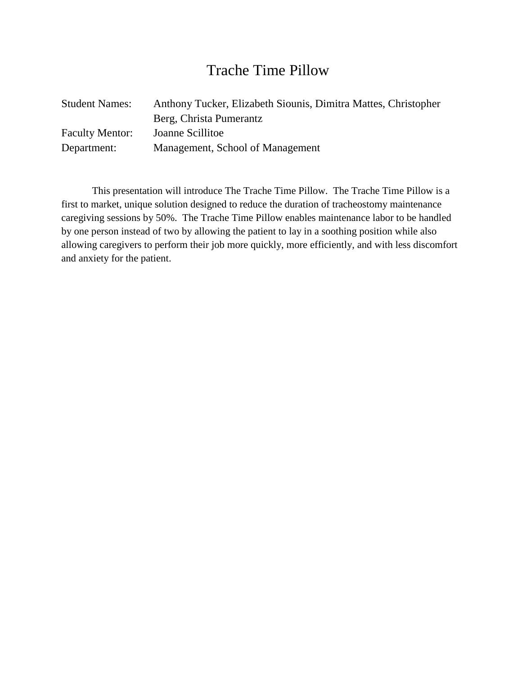# Trache Time Pillow

| <b>Student Names:</b>  | Anthony Tucker, Elizabeth Siounis, Dimitra Mattes, Christopher |
|------------------------|----------------------------------------------------------------|
|                        | Berg, Christa Pumerantz                                        |
| <b>Faculty Mentor:</b> | Joanne Scillitoe                                               |
| Department:            | Management, School of Management                               |

This presentation will introduce The Trache Time Pillow. The Trache Time Pillow is a first to market, unique solution designed to reduce the duration of tracheostomy maintenance caregiving sessions by 50%. The Trache Time Pillow enables maintenance labor to be handled by one person instead of two by allowing the patient to lay in a soothing position while also allowing caregivers to perform their job more quickly, more efficiently, and with less discomfort and anxiety for the patient.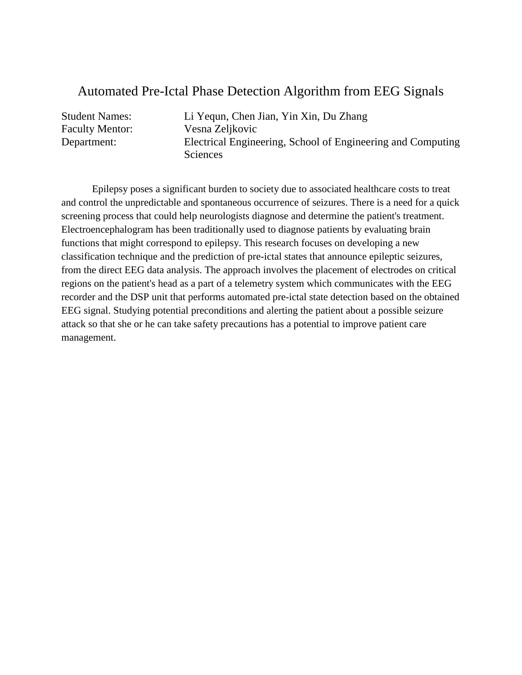#### Automated Pre-Ictal Phase Detection Algorithm from EEG Signals

Student Names: Li Yequn, Chen Jian, Yin Xin, Du Zhang Faculty Mentor: Vesna Zeljkovic Department: Electrical Engineering, School of Engineering and Computing Sciences

Epilepsy poses a significant burden to society due to associated healthcare costs to treat and control the unpredictable and spontaneous occurrence of seizures. There is a need for a quick screening process that could help neurologists diagnose and determine the patient's treatment. Electroencephalogram has been traditionally used to diagnose patients by evaluating brain functions that might correspond to epilepsy. This research focuses on developing a new classification technique and the prediction of pre-ictal states that announce epileptic seizures, from the direct EEG data analysis. The approach involves the placement of electrodes on critical regions on the patient's head as a part of a telemetry system which communicates with the EEG recorder and the DSP unit that performs automated pre-ictal state detection based on the obtained EEG signal. Studying potential preconditions and alerting the patient about a possible seizure attack so that she or he can take safety precautions has a potential to improve patient care management.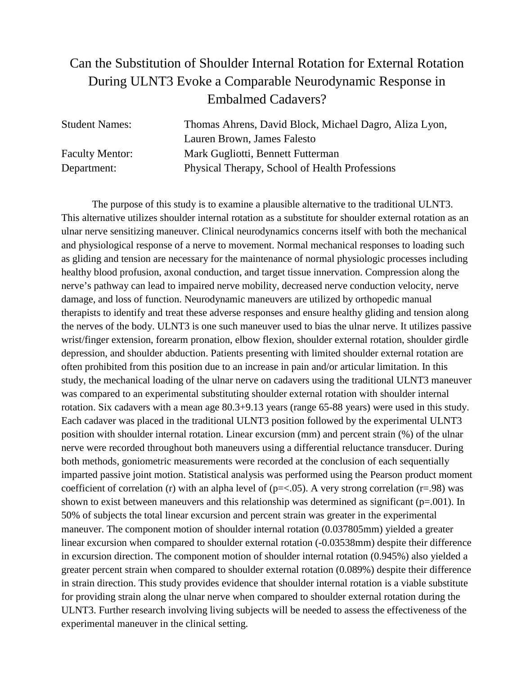### Can the Substitution of Shoulder Internal Rotation for External Rotation During ULNT3 Evoke a Comparable Neurodynamic Response in Embalmed Cadavers?

| <b>Student Names:</b>  | Thomas Ahrens, David Block, Michael Dagro, Aliza Lyon, |
|------------------------|--------------------------------------------------------|
|                        | Lauren Brown, James Falesto                            |
| <b>Faculty Mentor:</b> | Mark Gugliotti, Bennett Futterman                      |
| Department:            | Physical Therapy, School of Health Professions         |

The purpose of this study is to examine a plausible alternative to the traditional ULNT3. This alternative utilizes shoulder internal rotation as a substitute for shoulder external rotation as an ulnar nerve sensitizing maneuver. Clinical neurodynamics concerns itself with both the mechanical and physiological response of a nerve to movement. Normal mechanical responses to loading such as gliding and tension are necessary for the maintenance of normal physiologic processes including healthy blood profusion, axonal conduction, and target tissue innervation. Compression along the nerve's pathway can lead to impaired nerve mobility, decreased nerve conduction velocity, nerve damage, and loss of function. Neurodynamic maneuvers are utilized by orthopedic manual therapists to identify and treat these adverse responses and ensure healthy gliding and tension along the nerves of the body. ULNT3 is one such maneuver used to bias the ulnar nerve. It utilizes passive wrist/finger extension, forearm pronation, elbow flexion, shoulder external rotation, shoulder girdle depression, and shoulder abduction. Patients presenting with limited shoulder external rotation are often prohibited from this position due to an increase in pain and/or articular limitation. In this study, the mechanical loading of the ulnar nerve on cadavers using the traditional ULNT3 maneuver was compared to an experimental substituting shoulder external rotation with shoulder internal rotation. Six cadavers with a mean age 80.3+9.13 years (range 65-88 years) were used in this study. Each cadaver was placed in the traditional ULNT3 position followed by the experimental ULNT3 position with shoulder internal rotation. Linear excursion (mm) and percent strain (%) of the ulnar nerve were recorded throughout both maneuvers using a differential reluctance transducer. During both methods, goniometric measurements were recorded at the conclusion of each sequentially imparted passive joint motion. Statistical analysis was performed using the Pearson product moment coefficient of correlation (r) with an alpha level of ( $p = < .05$ ). A very strong correlation ( $r = .98$ ) was shown to exist between maneuvers and this relationship was determined as significant ( $p=0.01$ ). In 50% of subjects the total linear excursion and percent strain was greater in the experimental maneuver. The component motion of shoulder internal rotation (0.037805mm) yielded a greater linear excursion when compared to shoulder external rotation  $(-0.03538$ mm) despite their difference in excursion direction. The component motion of shoulder internal rotation (0.945%) also yielded a greater percent strain when compared to shoulder external rotation (0.089%) despite their difference in strain direction. This study provides evidence that shoulder internal rotation is a viable substitute for providing strain along the ulnar nerve when compared to shoulder external rotation during the ULNT3. Further research involving living subjects will be needed to assess the effectiveness of the experimental maneuver in the clinical setting.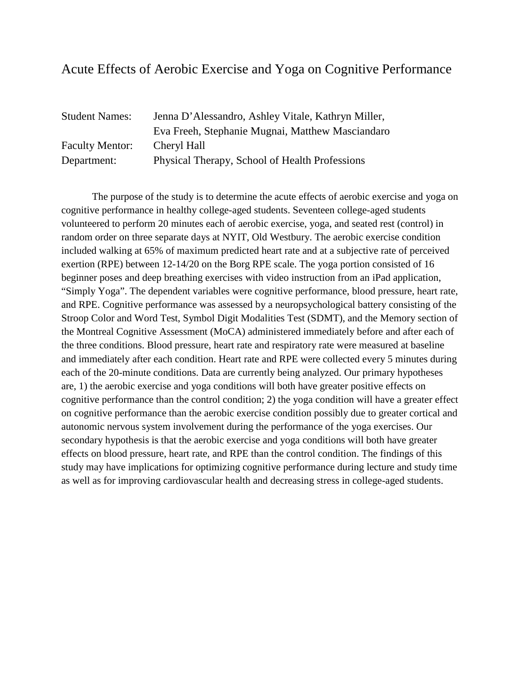#### Acute Effects of Aerobic Exercise and Yoga on Cognitive Performance

| <b>Student Names:</b>  | Jenna D'Alessandro, Ashley Vitale, Kathryn Miller, |
|------------------------|----------------------------------------------------|
|                        | Eva Freeh, Stephanie Mugnai, Matthew Masciandaro   |
| <b>Faculty Mentor:</b> | Cheryl Hall                                        |
| Department:            | Physical Therapy, School of Health Professions     |

The purpose of the study is to determine the acute effects of aerobic exercise and yoga on cognitive performance in healthy college-aged students. Seventeen college-aged students volunteered to perform 20 minutes each of aerobic exercise, yoga, and seated rest (control) in random order on three separate days at NYIT, Old Westbury. The aerobic exercise condition included walking at 65% of maximum predicted heart rate and at a subjective rate of perceived exertion (RPE) between 12-14/20 on the Borg RPE scale. The yoga portion consisted of 16 beginner poses and deep breathing exercises with video instruction from an iPad application, "Simply Yoga". The dependent variables were cognitive performance, blood pressure, heart rate, and RPE. Cognitive performance was assessed by a neuropsychological battery consisting of the Stroop Color and Word Test, Symbol Digit Modalities Test (SDMT), and the Memory section of the Montreal Cognitive Assessment (MoCA) administered immediately before and after each of the three conditions. Blood pressure, heart rate and respiratory rate were measured at baseline and immediately after each condition. Heart rate and RPE were collected every 5 minutes during each of the 20-minute conditions. Data are currently being analyzed. Our primary hypotheses are, 1) the aerobic exercise and yoga conditions will both have greater positive effects on cognitive performance than the control condition; 2) the yoga condition will have a greater effect on cognitive performance than the aerobic exercise condition possibly due to greater cortical and autonomic nervous system involvement during the performance of the yoga exercises. Our secondary hypothesis is that the aerobic exercise and yoga conditions will both have greater effects on blood pressure, heart rate, and RPE than the control condition. The findings of this study may have implications for optimizing cognitive performance during lecture and study time as well as for improving cardiovascular health and decreasing stress in college-aged students.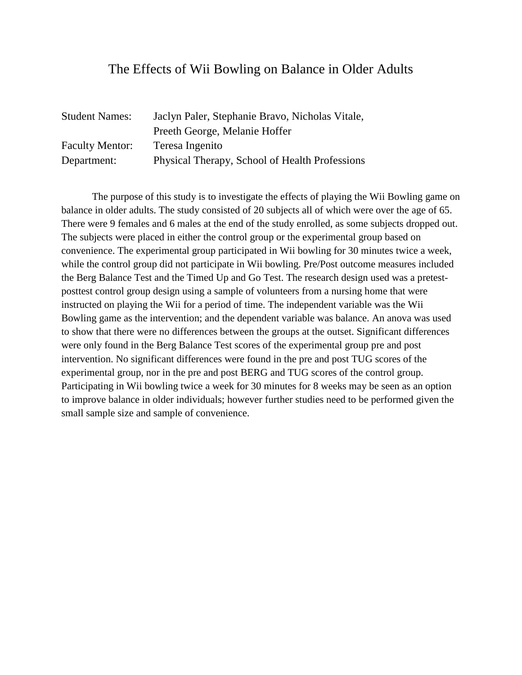#### The Effects of Wii Bowling on Balance in Older Adults

| <b>Student Names:</b>  | Jaclyn Paler, Stephanie Bravo, Nicholas Vitale, |
|------------------------|-------------------------------------------------|
|                        | Preeth George, Melanie Hoffer                   |
| <b>Faculty Mentor:</b> | Teresa Ingenito                                 |
| Department:            | Physical Therapy, School of Health Professions  |

The purpose of this study is to investigate the effects of playing the Wii Bowling game on balance in older adults. The study consisted of 20 subjects all of which were over the age of 65. There were 9 females and 6 males at the end of the study enrolled, as some subjects dropped out. The subjects were placed in either the control group or the experimental group based on convenience. The experimental group participated in Wii bowling for 30 minutes twice a week, while the control group did not participate in Wii bowling. Pre/Post outcome measures included the Berg Balance Test and the Timed Up and Go Test. The research design used was a pretestposttest control group design using a sample of volunteers from a nursing home that were instructed on playing the Wii for a period of time. The independent variable was the Wii Bowling game as the intervention; and the dependent variable was balance. An anova was used to show that there were no differences between the groups at the outset. Significant differences were only found in the Berg Balance Test scores of the experimental group pre and post intervention. No significant differences were found in the pre and post TUG scores of the experimental group, nor in the pre and post BERG and TUG scores of the control group. Participating in Wii bowling twice a week for 30 minutes for 8 weeks may be seen as an option to improve balance in older individuals; however further studies need to be performed given the small sample size and sample of convenience.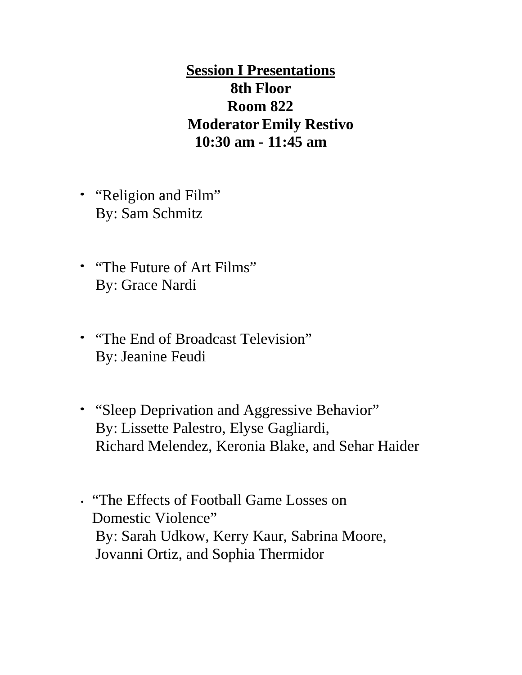**Session I Presentations 8th Floor Room 822 Moderator Emily Restivo 10:30 am - 11:45 am**

- "Religion and Film" By: Sam Schmitz
- "The Future of Art Films" By: Grace Nardi
- "The End of Broadcast Television" By: Jeanine Feudi
- "Sleep Deprivation and Aggressive Behavior" By: Lissette Palestro, Elyse Gagliardi, Richard Melendez, Keronia Blake, and Sehar Haider
- "The Effects of Football Game Losses on Domestic Violence" By: Sarah Udkow, Kerry Kaur, Sabrina Moore, Jovanni Ortiz, and Sophia Thermidor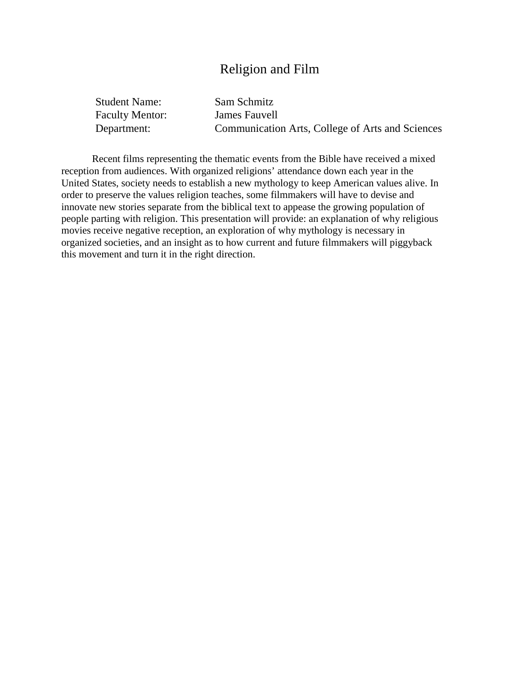#### Religion and Film

| <b>Student Name:</b>   | Sam Schmitz                                      |
|------------------------|--------------------------------------------------|
| <b>Faculty Mentor:</b> | James Fauvell                                    |
| Department:            | Communication Arts, College of Arts and Sciences |

Recent films representing the thematic events from the Bible have received a mixed reception from audiences. With organized religions' attendance down each year in the United States, society needs to establish a new mythology to keep American values alive. In order to preserve the values religion teaches, some filmmakers will have to devise and innovate new stories separate from the biblical text to appease the growing population of people parting with religion. This presentation will provide: an explanation of why religious movies receive negative reception, an exploration of why mythology is necessary in organized societies, and an insight as to how current and future filmmakers will piggyback this movement and turn it in the right direction.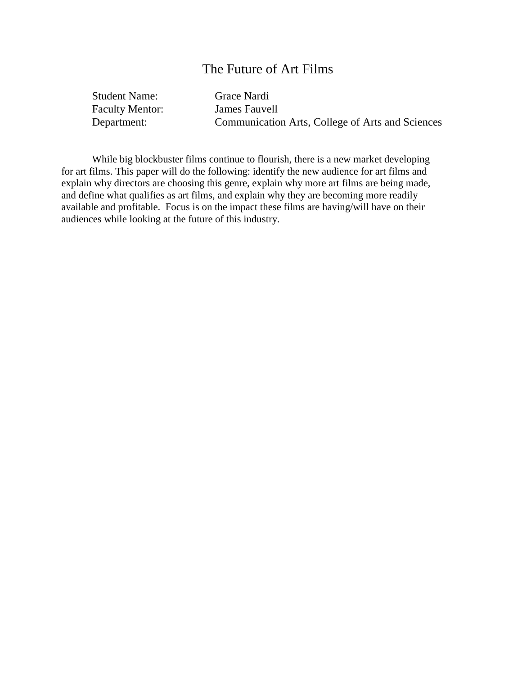#### The Future of Art Films

Student Name: Grace Nardi Faculty Mentor: James Fauvell

Department: Communication Arts, College of Arts and Sciences

While big blockbuster films continue to flourish, there is a new market developing for art films. This paper will do the following: identify the new audience for art films and explain why directors are choosing this genre, explain why more art films are being made, and define what qualifies as art films, and explain why they are becoming more readily available and profitable. Focus is on the impact these films are having/will have on their audiences while looking at the future of this industry.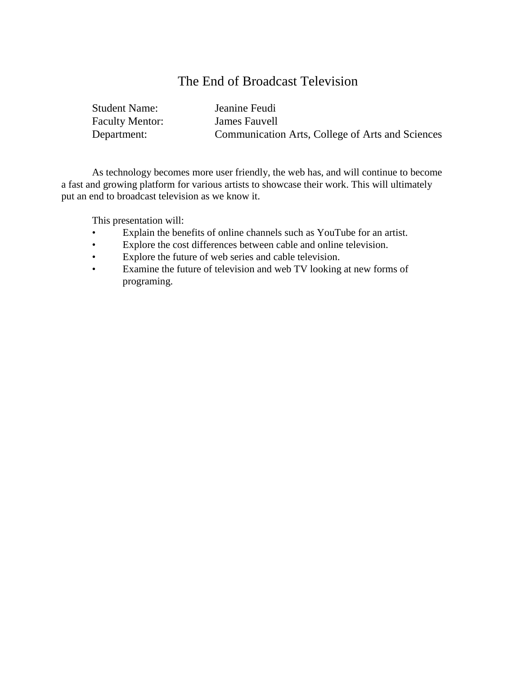#### The End of Broadcast Television

| <b>Student Name:</b>   | Jeanine Feudi                                    |
|------------------------|--------------------------------------------------|
| <b>Faculty Mentor:</b> | James Fauvell                                    |
| Department:            | Communication Arts, College of Arts and Sciences |

As technology becomes more user friendly, the web has, and will continue to become a fast and growing platform for various artists to showcase their work. This will ultimately put an end to broadcast television as we know it.

This presentation will:

- Explain the benefits of online channels such as YouTube for an artist.
- Explore the cost differences between cable and online television.
- Explore the future of web series and cable television.
- Examine the future of television and web TV looking at new forms of programing.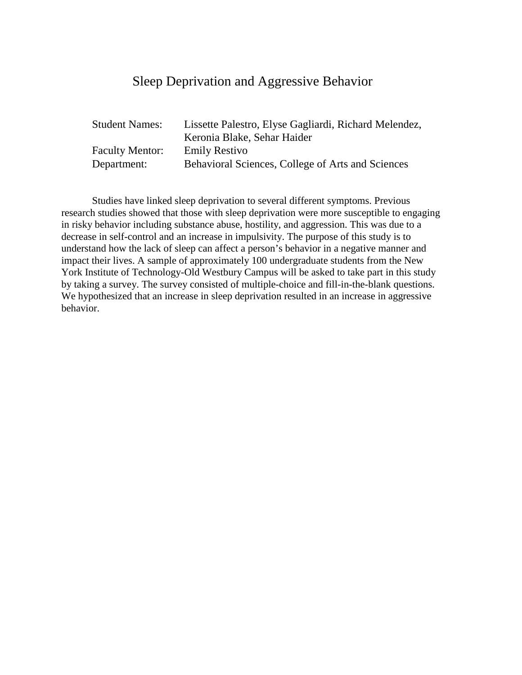#### Sleep Deprivation and Aggressive Behavior

| <b>Student Names:</b>  | Lissette Palestro, Elyse Gagliardi, Richard Melendez, |
|------------------------|-------------------------------------------------------|
|                        | Keronia Blake, Sehar Haider                           |
| <b>Faculty Mentor:</b> | <b>Emily Restivo</b>                                  |
| Department:            | Behavioral Sciences, College of Arts and Sciences     |

Studies have linked sleep deprivation to several different symptoms. Previous research studies showed that those with sleep deprivation were more susceptible to engaging in risky behavior including substance abuse, hostility, and aggression. This was due to a decrease in self-control and an increase in impulsivity. The purpose of this study is to understand how the lack of sleep can affect a person's behavior in a negative manner and impact their lives. A sample of approximately 100 undergraduate students from the New York Institute of Technology-Old Westbury Campus will be asked to take part in this study by taking a survey. The survey consisted of multiple-choice and fill-in-the-blank questions. We hypothesized that an increase in sleep deprivation resulted in an increase in aggressive behavior.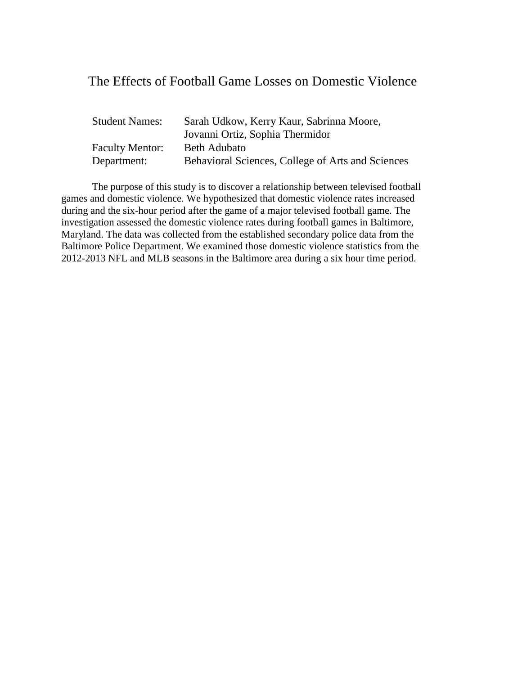#### The Effects of Football Game Losses on Domestic Violence

| <b>Student Names:</b>  | Sarah Udkow, Kerry Kaur, Sabrinna Moore,          |
|------------------------|---------------------------------------------------|
|                        | Jovanni Ortiz, Sophia Thermidor                   |
| <b>Faculty Mentor:</b> | Beth Adubato                                      |
| Department:            | Behavioral Sciences, College of Arts and Sciences |

The purpose of this study is to discover a relationship between televised football games and domestic violence. We hypothesized that domestic violence rates increased during and the six-hour period after the game of a major televised football game. The investigation assessed the domestic violence rates during football games in Baltimore, Maryland. The data was collected from the established secondary police data from the Baltimore Police Department. We examined those domestic violence statistics from the 2012-2013 NFL and MLB seasons in the Baltimore area during a six hour time period.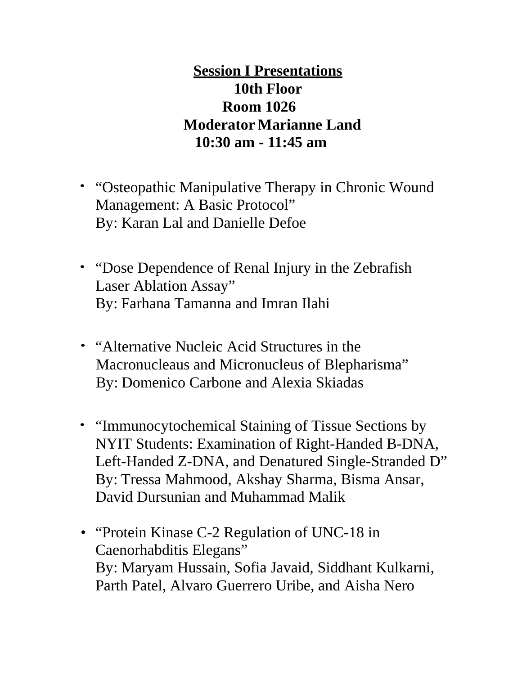# **Session I Presentations 10th Floor Room 1026 Moderator Marianne Land 10:30 am - 11:45 am**

- "Osteopathic Manipulative Therapy in Chronic Wound Management: A Basic Protocol" By: Karan Lal and Danielle Defoe
- "Dose Dependence of Renal Injury in the Zebrafish" Laser Ablation Assay" By: Farhana Tamanna and Imran Ilahi
- "Alternative Nucleic Acid Structures in the Macronucleaus and Micronucleus of Blepharisma" By: Domenico Carbone and Alexia Skiadas
- "Immunocytochemical Staining of Tissue Sections by NYIT Students: Examination of Right-Handed B-DNA, Left-Handed Z-DNA, and Denatured Single-Stranded D" By: Tressa Mahmood, Akshay Sharma, Bisma Ansar, David Dursunian and Muhammad Malik
- "Protein Kinase C-2 Regulation of UNC-18 in Caenorhabditis Elegans" By: Maryam Hussain, Sofia Javaid, Siddhant Kulkarni, Parth Patel, Alvaro Guerrero Uribe, and Aisha Nero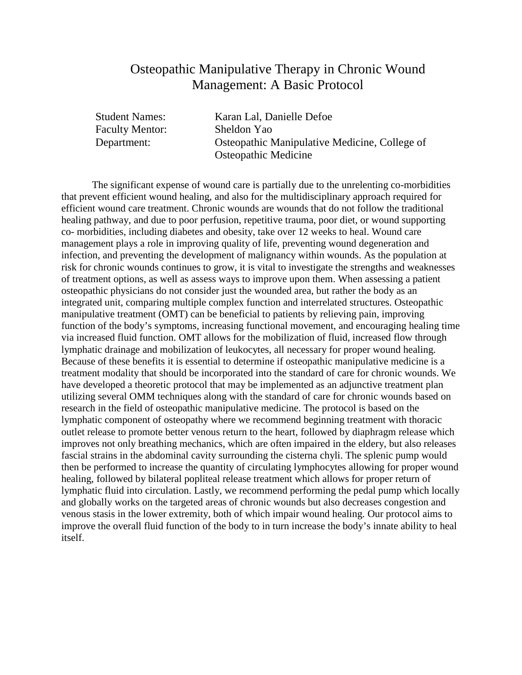#### Osteopathic Manipulative Therapy in Chronic Wound Management: A Basic Protocol

Faculty Mentor: Sheldon Yao

Student Names: Karan Lal, Danielle Defoe Department: Osteopathic Manipulative Medicine, College of Osteopathic Medicine

The significant expense of wound care is partially due to the unrelenting co-morbidities that prevent efficient wound healing, and also for the multidisciplinary approach required for efficient wound care treatment. Chronic wounds are wounds that do not follow the traditional healing pathway, and due to poor perfusion, repetitive trauma, poor diet, or wound supporting co- morbidities, including diabetes and obesity, take over 12 weeks to heal. Wound care management plays a role in improving quality of life, preventing wound degeneration and infection, and preventing the development of malignancy within wounds. As the population at risk for chronic wounds continues to grow, it is vital to investigate the strengths and weaknesses of treatment options, as well as assess ways to improve upon them. When assessing a patient osteopathic physicians do not consider just the wounded area, but rather the body as an integrated unit, comparing multiple complex function and interrelated structures. Osteopathic manipulative treatment (OMT) can be beneficial to patients by relieving pain, improving function of the body's symptoms, increasing functional movement, and encouraging healing time via increased fluid function. OMT allows for the mobilization of fluid, increased flow through lymphatic drainage and mobilization of leukocytes, all necessary for proper wound healing. Because of these benefits it is essential to determine if osteopathic manipulative medicine is a treatment modality that should be incorporated into the standard of care for chronic wounds. We have developed a theoretic protocol that may be implemented as an adjunctive treatment plan utilizing several OMM techniques along with the standard of care for chronic wounds based on research in the field of osteopathic manipulative medicine. The protocol is based on the lymphatic component of osteopathy where we recommend beginning treatment with thoracic outlet release to promote better venous return to the heart, followed by diaphragm release which improves not only breathing mechanics, which are often impaired in the eldery, but also releases fascial strains in the abdominal cavity surrounding the cisterna chyli. The splenic pump would then be performed to increase the quantity of circulating lymphocytes allowing for proper wound healing, followed by bilateral popliteal release treatment which allows for proper return of lymphatic fluid into circulation. Lastly, we recommend performing the pedal pump which locally and globally works on the targeted areas of chronic wounds but also decreases congestion and venous stasis in the lower extremity, both of which impair wound healing. Our protocol aims to improve the overall fluid function of the body to in turn increase the body's innate ability to heal itself.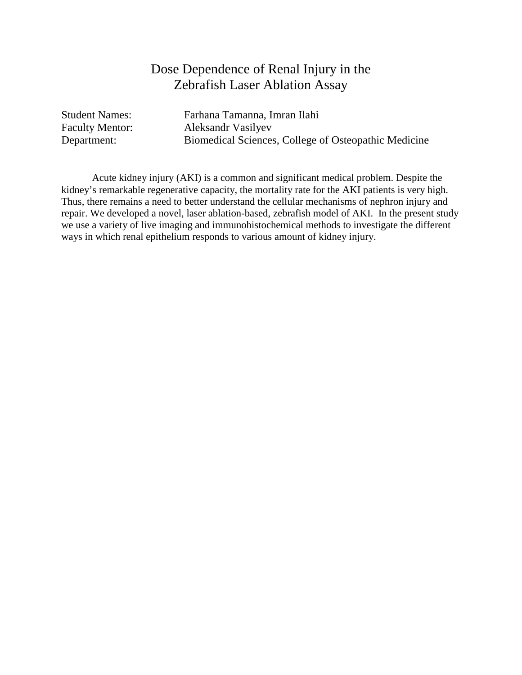#### Dose Dependence of Renal Injury in the Zebrafish Laser Ablation Assay

Student Names: Farhana Tamanna, Imran Ilahi Faculty Mentor: Aleksandr Vasilyev Department: Biomedical Sciences, College of Osteopathic Medicine

Acute kidney injury (AKI) is a common and significant medical problem. Despite the kidney's remarkable regenerative capacity, the mortality rate for the AKI patients is very high. Thus, there remains a need to better understand the cellular mechanisms of nephron injury and repair. We developed a novel, laser ablation-based, zebrafish model of AKI. In the present study we use a variety of live imaging and immunohistochemical methods to investigate the different ways in which renal epithelium responds to various amount of kidney injury.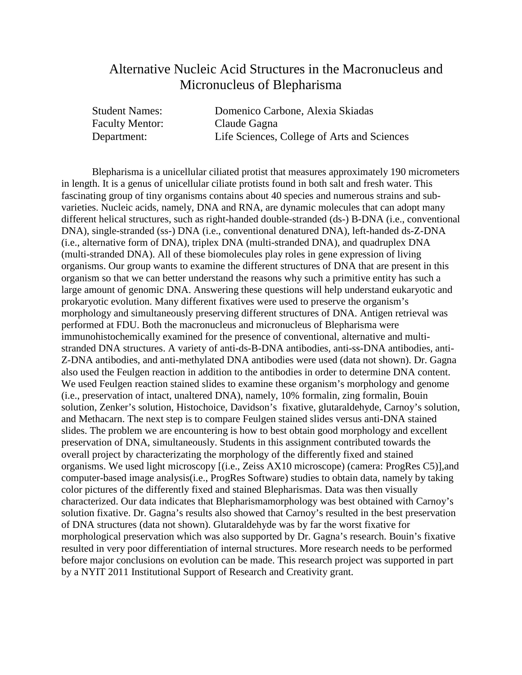#### Alternative Nucleic Acid Structures in the Macronucleus and Micronucleus of Blepharisma

| <b>Student Names:</b>  | Domenico Carbone, Alexia Skiadas            |
|------------------------|---------------------------------------------|
| <b>Faculty Mentor:</b> | Claude Gagna                                |
| Department:            | Life Sciences, College of Arts and Sciences |

Blepharisma is a unicellular ciliated protist that measures approximately 190 micrometers in length. It is a genus of unicellular ciliate protists found in both salt and fresh water. This fascinating group of tiny organisms contains about 40 species and numerous strains and subvarieties. Nucleic acids, namely, DNA and RNA, are dynamic molecules that can adopt many different helical structures, such as right-handed double-stranded (ds-) B-DNA (i.e., conventional DNA), single-stranded (ss-) DNA (i.e., conventional denatured DNA), left-handed ds-Z-DNA (i.e., alternative form of DNA), triplex DNA (multi-stranded DNA), and quadruplex DNA (multi-stranded DNA). All of these biomolecules play roles in gene expression of living organisms. Our group wants to examine the different structures of DNA that are present in this organism so that we can better understand the reasons why such a primitive entity has such a large amount of genomic DNA. Answering these questions will help understand eukaryotic and prokaryotic evolution. Many different fixatives were used to preserve the organism's morphology and simultaneously preserving different structures of DNA. Antigen retrieval was performed at FDU. Both the macronucleus and micronucleus of Blepharisma were immunohistochemically examined for the presence of conventional, alternative and multistranded DNA structures. A variety of anti-ds-B-DNA antibodies, anti-ss-DNA antibodies, anti-Z-DNA antibodies, and anti-methylated DNA antibodies were used (data not shown). Dr. Gagna also used the Feulgen reaction in addition to the antibodies in order to determine DNA content. We used Feulgen reaction stained slides to examine these organism's morphology and genome (i.e., preservation of intact, unaltered DNA), namely, 10% formalin, zing formalin, Bouin solution, Zenker's solution, Histochoice, Davidson's fixative, glutaraldehyde, Carnoy's solution, and Methacarn. The next step is to compare Feulgen stained slides versus anti-DNA stained slides. The problem we are encountering is how to best obtain good morphology and excellent preservation of DNA, simultaneously. Students in this assignment contributed towards the overall project by characterizating the morphology of the differently fixed and stained organisms. We used light microscopy [(i.e., Zeiss AX10 microscope) (camera: ProgRes C5)],and computer-based image analysis(i.e., ProgRes Software) studies to obtain data, namely by taking color pictures of the differently fixed and stained Blepharismas. Data was then visually characterized. Our data indicates that Blepharismamorphology was best obtained with Carnoy's solution fixative. Dr. Gagna's results also showed that Carnoy's resulted in the best preservation of DNA structures (data not shown). Glutaraldehyde was by far the worst fixative for morphological preservation which was also supported by Dr. Gagna's research. Bouin's fixative resulted in very poor differentiation of internal structures. More research needs to be performed before major conclusions on evolution can be made. This research project was supported in part by a NYIT 2011 Institutional Support of Research and Creativity grant.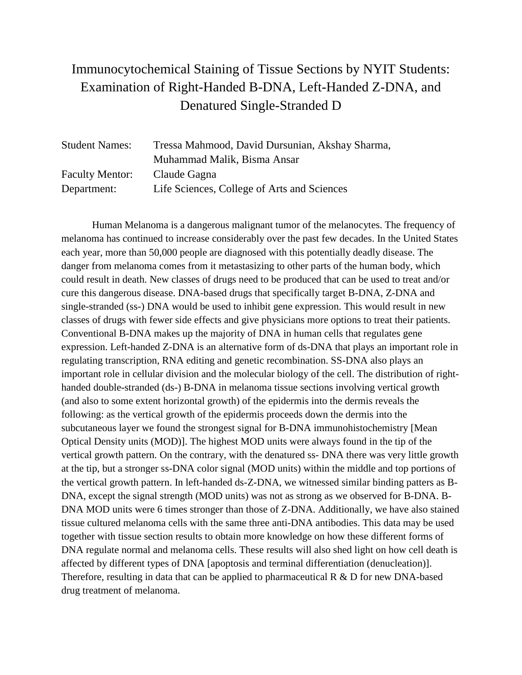# Immunocytochemical Staining of Tissue Sections by NYIT Students: Examination of Right-Handed B-DNA, Left-Handed Z-DNA, and Denatured Single-Stranded D

| <b>Student Names:</b>  | Tressa Mahmood, David Dursunian, Akshay Sharma, |
|------------------------|-------------------------------------------------|
|                        | Muhammad Malik, Bisma Ansar                     |
| <b>Faculty Mentor:</b> | Claude Gagna                                    |
| Department:            | Life Sciences, College of Arts and Sciences     |

Human Melanoma is a dangerous malignant tumor of the melanocytes. The frequency of melanoma has continued to increase considerably over the past few decades. In the United States each year, more than 50,000 people are diagnosed with this potentially deadly disease. The danger from melanoma comes from it metastasizing to other parts of the human body, which could result in death. New classes of drugs need to be produced that can be used to treat and/or cure this dangerous disease. DNA-based drugs that specifically target B-DNA, Z-DNA and single-stranded (ss-) DNA would be used to inhibit gene expression. This would result in new classes of drugs with fewer side effects and give physicians more options to treat their patients. Conventional B-DNA makes up the majority of DNA in human cells that regulates gene expression. Left-handed Z-DNA is an alternative form of ds-DNA that plays an important role in regulating transcription, RNA editing and genetic recombination. SS-DNA also plays an important role in cellular division and the molecular biology of the cell. The distribution of righthanded double-stranded (ds-) B-DNA in melanoma tissue sections involving vertical growth (and also to some extent horizontal growth) of the epidermis into the dermis reveals the following: as the vertical growth of the epidermis proceeds down the dermis into the subcutaneous layer we found the strongest signal for B-DNA immunohistochemistry [Mean Optical Density units (MOD)]. The highest MOD units were always found in the tip of the vertical growth pattern. On the contrary, with the denatured ss- DNA there was very little growth at the tip, but a stronger ss-DNA color signal (MOD units) within the middle and top portions of the vertical growth pattern. In left-handed ds-Z-DNA, we witnessed similar binding patters as B-DNA, except the signal strength (MOD units) was not as strong as we observed for B-DNA. B-DNA MOD units were 6 times stronger than those of Z-DNA. Additionally, we have also stained tissue cultured melanoma cells with the same three anti-DNA antibodies. This data may be used together with tissue section results to obtain more knowledge on how these different forms of DNA regulate normal and melanoma cells. These results will also shed light on how cell death is affected by different types of DNA [apoptosis and terminal differentiation (denucleation)]. Therefore, resulting in data that can be applied to pharmaceutical R & D for new DNA-based drug treatment of melanoma.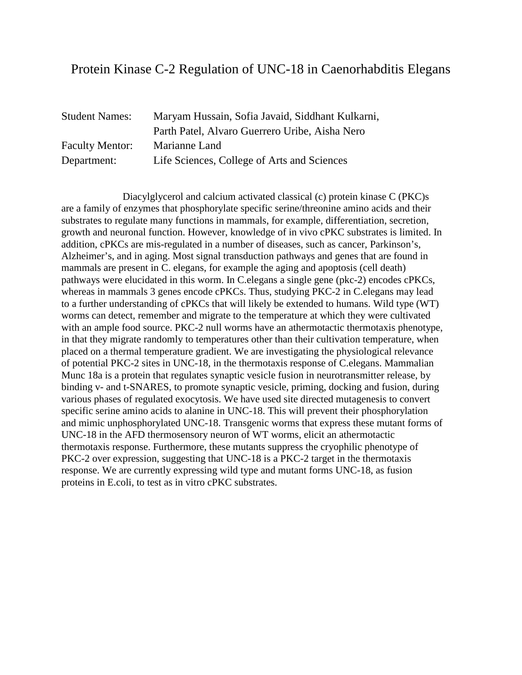#### Protein Kinase C-2 Regulation of UNC-18 in Caenorhabditis Elegans

| <b>Student Names:</b>  | Maryam Hussain, Sofia Javaid, Siddhant Kulkarni, |
|------------------------|--------------------------------------------------|
|                        | Parth Patel, Alvaro Guerrero Uribe, Aisha Nero   |
| <b>Faculty Mentor:</b> | Marianne Land                                    |
| Department:            | Life Sciences, College of Arts and Sciences      |

Diacylglycerol and calcium activated classical (c) protein kinase C (PKC)s are a family of enzymes that phosphorylate specific serine/threonine amino acids and their substrates to regulate many functions in mammals, for example, differentiation, secretion, growth and neuronal function. However, knowledge of in vivo cPKC substrates is limited. In addition, cPKCs are mis-regulated in a number of diseases, such as cancer, Parkinson's, Alzheimer's, and in aging. Most signal transduction pathways and genes that are found in mammals are present in C. elegans, for example the aging and apoptosis (cell death) pathways were elucidated in this worm. In C.elegans a single gene (pkc-2) encodes cPKCs, whereas in mammals 3 genes encode cPKCs. Thus, studying PKC-2 in C. elegans may lead to a further understanding of cPKCs that will likely be extended to humans. Wild type (WT) worms can detect, remember and migrate to the temperature at which they were cultivated with an ample food source. PKC-2 null worms have an athermotactic thermotaxis phenotype, in that they migrate randomly to temperatures other than their cultivation temperature, when placed on a thermal temperature gradient. We are investigating the physiological relevance of potential PKC-2 sites in UNC-18, in the thermotaxis response of C.elegans. Mammalian Munc 18a is a protein that regulates synaptic vesicle fusion in neurotransmitter release, by binding v- and t-SNARES, to promote synaptic vesicle, priming, docking and fusion, during various phases of regulated exocytosis. We have used site directed mutagenesis to convert specific serine amino acids to alanine in UNC-18. This will prevent their phosphorylation and mimic unphosphorylated UNC-18. Transgenic worms that express these mutant forms of UNC-18 in the AFD thermosensory neuron of WT worms, elicit an athermotactic thermotaxis response. Furthermore, these mutants suppress the cryophilic phenotype of PKC-2 over expression, suggesting that UNC-18 is a PKC-2 target in the thermotaxis response. We are currently expressing wild type and mutant forms UNC-18, as fusion proteins in E.coli, to test as in vitro cPKC substrates.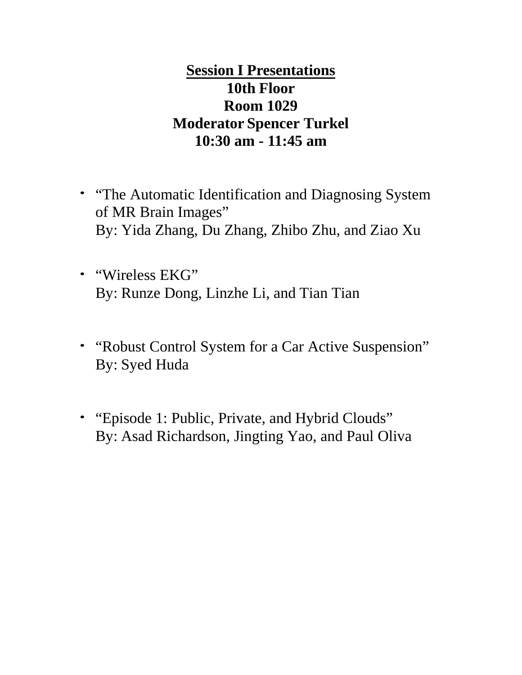# **Session I Presentations 10th Floor Room 1029 Moderator Spencer Turkel 10:30 am - 11:45 am**

- "The Automatic Identification and Diagnosing System of MR Brain Images" By: Yida Zhang, Du Zhang, Zhibo Zhu, and Ziao Xu
- "Wireless EKG" By: Runze Dong, Linzhe Li, and Tian Tian
- "Robust Control System for a Car Active Suspension" By: Syed Huda
- "Episode 1: Public, Private, and Hybrid Clouds" By: Asad Richardson, Jingting Yao, and Paul Oliva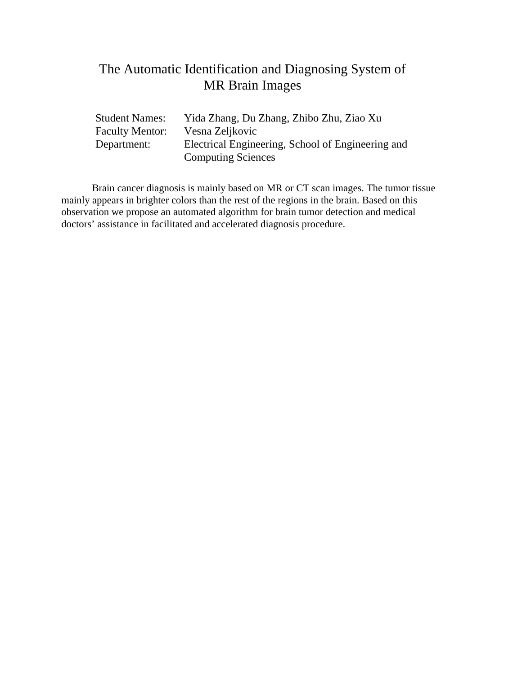#### The Automatic Identification and Diagnosing System of MR Brain Images

| Student Names:         | Yida Zhang, Du Zhang, Zhibo Zhu, Ziao Xu          |
|------------------------|---------------------------------------------------|
| <b>Faculty Mentor:</b> | Vesna Zeljkovic                                   |
| Department:            | Electrical Engineering, School of Engineering and |
|                        | <b>Computing Sciences</b>                         |

Brain cancer diagnosis is mainly based on MR or CT scan images. The tumor tissue mainly appears in brighter colors than the rest of the regions in the brain. Based on this observation we propose an automated algorithm for brain tumor detection and medical doctors' assistance in facilitated and accelerated diagnosis procedure.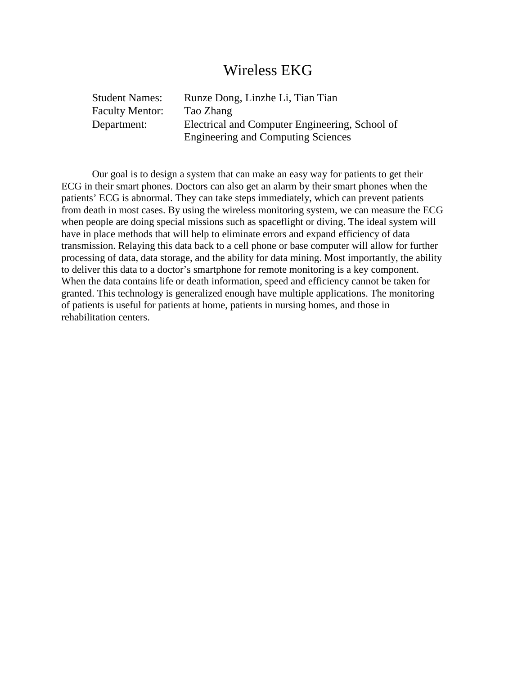#### Wireless EKG

| <b>Student Names:</b>  | Runze Dong, Linzhe Li, Tian Tian               |
|------------------------|------------------------------------------------|
| <b>Faculty Mentor:</b> | Tao Zhang                                      |
| Department:            | Electrical and Computer Engineering, School of |
|                        | <b>Engineering and Computing Sciences</b>      |

Our goal is to design a system that can make an easy way for patients to get their ECG in their smart phones. Doctors can also get an alarm by their smart phones when the patients' ECG is abnormal. They can take steps immediately, which can prevent patients from death in most cases. By using the wireless monitoring system, we can measure the ECG when people are doing special missions such as spaceflight or diving. The ideal system will have in place methods that will help to eliminate errors and expand efficiency of data transmission. Relaying this data back to a cell phone or base computer will allow for further processing of data, data storage, and the ability for data mining. Most importantly, the ability to deliver this data to a doctor's smartphone for remote monitoring is a key component. When the data contains life or death information, speed and efficiency cannot be taken for granted. This technology is generalized enough have multiple applications. The monitoring of patients is useful for patients at home, patients in nursing homes, and those in rehabilitation centers.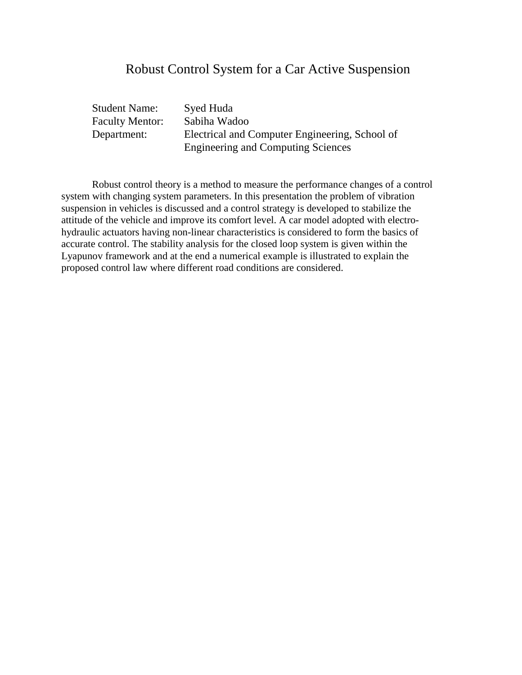#### Robust Control System for a Car Active Suspension

| <b>Student Name:</b>   | Syed Huda                                      |
|------------------------|------------------------------------------------|
| <b>Faculty Mentor:</b> | Sabiha Wadoo                                   |
| Department:            | Electrical and Computer Engineering, School of |
|                        | <b>Engineering and Computing Sciences</b>      |

Robust control theory is a method to measure the performance changes of a control system with changing system parameters. In this presentation the problem of vibration suspension in vehicles is discussed and a control strategy is developed to stabilize the attitude of the vehicle and improve its comfort level. A car model adopted with electrohydraulic actuators having non-linear characteristics is considered to form the basics of accurate control. The stability analysis for the closed loop system is given within the Lyapunov framework and at the end a numerical example is illustrated to explain the proposed control law where different road conditions are considered.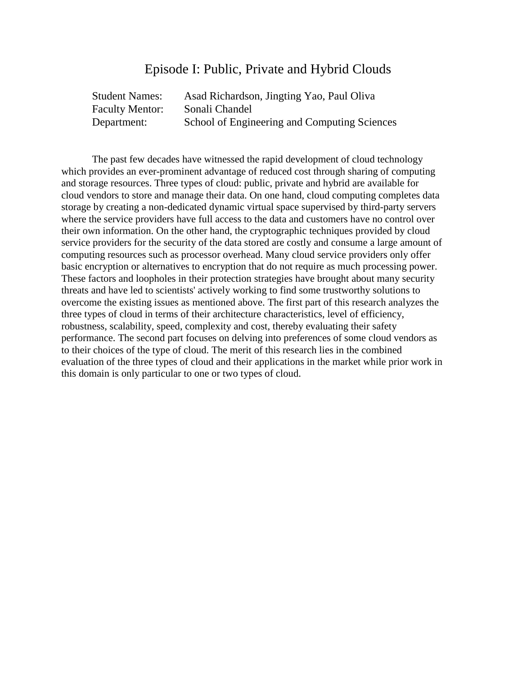#### Episode I: Public, Private and Hybrid Clouds

| <b>Student Names:</b>  | Asad Richardson, Jingting Yao, Paul Oliva    |
|------------------------|----------------------------------------------|
| <b>Faculty Mentor:</b> | Sonali Chandel                               |
| Department:            | School of Engineering and Computing Sciences |

The past few decades have witnessed the rapid development of cloud technology which provides an ever-prominent advantage of reduced cost through sharing of computing and storage resources. Three types of cloud: public, private and hybrid are available for cloud vendors to store and manage their data. On one hand, cloud computing completes data storage by creating a non-dedicated dynamic virtual space supervised by third-party servers where the service providers have full access to the data and customers have no control over their own information. On the other hand, the cryptographic techniques provided by cloud service providers for the security of the data stored are costly and consume a large amount of computing resources such as processor overhead. Many cloud service providers only offer basic encryption or alternatives to encryption that do not require as much processing power. These factors and loopholes in their protection strategies have brought about many security threats and have led to scientists' actively working to find some trustworthy solutions to overcome the existing issues as mentioned above. The first part of this research analyzes the three types of cloud in terms of their architecture characteristics, level of efficiency, robustness, scalability, speed, complexity and cost, thereby evaluating their safety performance. The second part focuses on delving into preferences of some cloud vendors as to their choices of the type of cloud. The merit of this research lies in the combined evaluation of the three types of cloud and their applications in the market while prior work in this domain is only particular to one or two types of cloud.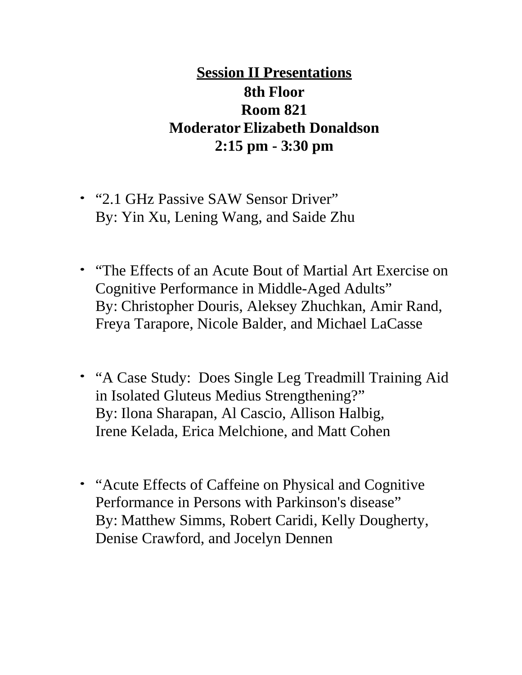# **Session II Presentations 8th Floor Room 821 Moderator Elizabeth Donaldson 2:15 pm - 3:30 pm**

- "2.1 GHz Passive SAW Sensor Driver" By: Yin Xu, Lening Wang, and Saide Zhu
- "The Effects of an Acute Bout of Martial Art Exercise on Cognitive Performance in Middle-Aged Adults" By: Christopher Douris, Aleksey Zhuchkan, Amir Rand, Freya Tarapore, Nicole Balder, and Michael LaCasse
- "A Case Study: Does Single Leg Treadmill Training Aid in Isolated Gluteus Medius Strengthening?" By: Ilona Sharapan, Al Cascio, Allison Halbig, Irene Kelada, Erica Melchione, and Matt Cohen
- "Acute Effects of Caffeine on Physical and Cognitive Performance in Persons with Parkinson's disease" By: Matthew Simms, Robert Caridi, Kelly Dougherty, Denise Crawford, and Jocelyn Dennen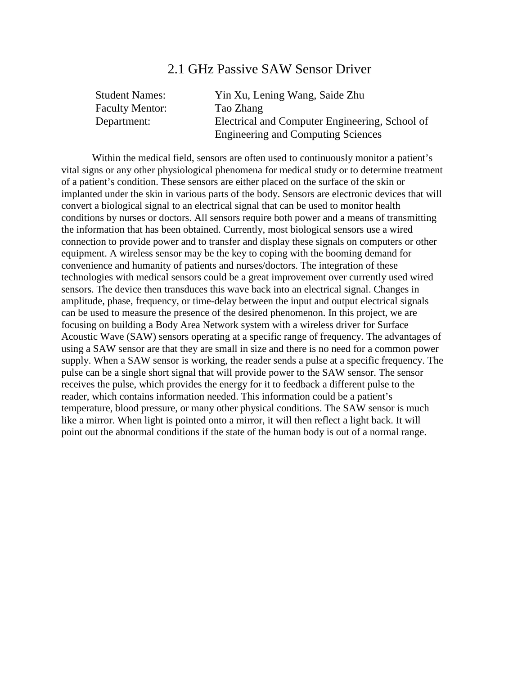#### 2.1 GHz Passive SAW Sensor Driver

| <b>Student Names:</b>  | Yin Xu, Lening Wang, Saide Zhu                 |
|------------------------|------------------------------------------------|
| <b>Faculty Mentor:</b> | Tao Zhang                                      |
| Department:            | Electrical and Computer Engineering, School of |
|                        | <b>Engineering and Computing Sciences</b>      |

Within the medical field, sensors are often used to continuously monitor a patient's vital signs or any other physiological phenomena for medical study or to determine treatment of a patient's condition. These sensors are either placed on the surface of the skin or implanted under the skin in various parts of the body. Sensors are electronic devices that will convert a biological signal to an electrical signal that can be used to monitor health conditions by nurses or doctors. All sensors require both power and a means of transmitting the information that has been obtained. Currently, most biological sensors use a wired connection to provide power and to transfer and display these signals on computers or other equipment. A wireless sensor may be the key to coping with the booming demand for convenience and humanity of patients and nurses/doctors. The integration of these technologies with medical sensors could be a great improvement over currently used wired sensors. The device then transduces this wave back into an electrical signal. Changes in amplitude, phase, frequency, or time-delay between the input and output electrical signals can be used to measure the presence of the desired phenomenon. In this project, we are focusing on building a Body Area Network system with a wireless driver for Surface Acoustic Wave (SAW) sensors operating at a specific range of frequency. The advantages of using a SAW sensor are that they are small in size and there is no need for a common power supply. When a SAW sensor is working, the reader sends a pulse at a specific frequency. The pulse can be a single short signal that will provide power to the SAW sensor. The sensor receives the pulse, which provides the energy for it to feedback a different pulse to the reader, which contains information needed. This information could be a patient's temperature, blood pressure, or many other physical conditions. The SAW sensor is much like a mirror. When light is pointed onto a mirror, it will then reflect a light back. It will point out the abnormal conditions if the state of the human body is out of a normal range.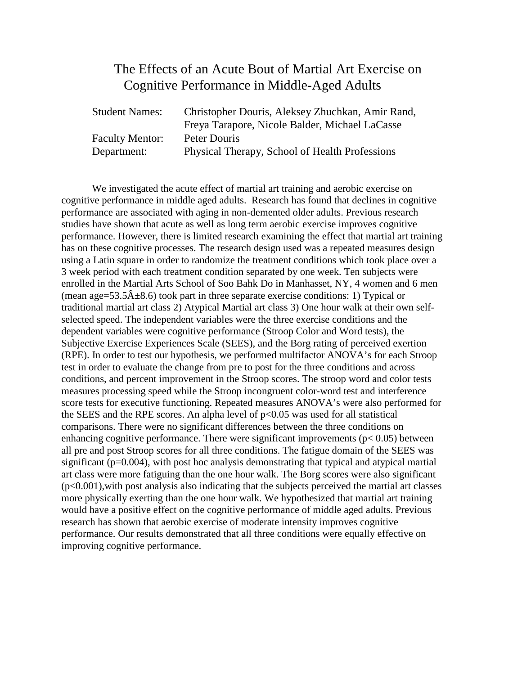#### The Effects of an Acute Bout of Martial Art Exercise on Cognitive Performance in Middle-Aged Adults

| <b>Student Names:</b>  | Christopher Douris, Aleksey Zhuchkan, Amir Rand, |
|------------------------|--------------------------------------------------|
|                        | Freya Tarapore, Nicole Balder, Michael LaCasse   |
| <b>Faculty Mentor:</b> | Peter Douris                                     |
| Department:            | Physical Therapy, School of Health Professions   |

We investigated the acute effect of martial art training and aerobic exercise on cognitive performance in middle aged adults. Research has found that declines in cognitive performance are associated with aging in non-demented older adults. Previous research studies have shown that acute as well as long term aerobic exercise improves cognitive performance. However, there is limited research examining the effect that martial art training has on these cognitive processes. The research design used was a repeated measures design using a Latin square in order to randomize the treatment conditions which took place over a 3 week period with each treatment condition separated by one week. Ten subjects were enrolled in the Martial Arts School of Soo Bahk Do in Manhasset, NY, 4 women and 6 men (mean age=53.5 $\hat{A}$ ±8.6) took part in three separate exercise conditions: 1) Typical or traditional martial art class 2) Atypical Martial art class 3) One hour walk at their own selfselected speed. The independent variables were the three exercise conditions and the dependent variables were cognitive performance (Stroop Color and Word tests), the Subjective Exercise Experiences Scale (SEES), and the Borg rating of perceived exertion (RPE). In order to test our hypothesis, we performed multifactor ANOVA's for each Stroop test in order to evaluate the change from pre to post for the three conditions and across conditions, and percent improvement in the Stroop scores. The stroop word and color tests measures processing speed while the Stroop incongruent color-word test and interference score tests for executive functioning. Repeated measures ANOVA's were also performed for the SEES and the RPE scores. An alpha level of  $p<0.05$  was used for all statistical comparisons. There were no significant differences between the three conditions on enhancing cognitive performance. There were significant improvements ( $p < 0.05$ ) between all pre and post Stroop scores for all three conditions. The fatigue domain of the SEES was significant (p=0.004), with post hoc analysis demonstrating that typical and atypical martial art class were more fatiguing than the one hour walk. The Borg scores were also significant (p<0.001),with post analysis also indicating that the subjects perceived the martial art classes more physically exerting than the one hour walk. We hypothesized that martial art training would have a positive effect on the cognitive performance of middle aged adults. Previous research has shown that aerobic exercise of moderate intensity improves cognitive performance. Our results demonstrated that all three conditions were equally effective on improving cognitive performance.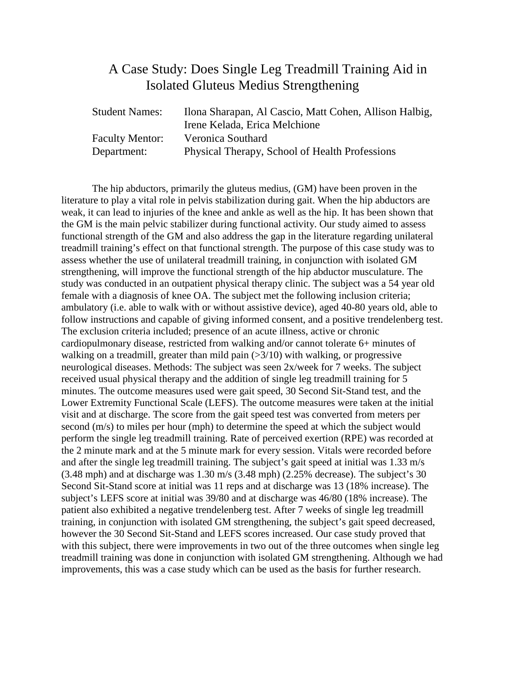#### A Case Study: Does Single Leg Treadmill Training Aid in Isolated Gluteus Medius Strengthening

| <b>Student Names:</b>  | Ilona Sharapan, Al Cascio, Matt Cohen, Allison Halbig, |
|------------------------|--------------------------------------------------------|
|                        | Irene Kelada, Erica Melchione                          |
| <b>Faculty Mentor:</b> | Veronica Southard                                      |
| Department:            | Physical Therapy, School of Health Professions         |

The hip abductors, primarily the gluteus medius, (GM) have been proven in the literature to play a vital role in pelvis stabilization during gait. When the hip abductors are weak, it can lead to injuries of the knee and ankle as well as the hip. It has been shown that the GM is the main pelvic stabilizer during functional activity. Our study aimed to assess functional strength of the GM and also address the gap in the literature regarding unilateral treadmill training's effect on that functional strength. The purpose of this case study was to assess whether the use of unilateral treadmill training, in conjunction with isolated GM strengthening, will improve the functional strength of the hip abductor musculature. The study was conducted in an outpatient physical therapy clinic. The subject was a 54 year old female with a diagnosis of knee OA. The subject met the following inclusion criteria; ambulatory (i.e. able to walk with or without assistive device), aged 40-80 years old, able to follow instructions and capable of giving informed consent, and a positive trendelenberg test. The exclusion criteria included; presence of an acute illness, active or chronic cardiopulmonary disease, restricted from walking and/or cannot tolerate 6+ minutes of walking on a treadmill, greater than mild pain (>3/10) with walking, or progressive neurological diseases. Methods: The subject was seen 2x/week for 7 weeks. The subject received usual physical therapy and the addition of single leg treadmill training for 5 minutes. The outcome measures used were gait speed, 30 Second Sit-Stand test, and the Lower Extremity Functional Scale (LEFS). The outcome measures were taken at the initial visit and at discharge. The score from the gait speed test was converted from meters per second (m/s) to miles per hour (mph) to determine the speed at which the subject would perform the single leg treadmill training. Rate of perceived exertion (RPE) was recorded at the 2 minute mark and at the 5 minute mark for every session. Vitals were recorded before and after the single leg treadmill training. The subject's gait speed at initial was 1.33 m/s (3.48 mph) and at discharge was 1.30 m/s (3.48 mph) (2.25% decrease). The subject's 30 Second Sit-Stand score at initial was 11 reps and at discharge was 13 (18% increase). The subject's LEFS score at initial was 39/80 and at discharge was 46/80 (18% increase). The patient also exhibited a negative trendelenberg test. After 7 weeks of single leg treadmill training, in conjunction with isolated GM strengthening, the subject's gait speed decreased, however the 30 Second Sit-Stand and LEFS scores increased. Our case study proved that with this subject, there were improvements in two out of the three outcomes when single leg treadmill training was done in conjunction with isolated GM strengthening. Although we had improvements, this was a case study which can be used as the basis for further research.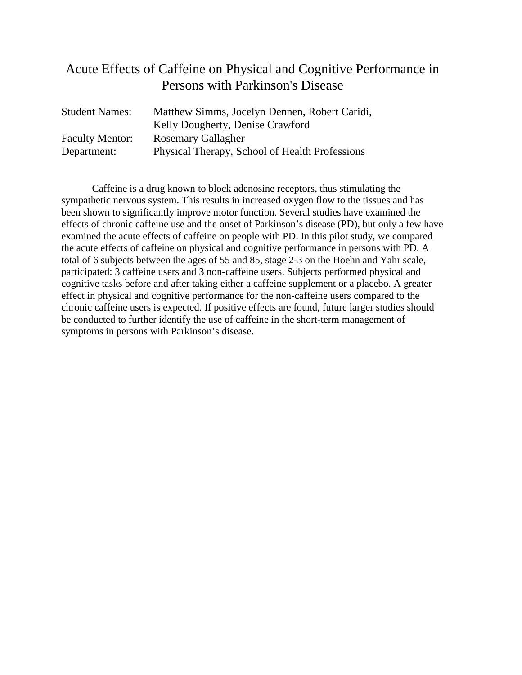#### Acute Effects of Caffeine on Physical and Cognitive Performance in Persons with Parkinson's Disease

| <b>Student Names:</b>  | Matthew Simms, Jocelyn Dennen, Robert Caridi,  |
|------------------------|------------------------------------------------|
|                        | Kelly Dougherty, Denise Crawford               |
| <b>Faculty Mentor:</b> | <b>Rosemary Gallagher</b>                      |
| Department:            | Physical Therapy, School of Health Professions |

Caffeine is a drug known to block adenosine receptors, thus stimulating the sympathetic nervous system. This results in increased oxygen flow to the tissues and has been shown to significantly improve motor function. Several studies have examined the effects of chronic caffeine use and the onset of Parkinson's disease (PD), but only a few have examined the acute effects of caffeine on people with PD. In this pilot study, we compared the acute effects of caffeine on physical and cognitive performance in persons with PD. A total of 6 subjects between the ages of 55 and 85, stage 2-3 on the Hoehn and Yahr scale, participated: 3 caffeine users and 3 non-caffeine users. Subjects performed physical and cognitive tasks before and after taking either a caffeine supplement or a placebo. A greater effect in physical and cognitive performance for the non-caffeine users compared to the chronic caffeine users is expected. If positive effects are found, future larger studies should be conducted to further identify the use of caffeine in the short-term management of symptoms in persons with Parkinson's disease.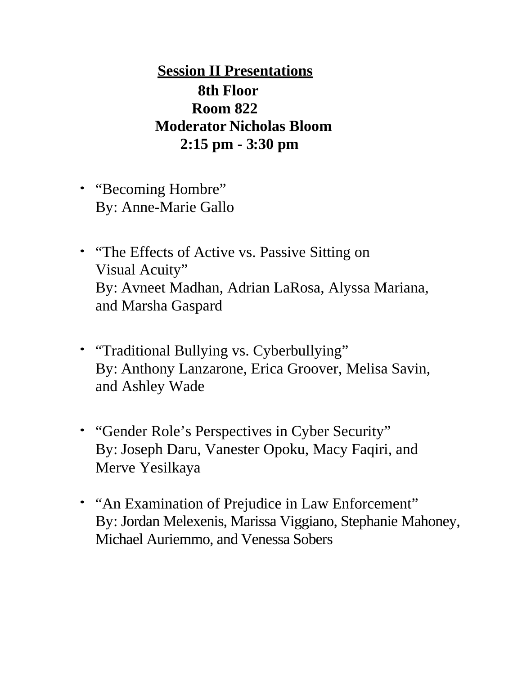**Session II Presentations 8th Floor Room 822 Moderator Nicholas Bloom 2:15 pm - 3:30 pm**

- "Becoming Hombre" By: Anne-Marie Gallo
- "The Effects of Active vs. Passive Sitting on Visual Acuity" By: Avneet Madhan, Adrian LaRosa, Alyssa Mariana, and Marsha Gaspard
- "Traditional Bullying vs. Cyberbullying" By: Anthony Lanzarone, Erica Groover, Melisa Savin, and Ashley Wade
- "Gender Role's Perspectives in Cyber Security" By: Joseph Daru, Vanester Opoku, Macy Faqiri, and Merve Yesilkaya
- "An Examination of Prejudice in Law Enforcement" By: Jordan Melexenis, Marissa Viggiano, Stephanie Mahoney, Michael Auriemmo, and Venessa Sobers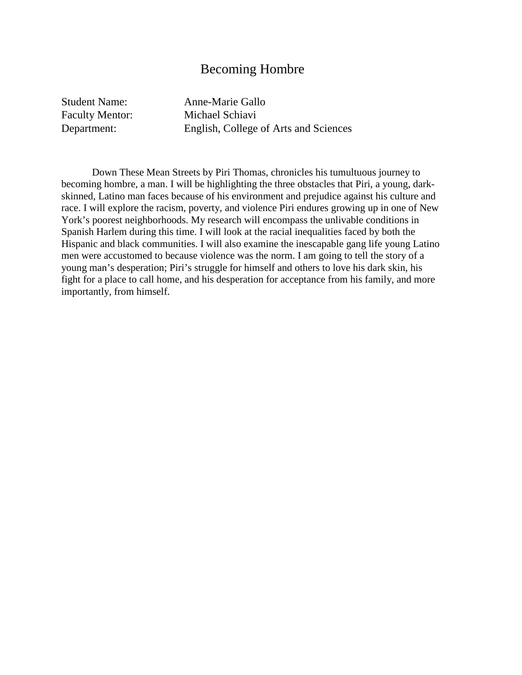#### Becoming Hombre

Student Name: Anne-Marie Gallo

Faculty Mentor: Michael Schiavi Department: English, College of Arts and Sciences

Down These Mean Streets by Piri Thomas, chronicles his tumultuous journey to becoming hombre, a man. I will be highlighting the three obstacles that Piri, a young, darkskinned, Latino man faces because of his environment and prejudice against his culture and race. I will explore the racism, poverty, and violence Piri endures growing up in one of New York's poorest neighborhoods. My research will encompass the unlivable conditions in Spanish Harlem during this time. I will look at the racial inequalities faced by both the Hispanic and black communities. I will also examine the inescapable gang life young Latino men were accustomed to because violence was the norm. I am going to tell the story of a young man's desperation; Piri's struggle for himself and others to love his dark skin, his fight for a place to call home, and his desperation for acceptance from his family, and more importantly, from himself.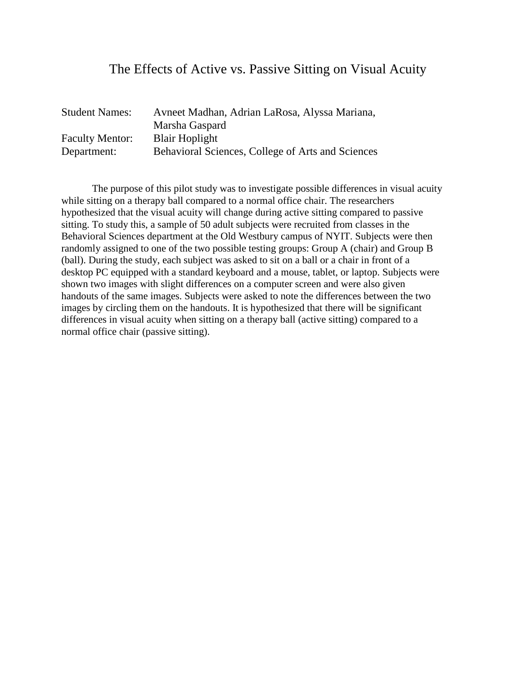#### The Effects of Active vs. Passive Sitting on Visual Acuity

| <b>Student Names:</b>  | Avneet Madhan, Adrian LaRosa, Alyssa Mariana,     |
|------------------------|---------------------------------------------------|
|                        | Marsha Gaspard                                    |
| <b>Faculty Mentor:</b> | <b>Blair Hoplight</b>                             |
| Department:            | Behavioral Sciences, College of Arts and Sciences |

The purpose of this pilot study was to investigate possible differences in visual acuity while sitting on a therapy ball compared to a normal office chair. The researchers hypothesized that the visual acuity will change during active sitting compared to passive sitting. To study this, a sample of 50 adult subjects were recruited from classes in the Behavioral Sciences department at the Old Westbury campus of NYIT. Subjects were then randomly assigned to one of the two possible testing groups: Group A (chair) and Group B (ball). During the study, each subject was asked to sit on a ball or a chair in front of a desktop PC equipped with a standard keyboard and a mouse, tablet, or laptop. Subjects were shown two images with slight differences on a computer screen and were also given handouts of the same images. Subjects were asked to note the differences between the two images by circling them on the handouts. It is hypothesized that there will be significant differences in visual acuity when sitting on a therapy ball (active sitting) compared to a normal office chair (passive sitting).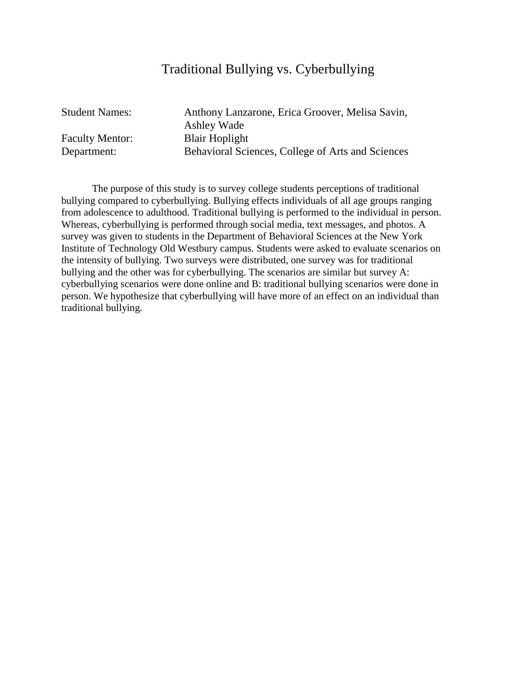### Traditional Bullying vs. Cyberbullying

| <b>Student Names:</b>  | Anthony Lanzarone, Erica Groover, Melisa Savin,   |
|------------------------|---------------------------------------------------|
|                        | Ashley Wade                                       |
| <b>Faculty Mentor:</b> | <b>Blair Hoplight</b>                             |
| Department:            | Behavioral Sciences, College of Arts and Sciences |

The purpose of this study is to survey college students perceptions of traditional bullying compared to cyberbullying. Bullying effects individuals of all age groups ranging from adolescence to adulthood. Traditional bullying is performed to the individual in person. Whereas, cyberbullying is performed through social media, text messages, and photos. A survey was given to students in the Department of Behavioral Sciences at the New York Institute of Technology Old Westbury campus. Students were asked to evaluate scenarios on the intensity of bullying. Two surveys were distributed, one survey was for traditional bullying and the other was for cyberbullying. The scenarios are similar but survey A: cyberbullying scenarios were done online and B: traditional bullying scenarios were done in person. We hypothesize that cyberbullying will have more of an effect on an individual than traditional bullying.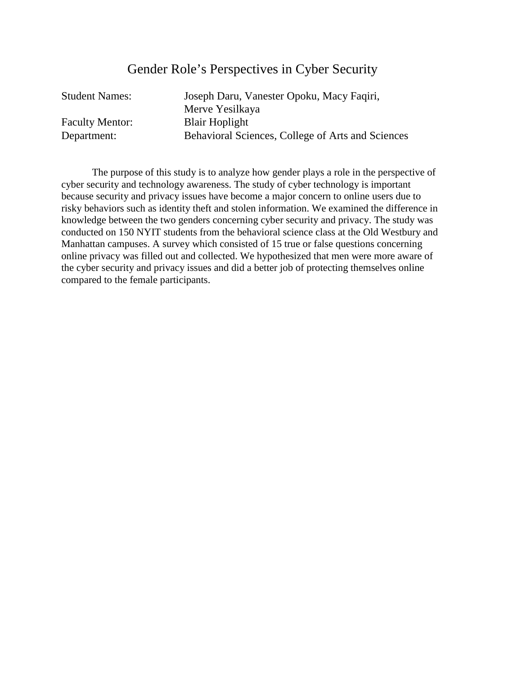### Gender Role's Perspectives in Cyber Security

| Joseph Daru, Vanester Opoku, Macy Faqiri,         |
|---------------------------------------------------|
| Merve Yesilkaya                                   |
| <b>Blair Hoplight</b>                             |
| Behavioral Sciences, College of Arts and Sciences |
|                                                   |

The purpose of this study is to analyze how gender plays a role in the perspective of cyber security and technology awareness. The study of cyber technology is important because security and privacy issues have become a major concern to online users due to risky behaviors such as identity theft and stolen information. We examined the difference in knowledge between the two genders concerning cyber security and privacy. The study was conducted on 150 NYIT students from the behavioral science class at the Old Westbury and Manhattan campuses. A survey which consisted of 15 true or false questions concerning online privacy was filled out and collected. We hypothesized that men were more aware of the cyber security and privacy issues and did a better job of protecting themselves online compared to the female participants.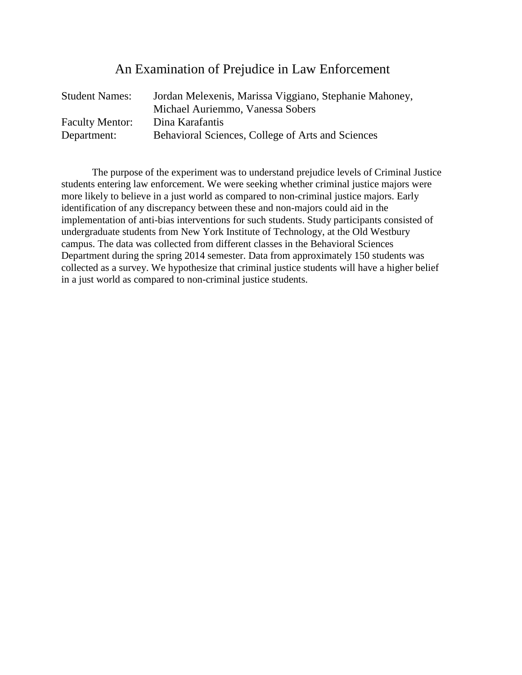### An Examination of Prejudice in Law Enforcement

| <b>Student Names:</b>  | Jordan Melexenis, Marissa Viggiano, Stephanie Mahoney, |
|------------------------|--------------------------------------------------------|
|                        | Michael Auriemmo, Vanessa Sobers                       |
| <b>Faculty Mentor:</b> | Dina Karafantis                                        |
| Department:            | Behavioral Sciences, College of Arts and Sciences      |

The purpose of the experiment was to understand prejudice levels of Criminal Justice students entering law enforcement. We were seeking whether criminal justice majors were more likely to believe in a just world as compared to non-criminal justice majors. Early identification of any discrepancy between these and non-majors could aid in the implementation of anti-bias interventions for such students. Study participants consisted of undergraduate students from New York Institute of Technology, at the Old Westbury campus. The data was collected from different classes in the Behavioral Sciences Department during the spring 2014 semester. Data from approximately 150 students was collected as a survey. We hypothesize that criminal justice students will have a higher belief in a just world as compared to non-criminal justice students.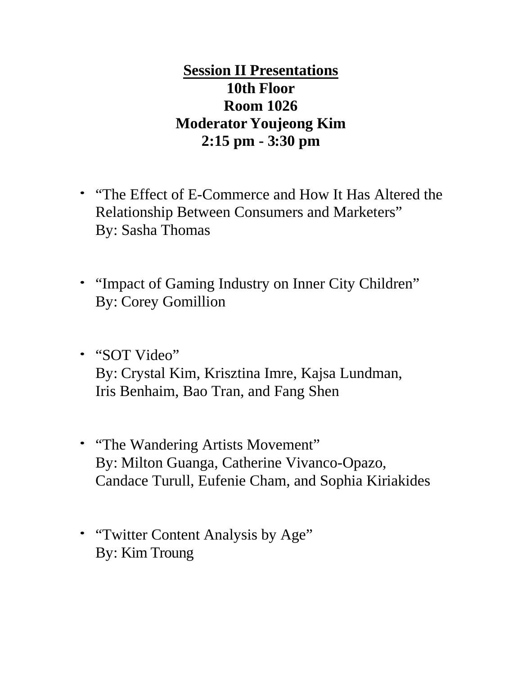**Session II Presentations 10th Floor Room 1026 Moderator Youjeong Kim 2:15 pm - 3:30 pm**

- "The Effect of E-Commerce and How It Has Altered the Relationship Between Consumers and Marketers" By: Sasha Thomas
- "Impact of Gaming Industry on Inner City Children" By: Corey Gomillion
- "SOT Video" By: Crystal Kim, Krisztina Imre, Kajsa Lundman, Iris Benhaim, Bao Tran, and Fang Shen
- "The Wandering Artists Movement" By: Milton Guanga, Catherine Vivanco-Opazo, Candace Turull, Eufenie Cham, and Sophia Kiriakides
- "Twitter Content Analysis by Age" By: Kim Troung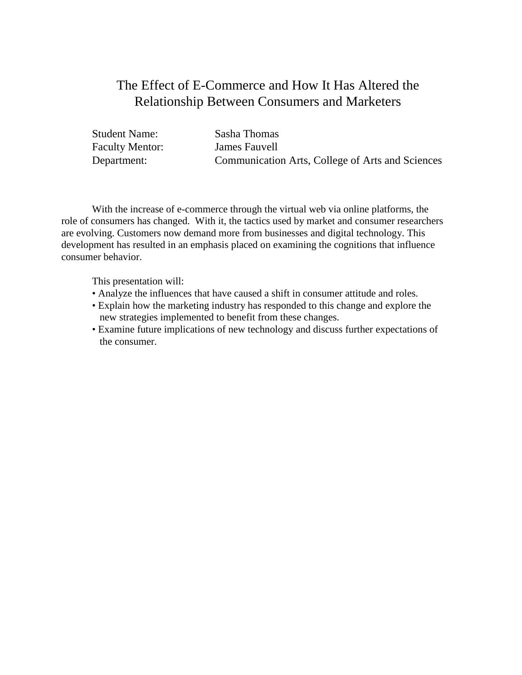## The Effect of E-Commerce and How It Has Altered the Relationship Between Consumers and Marketers

| <b>Student Name:</b>   | Sasha Thomas                                     |
|------------------------|--------------------------------------------------|
| <b>Faculty Mentor:</b> | James Fauvell                                    |
| Department:            | Communication Arts, College of Arts and Sciences |

With the increase of e-commerce through the virtual web via online platforms, the role of consumers has changed. With it, the tactics used by market and consumer researchers are evolving. Customers now demand more from businesses and digital technology. This development has resulted in an emphasis placed on examining the cognitions that influence consumer behavior.

This presentation will:

- Analyze the influences that have caused a shift in consumer attitude and roles.
- Explain how the marketing industry has responded to this change and explore the new strategies implemented to benefit from these changes.
- Examine future implications of new technology and discuss further expectations of the consumer.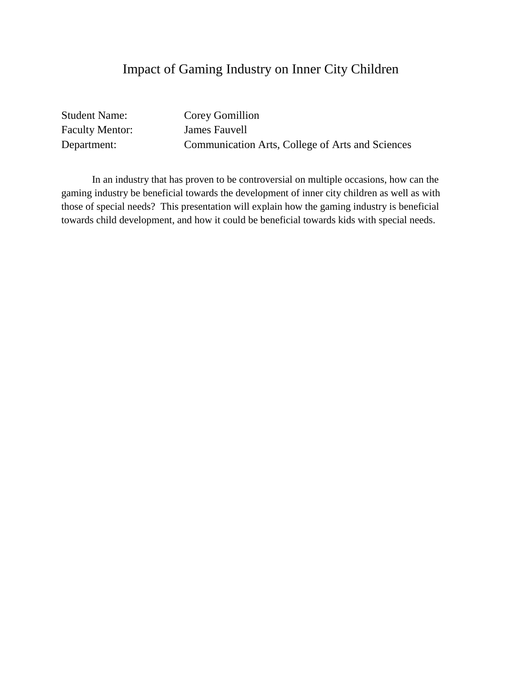## Impact of Gaming Industry on Inner City Children

| <b>Student Name:</b>   | Corey Gomillion                                  |
|------------------------|--------------------------------------------------|
| <b>Faculty Mentor:</b> | James Fauvell                                    |
| Department:            | Communication Arts, College of Arts and Sciences |

In an industry that has proven to be controversial on multiple occasions, how can the gaming industry be beneficial towards the development of inner city children as well as with those of special needs? This presentation will explain how the gaming industry is beneficial towards child development, and how it could be beneficial towards kids with special needs.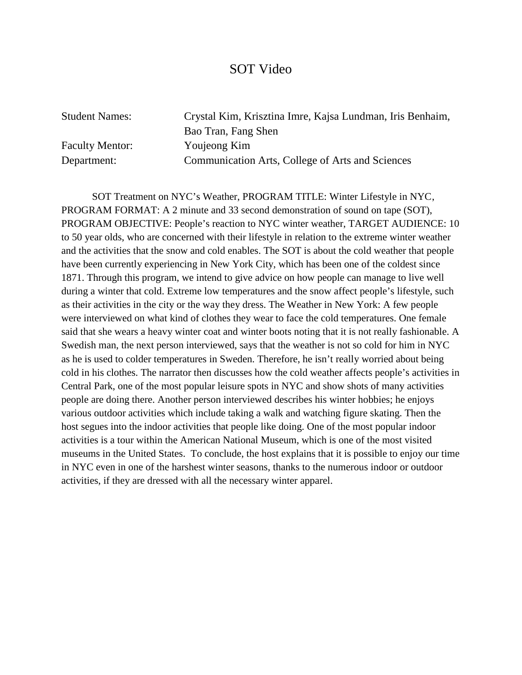#### SOT Video

Faculty Mentor: Youjeong Kim

Student Names: Crystal Kim, Krisztina Imre, Kajsa Lundman, Iris Benhaim, Bao Tran, Fang Shen Department: Communication Arts, College of Arts and Sciences

SOT Treatment on NYC's Weather, PROGRAM TITLE: Winter Lifestyle in NYC' PROGRAM FORMAT: A 2 minute and 33 second demonstration of sound on tape (SOT), PROGRAM OBJECTIVE: People's reaction to NYC winter weather, TARGET AUDIENCE: 10 to 50 year olds, who are concerned with their lifestyle in relation to the extreme winter weather and the activities that the snow and cold enables. The SOT is about the cold weather that people have been currently experiencing in New York City, which has been one of the coldest since 1871. Through this program, we intend to give advice on how people can manage to live well during a winter that cold. Extreme low temperatures and the snow affect people's lifestyle, such as their activities in the city or the way they dress. The Weather in New York: A few people were interviewed on what kind of clothes they wear to face the cold temperatures. One female said that she wears a heavy winter coat and winter boots noting that it is not really fashionable. A Swedish man, the next person interviewed, says that the weather is not so cold for him in NYC as he is used to colder temperatures in Sweden. Therefore, he isn't really worried about being cold in his clothes. The narrator then discusses how the cold weather affects people's activities in Central Park, one of the most popular leisure spots in NYC and show shots of many activities people are doing there. Another person interviewed describes his winter hobbies; he enjoys various outdoor activities which include taking a walk and watching figure skating. Then the host segues into the indoor activities that people like doing. One of the most popular indoor activities is a tour within the American National Museum, which is one of the most visited museums in the United States. To conclude, the host explains that it is possible to enjoy our time in NYC even in one of the harshest winter seasons, thanks to the numerous indoor or outdoor activities, if they are dressed with all the necessary winter apparel.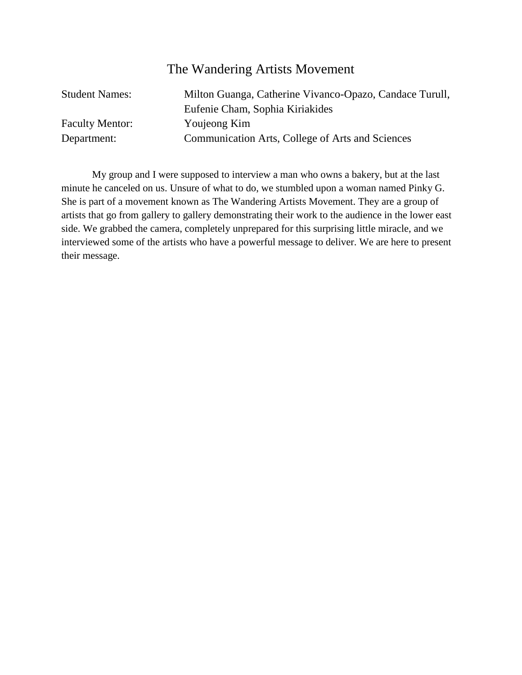#### The Wandering Artists Movement

| <b>Student Names:</b>  | Milton Guanga, Catherine Vivanco-Opazo, Candace Turull, |
|------------------------|---------------------------------------------------------|
|                        | Eufenie Cham, Sophia Kiriakides                         |
| <b>Faculty Mentor:</b> | Youjeong Kim                                            |
| Department:            | Communication Arts, College of Arts and Sciences        |

My group and I were supposed to interview a man who owns a bakery, but at the last minute he canceled on us. Unsure of what to do, we stumbled upon a woman named Pinky G. She is part of a movement known as The Wandering Artists Movement. They are a group of artists that go from gallery to gallery demonstrating their work to the audience in the lower east side. We grabbed the camera, completely unprepared for this surprising little miracle, and we interviewed some of the artists who have a powerful message to deliver. We are here to present their message.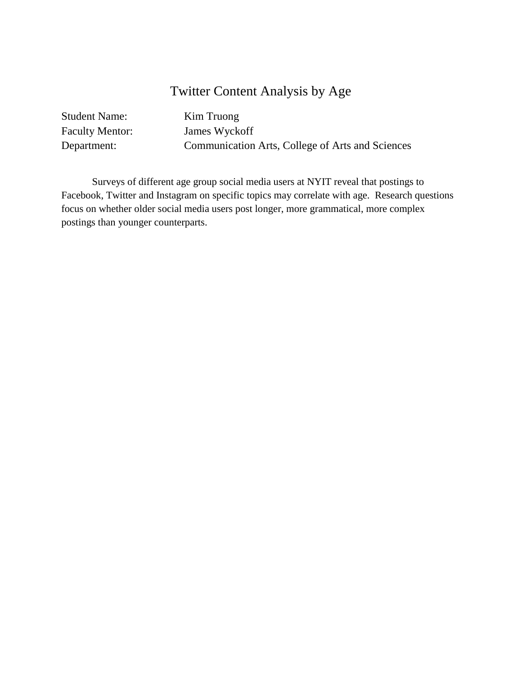## Twitter Content Analysis by Age

| <b>Student Name:</b>   | Kim Truong                                       |
|------------------------|--------------------------------------------------|
| <b>Faculty Mentor:</b> | James Wyckoff                                    |
| Department:            | Communication Arts, College of Arts and Sciences |

Surveys of different age group social media users at NYIT reveal that postings to Facebook, Twitter and Instagram on specific topics may correlate with age. Research questions focus on whether older social media users post longer, more grammatical, more complex postings than younger counterparts.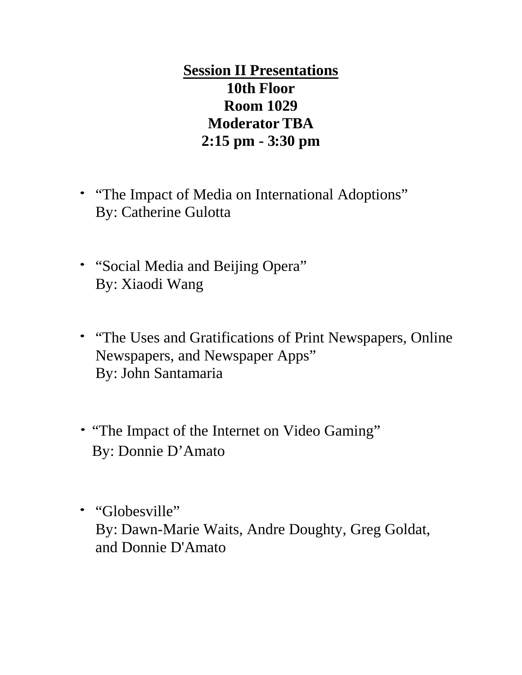**Session II Presentations 10th Floor Room 1029 Moderator TBA 2:15 pm - 3:30 pm**

- "The Impact of Media on International Adoptions" By: Catherine Gulotta
- "Social Media and Beijing Opera" By: Xiaodi Wang
- "The Uses and Gratifications of Print Newspapers, Online Newspapers, and Newspaper Apps" By: John Santamaria
- "The Impact of the Internet on Video Gaming" By: Donnie D'Amato
- "Globesville" By: Dawn-Marie Waits, Andre Doughty, Greg Goldat, and Donnie D'Amato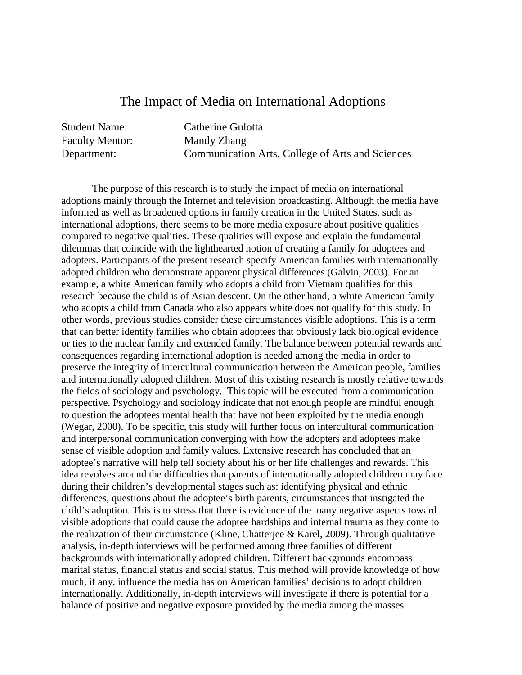#### The Impact of Media on International Adoptions

Student Name: Catherine Gulotta Faculty Mentor: Mandy Zhang Department: Communication Arts, College of Arts and Sciences

The purpose of this research is to study the impact of media on international adoptions mainly through the Internet and television broadcasting. Although the media have informed as well as broadened options in family creation in the United States, such as international adoptions, there seems to be more media exposure about positive qualities compared to negative qualities. These qualities will expose and explain the fundamental dilemmas that coincide with the lighthearted notion of creating a family for adoptees and adopters. Participants of the present research specify American families with internationally adopted children who demonstrate apparent physical differences (Galvin, 2003). For an example, a white American family who adopts a child from Vietnam qualifies for this research because the child is of Asian descent. On the other hand, a white American family who adopts a child from Canada who also appears white does not qualify for this study. In other words, previous studies consider these circumstances visible adoptions. This is a term that can better identify families who obtain adoptees that obviously lack biological evidence or ties to the nuclear family and extended family. The balance between potential rewards and consequences regarding international adoption is needed among the media in order to preserve the integrity of intercultural communication between the American people, families and internationally adopted children. Most of this existing research is mostly relative towards the fields of sociology and psychology. This topic will be executed from a communication perspective. Psychology and sociology indicate that not enough people are mindful enough to question the adoptees mental health that have not been exploited by the media enough (Wegar, 2000). To be specific, this study will further focus on intercultural communication and interpersonal communication converging with how the adopters and adoptees make sense of visible adoption and family values. Extensive research has concluded that an adoptee's narrative will help tell society about his or her life challenges and rewards. This idea revolves around the difficulties that parents of internationally adopted children may face during their children's developmental stages such as: identifying physical and ethnic differences, questions about the adoptee's birth parents, circumstances that instigated the child's adoption. This is to stress that there is evidence of the many negative aspects toward visible adoptions that could cause the adoptee hardships and internal trauma as they come to the realization of their circumstance (Kline, Chatterjee & Karel, 2009). Through qualitative analysis, in-depth interviews will be performed among three families of different backgrounds with internationally adopted children. Different backgrounds encompass marital status, financial status and social status. This method will provide knowledge of how much, if any, influence the media has on American families' decisions to adopt children internationally. Additionally, in-depth interviews will investigate if there is potential for a balance of positive and negative exposure provided by the media among the masses.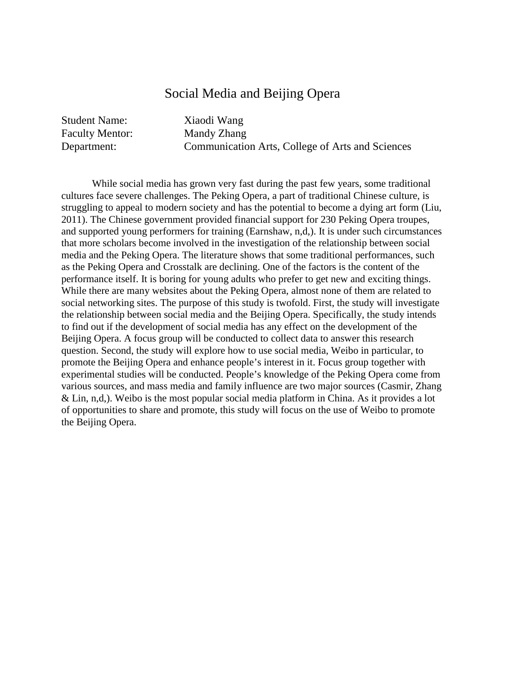#### Social Media and Beijing Opera

Student Name: Xiaodi Wang Faculty Mentor: Mandy Zhang

Department: Communication Arts, College of Arts and Sciences

While social media has grown very fast during the past few years, some traditional cultures face severe challenges. The Peking Opera, a part of traditional Chinese culture, is struggling to appeal to modern society and has the potential to become a dying art form (Liu, 2011). The Chinese government provided financial support for 230 Peking Opera troupes, and supported young performers for training (Earnshaw, n,d,). It is under such circumstances that more scholars become involved in the investigation of the relationship between social media and the Peking Opera. The literature shows that some traditional performances, such as the Peking Opera and Crosstalk are declining. One of the factors is the content of the performance itself. It is boring for young adults who prefer to get new and exciting things. While there are many websites about the Peking Opera, almost none of them are related to social networking sites. The purpose of this study is twofold. First, the study will investigate the relationship between social media and the Beijing Opera. Specifically, the study intends to find out if the development of social media has any effect on the development of the Beijing Opera. A focus group will be conducted to collect data to answer this research question. Second, the study will explore how to use social media, Weibo in particular, to promote the Beijing Opera and enhance people's interest in it. Focus group together with experimental studies will be conducted. People's knowledge of the Peking Opera come from various sources, and mass media and family influence are two major sources (Casmir, Zhang & Lin, n,d,). Weibo is the most popular social media platform in China. As it provides a lot of opportunities to share and promote, this study will focus on the use of Weibo to promote the Beijing Opera.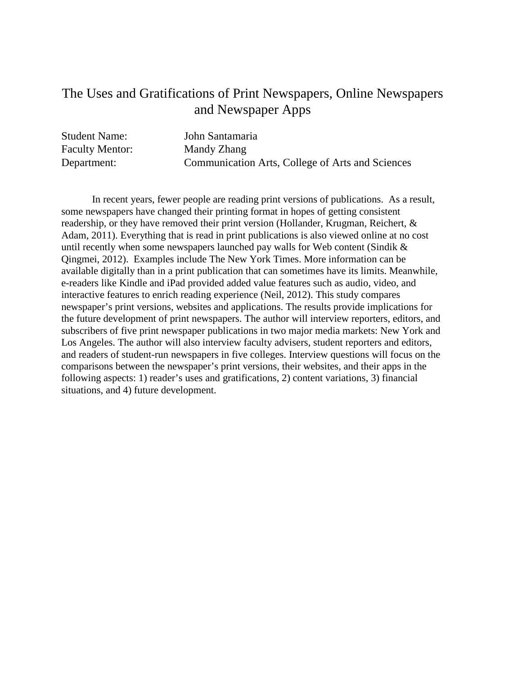#### The Uses and Gratifications of Print Newspapers, Online Newspapers and Newspaper Apps

| <b>Student Name:</b>   | John Santamaria                                  |
|------------------------|--------------------------------------------------|
| <b>Faculty Mentor:</b> | Mandy Zhang                                      |
| Department:            | Communication Arts, College of Arts and Sciences |

In recent years, fewer people are reading print versions of publications. As a result, some newspapers have changed their printing format in hopes of getting consistent readership, or they have removed their print version (Hollander, Krugman, Reichert, & Adam, 2011). Everything that is read in print publications is also viewed online at no cost until recently when some newspapers launched pay walls for Web content (Sindik & Qingmei, 2012). Examples include The New York Times. More information can be available digitally than in a print publication that can sometimes have its limits. Meanwhile, e-readers like Kindle and iPad provided added value features such as audio, video, and interactive features to enrich reading experience (Neil, 2012). This study compares newspaper's print versions, websites and applications. The results provide implications for the future development of print newspapers. The author will interview reporters, editors, and subscribers of five print newspaper publications in two major media markets: New York and Los Angeles. The author will also interview faculty advisers, student reporters and editors, and readers of student-run newspapers in five colleges. Interview questions will focus on the comparisons between the newspaper's print versions, their websites, and their apps in the following aspects: 1) reader's uses and gratifications, 2) content variations, 3) financial situations, and 4) future development.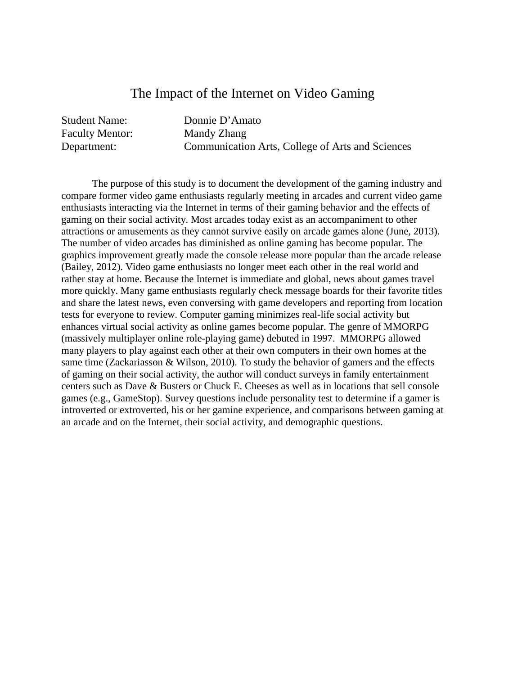#### The Impact of the Internet on Video Gaming

| <b>Student Name:</b>   | Donnie D'Amato                                   |
|------------------------|--------------------------------------------------|
| <b>Faculty Mentor:</b> | Mandy Zhang                                      |
| Department:            | Communication Arts, College of Arts and Sciences |

The purpose of this study is to document the development of the gaming industry and compare former video game enthusiasts regularly meeting in arcades and current video game enthusiasts interacting via the Internet in terms of their gaming behavior and the effects of gaming on their social activity. Most arcades today exist as an accompaniment to other attractions or amusements as they cannot survive easily on arcade games alone (June, 2013). The number of video arcades has diminished as online gaming has become popular. The graphics improvement greatly made the console release more popular than the arcade release (Bailey, 2012). Video game enthusiasts no longer meet each other in the real world and rather stay at home. Because the Internet is immediate and global, news about games travel more quickly. Many game enthusiasts regularly check message boards for their favorite titles and share the latest news, even conversing with game developers and reporting from location tests for everyone to review. Computer gaming minimizes real-life social activity but enhances virtual social activity as online games become popular. The genre of MMORPG (massively multiplayer online role-playing game) debuted in 1997. MMORPG allowed many players to play against each other at their own computers in their own homes at the same time (Zackariasson & Wilson, 2010). To study the behavior of gamers and the effects of gaming on their social activity, the author will conduct surveys in family entertainment centers such as Dave & Busters or Chuck E. Cheeses as well as in locations that sell console games (e.g., GameStop). Survey questions include personality test to determine if a gamer is introverted or extroverted, his or her gamine experience, and comparisons between gaming at an arcade and on the Internet, their social activity, and demographic questions.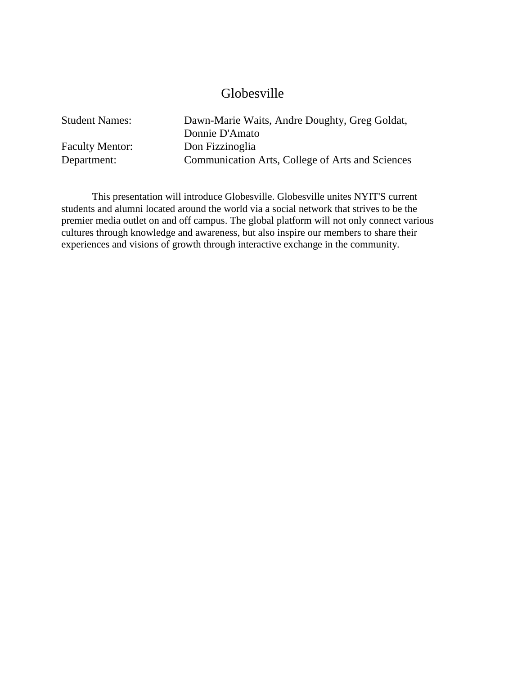#### Globesville

Student Names: Dawn-Marie Waits, Andre Doughty, Greg Goldat, Donnie D'Amato Faculty Mentor: Don Fizzinoglia Department: Communication Arts, College of Arts and Sciences

This presentation will introduce Globesville. Globesville unites NYIT'S current students and alumni located around the world via a social network that strives to be the premier media outlet on and off campus. The global platform will not only connect various cultures through knowledge and awareness, but also inspire our members to share their experiences and visions of growth through interactive exchange in the community.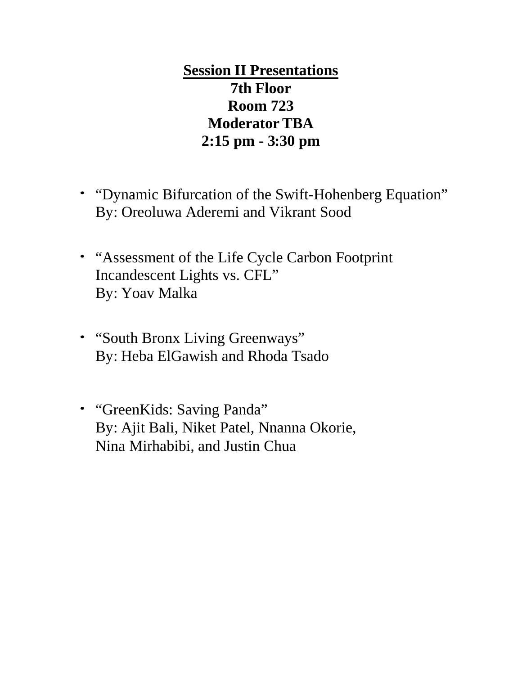**Session II Presentations 7th Floor Room 723 Moderator TBA 2:15 pm - 3:30 pm**

- "Dynamic Bifurcation of the Swift-Hohenberg Equation" By: Oreoluwa Aderemi and Vikrant Sood
- "Assessment of the Life Cycle Carbon Footprint Incandescent Lights vs. CFL" By: Yoav Malka
- "South Bronx Living Greenways" By: Heba ElGawish and Rhoda Tsado
- "GreenKids: Saving Panda" By: Ajit Bali, Niket Patel, Nnanna Okorie, Nina Mirhabibi, and Justin Chua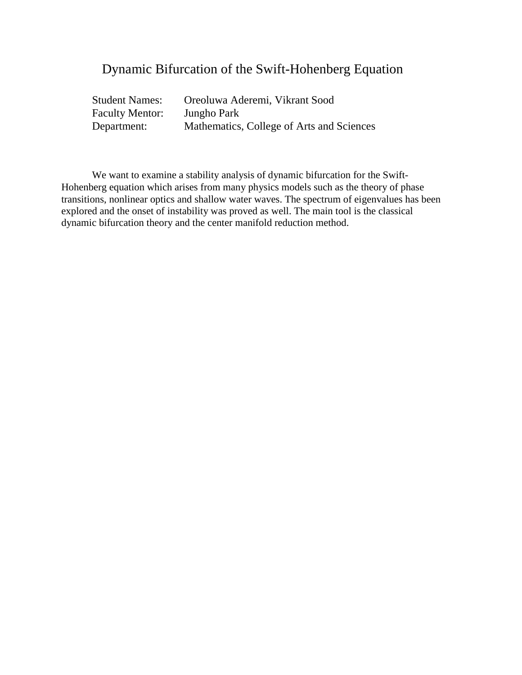## Dynamic Bifurcation of the Swift-Hohenberg Equation

| <b>Student Names:</b>  | Oreoluwa Aderemi, Vikrant Sood            |
|------------------------|-------------------------------------------|
| <b>Faculty Mentor:</b> | Jungho Park                               |
| Department:            | Mathematics, College of Arts and Sciences |

We want to examine a stability analysis of dynamic bifurcation for the Swift-Hohenberg equation which arises from many physics models such as the theory of phase transitions, nonlinear optics and shallow water waves. The spectrum of eigenvalues has been explored and the onset of instability was proved as well. The main tool is the classical dynamic bifurcation theory and the center manifold reduction method.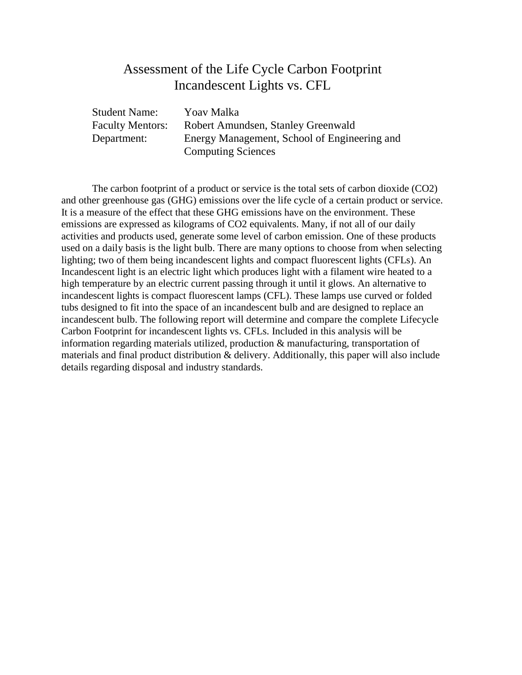#### Assessment of the Life Cycle Carbon Footprint Incandescent Lights vs. CFL

| <b>Student Name:</b>    | Yoav Malka                                   |
|-------------------------|----------------------------------------------|
| <b>Faculty Mentors:</b> | Robert Amundsen, Stanley Greenwald           |
| Department:             | Energy Management, School of Engineering and |
|                         | <b>Computing Sciences</b>                    |

The carbon footprint of a product or service is the total sets of carbon dioxide (CO2) and other greenhouse gas (GHG) emissions over the life cycle of a certain product or service. It is a measure of the effect that these GHG emissions have on the environment. These emissions are expressed as kilograms of CO2 equivalents. Many, if not all of our daily activities and products used, generate some level of carbon emission. One of these products used on a daily basis is the light bulb. There are many options to choose from when selecting lighting; two of them being incandescent lights and compact fluorescent lights (CFLs). An Incandescent light is an electric light which produces light with a filament wire heated to a high temperature by an electric current passing through it until it glows. An alternative to incandescent lights is compact fluorescent lamps (CFL). These lamps use curved or folded tubs designed to fit into the space of an incandescent bulb and are designed to replace an incandescent bulb. The following report will determine and compare the complete Lifecycle Carbon Footprint for incandescent lights vs. CFLs. Included in this analysis will be information regarding materials utilized, production & manufacturing, transportation of materials and final product distribution & delivery. Additionally, this paper will also include details regarding disposal and industry standards.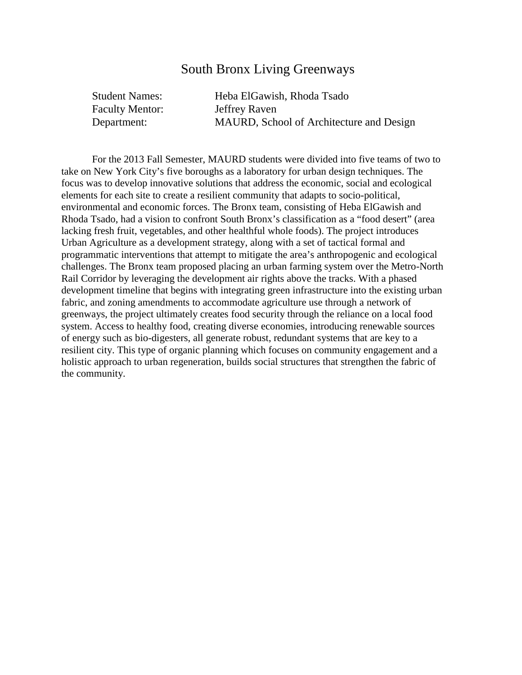#### South Bronx Living Greenways

| <b>Student Names:</b>  | Heba ElGawish, Rhoda Tsado               |
|------------------------|------------------------------------------|
| <b>Faculty Mentor:</b> | Jeffrey Raven                            |
| Department:            | MAURD, School of Architecture and Design |

For the 2013 Fall Semester, MAURD students were divided into five teams of two to take on New York City's five boroughs as a laboratory for urban design techniques. The focus was to develop innovative solutions that address the economic, social and ecological elements for each site to create a resilient community that adapts to socio-political, environmental and economic forces. The Bronx team, consisting of Heba ElGawish and Rhoda Tsado, had a vision to confront South Bronx's classification as a "food desert" (area lacking fresh fruit, vegetables, and other healthful whole foods). The project introduces Urban Agriculture as a development strategy, along with a set of tactical formal and programmatic interventions that attempt to mitigate the area's anthropogenic and ecological challenges. The Bronx team proposed placing an urban farming system over the Metro-North Rail Corridor by leveraging the development air rights above the tracks. With a phased development timeline that begins with integrating green infrastructure into the existing urban fabric, and zoning amendments to accommodate agriculture use through a network of greenways, the project ultimately creates food security through the reliance on a local food system. Access to healthy food, creating diverse economies, introducing renewable sources of energy such as bio-digesters, all generate robust, redundant systems that are key to a resilient city. This type of organic planning which focuses on community engagement and a holistic approach to urban regeneration, builds social structures that strengthen the fabric of the community.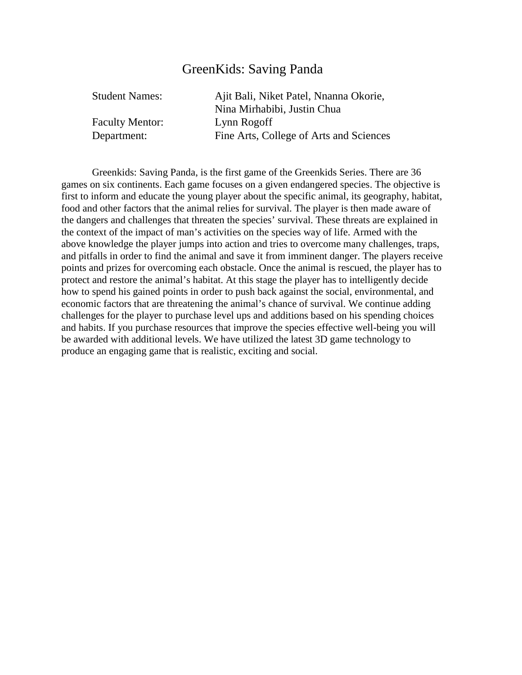## GreenKids: Saving Panda

| Ajit Bali, Niket Patel, Nnanna Okorie,  |
|-----------------------------------------|
| Nina Mirhabibi, Justin Chua             |
| Lynn Rogoff                             |
| Fine Arts, College of Arts and Sciences |
|                                         |

Greenkids: Saving Panda, is the first game of the Greenkids Series. There are 36 games on six continents. Each game focuses on a given endangered species. The objective is first to inform and educate the young player about the specific animal, its geography, habitat, food and other factors that the animal relies for survival. The player is then made aware of the dangers and challenges that threaten the species' survival. These threats are explained in the context of the impact of man's activities on the species way of life. Armed with the above knowledge the player jumps into action and tries to overcome many challenges, traps, and pitfalls in order to find the animal and save it from imminent danger. The players receive points and prizes for overcoming each obstacle. Once the animal is rescued, the player has to protect and restore the animal's habitat. At this stage the player has to intelligently decide how to spend his gained points in order to push back against the social, environmental, and economic factors that are threatening the animal's chance of survival. We continue adding challenges for the player to purchase level ups and additions based on his spending choices and habits. If you purchase resources that improve the species effective well-being you will be awarded with additional levels. We have utilized the latest 3D game technology to produce an engaging game that is realistic, exciting and social.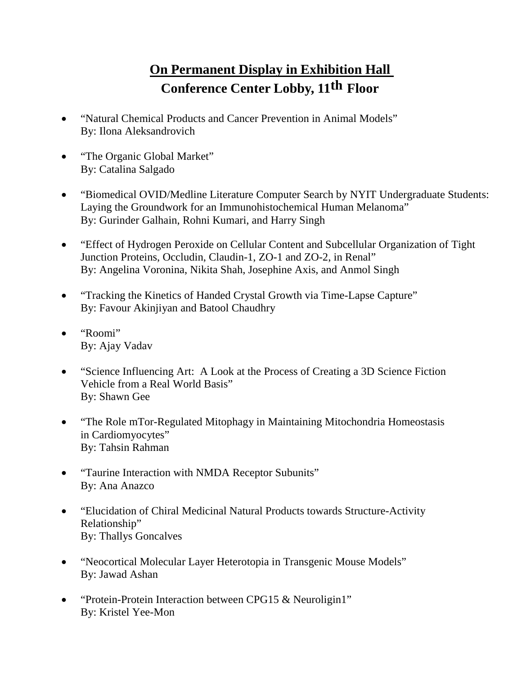# **On Permanent Display in Exhibition Hall Conference Center Lobby, 11th Floor**

- "Natural Chemical Products and Cancer Prevention in Animal Models" By: Ilona Aleksandrovich
- "The Organic Global Market" By: Catalina Salgado
- "Biomedical OVID/Medline Literature Computer Search by NYIT Undergraduate Students: Laying the Groundwork for an Immunohistochemical Human Melanoma" By: Gurinder Galhain, Rohni Kumari, and Harry Singh
- "Effect of Hydrogen Peroxide on Cellular Content and Subcellular Organization of Tight Junction Proteins, Occludin, Claudin-1, ZO-1 and ZO-2, in Renal" By: Angelina Voronina, Nikita Shah, Josephine Axis, and Anmol Singh
- "Tracking the Kinetics of Handed Crystal Growth via Time-Lapse Capture" By: Favour Akinjiyan and Batool Chaudhry
- "Roomi" By: Ajay Vadav
- "Science Influencing Art: A Look at the Process of Creating a 3D Science Fiction Vehicle from a Real World Basis" By: Shawn Gee
- "The Role mTor-Regulated Mitophagy in Maintaining Mitochondria Homeostasis in Cardiomyocytes" By: Tahsin Rahman
- "Taurine Interaction with NMDA Receptor Subunits" By: Ana Anazco
- "Elucidation of Chiral Medicinal Natural Products towards Structure-Activity Relationship" By: Thallys Goncalves
- "Neocortical Molecular Layer Heterotopia in Transgenic Mouse Models" By: Jawad Ashan
- "Protein-Protein Interaction between CPG15 & Neuroligin1" By: Kristel Yee-Mon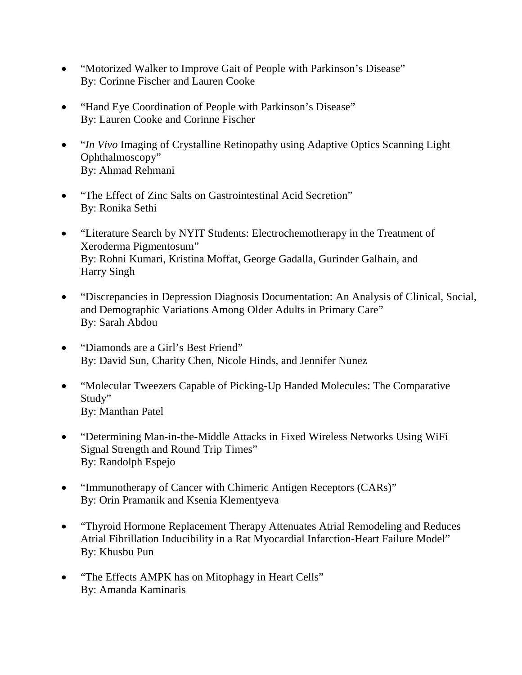- "Motorized Walker to Improve Gait of People with Parkinson's Disease" By: Corinne Fischer and Lauren Cooke
- "Hand Eye Coordination of People with Parkinson's Disease" By: Lauren Cooke and Corinne Fischer
- "*In Vivo* Imaging of Crystalline Retinopathy using Adaptive Optics Scanning Light Ophthalmoscopy" By: Ahmad Rehmani
- "The Effect of Zinc Salts on Gastrointestinal Acid Secretion" By: Ronika Sethi
- "Literature Search by NYIT Students: Electrochemotherapy in the Treatment of Xeroderma Pigmentosum" By: Rohni Kumari, Kristina Moffat, George Gadalla, Gurinder Galhain, and Harry Singh
- "Discrepancies in Depression Diagnosis Documentation: An Analysis of Clinical, Social, and Demographic Variations Among Older Adults in Primary Care" By: Sarah Abdou
- "Diamonds are a Girl's Best Friend" By: David Sun, Charity Chen, Nicole Hinds, and Jennifer Nunez
- "Molecular Tweezers Capable of Picking-Up Handed Molecules: The Comparative Study" By: Manthan Patel
- "Determining Man-in-the-Middle Attacks in Fixed Wireless Networks Using WiFi Signal Strength and Round Trip Times" By: Randolph Espejo
- "Immunotherapy of Cancer with Chimeric Antigen Receptors (CARs)" By: Orin Pramanik and Ksenia Klementyeva
- "Thyroid Hormone Replacement Therapy Attenuates Atrial Remodeling and Reduces Atrial Fibrillation Inducibility in a Rat Myocardial Infarction-Heart Failure Model" By: Khusbu Pun
- "The Effects AMPK has on Mitophagy in Heart Cells" By: Amanda Kaminaris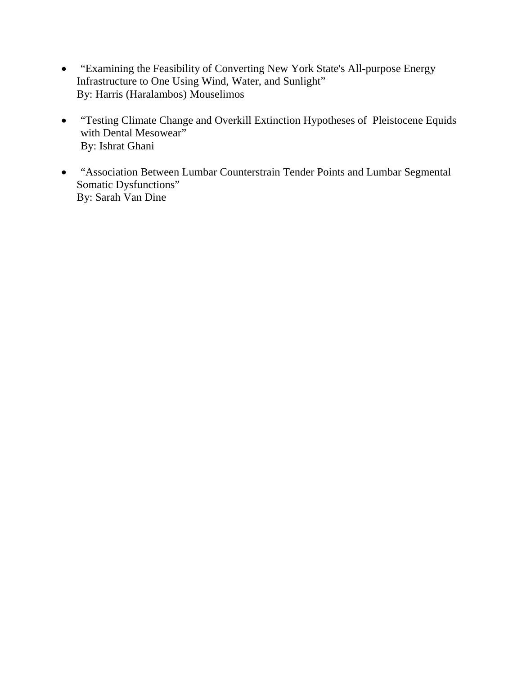- "Examining the Feasibility of Converting New York State's All-purpose Energy Infrastructure to One Using Wind, Water, and Sunlight" By: Harris (Haralambos) Mouselimos
- "Testing Climate Change and Overkill Extinction Hypotheses of Pleistocene Equids with Dental Mesowear" By: Ishrat Ghani
- "Association Between Lumbar Counterstrain Tender Points and Lumbar Segmental Somatic Dysfunctions" By: Sarah Van Dine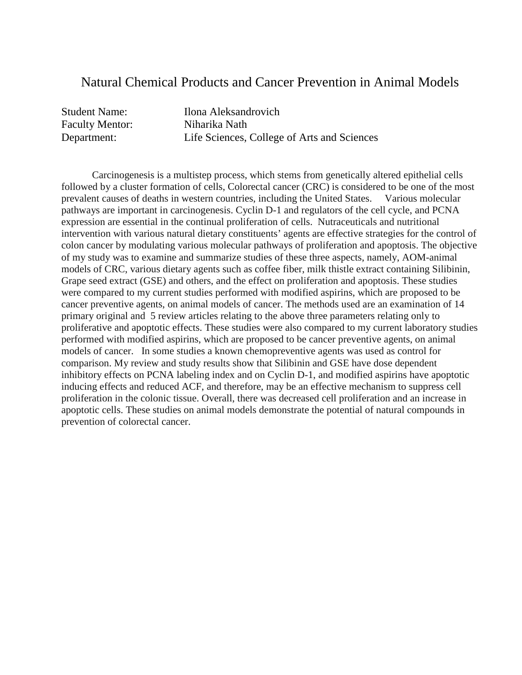#### Natural Chemical Products and Cancer Prevention in Animal Models

Faculty Mentor: Niharika Nath

Student Name: Ilona Aleksandrovich Department: Life Sciences, College of Arts and Sciences

Carcinogenesis is a multistep process, which stems from genetically altered epithelial cells followed by a cluster formation of cells, Colorectal cancer (CRC) is considered to be one of the most prevalent causes of deaths in western countries, including the United States. Various molecular pathways are important in carcinogenesis. Cyclin D-1 and regulators of the cell cycle, and PCNA expression are essential in the continual proliferation of cells. Nutraceuticals and nutritional intervention with various natural dietary constituents' agents are effective strategies for the control of colon cancer by modulating various molecular pathways of proliferation and apoptosis. The objective of my study was to examine and summarize studies of these three aspects, namely, AOM-animal models of CRC, various dietary agents such as coffee fiber, milk thistle extract containing Silibinin, Grape seed extract (GSE) and others, and the effect on proliferation and apoptosis. These studies were compared to my current studies performed with modified aspirins, which are proposed to be cancer preventive agents, on animal models of cancer. The methods used are an examination of 14 primary original and 5 review articles relating to the above three parameters relating only to proliferative and apoptotic effects. These studies were also compared to my current laboratory studies performed with modified aspirins, which are proposed to be cancer preventive agents, on animal models of cancer. In some studies a known chemopreventive agents was used as control for comparison. My review and study results show that Silibinin and GSE have dose dependent inhibitory effects on PCNA labeling index and on Cyclin D-1, and modified aspirins have apoptotic inducing effects and reduced ACF, and therefore, may be an effective mechanism to suppress cell proliferation in the colonic tissue. Overall, there was decreased cell proliferation and an increase in apoptotic cells. These studies on animal models demonstrate the potential of natural compounds in prevention of colorectal cancer.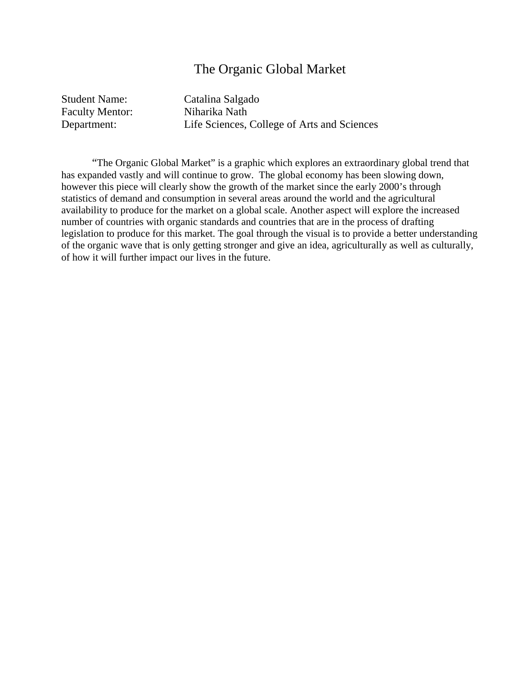#### The Organic Global Market

Student Name: Catalina Salgado Faculty Mentor: Niharika Nath

Department: Life Sciences, College of Arts and Sciences

"The Organic Global Market" is a graphic which explores an extraordinary global trend that has expanded vastly and will continue to grow. The global economy has been slowing down, however this piece will clearly show the growth of the market since the early 2000's through statistics of demand and consumption in several areas around the world and the agricultural availability to produce for the market on a global scale. Another aspect will explore the increased number of countries with organic standards and countries that are in the process of drafting legislation to produce for this market. The goal through the visual is to provide a better understanding of the organic wave that is only getting stronger and give an idea, agriculturally as well as culturally, of how it will further impact our lives in the future.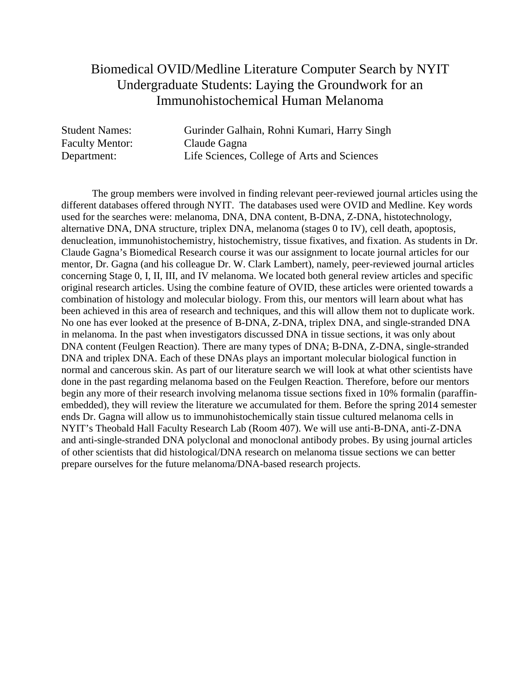### Biomedical OVID/Medline Literature Computer Search by NYIT Undergraduate Students: Laying the Groundwork for an Immunohistochemical Human Melanoma

Student Names: Gurinder Galhain, Rohni Kumari, Harry Singh Faculty Mentor: Claude Gagna Department: Life Sciences, College of Arts and Sciences

The group members were involved in finding relevant peer-reviewed journal articles using the different databases offered through NYIT. The databases used were OVID and Medline. Key words used for the searches were: melanoma, DNA, DNA content, B-DNA, Z-DNA, histotechnology, alternative DNA, DNA structure, triplex DNA, melanoma (stages 0 to IV), cell death, apoptosis, denucleation, immunohistochemistry, histochemistry, tissue fixatives, and fixation. As students in Dr. Claude Gagna's Biomedical Research course it was our assignment to locate journal articles for our mentor, Dr. Gagna (and his colleague Dr. W. Clark Lambert), namely, peer-reviewed journal articles concerning Stage 0, I, II, III, and IV melanoma. We located both general review articles and specific original research articles. Using the combine feature of OVID, these articles were oriented towards a combination of histology and molecular biology. From this, our mentors will learn about what has been achieved in this area of research and techniques, and this will allow them not to duplicate work. No one has ever looked at the presence of B-DNA, Z-DNA, triplex DNA, and single-stranded DNA in melanoma. In the past when investigators discussed DNA in tissue sections, it was only about DNA content (Feulgen Reaction). There are many types of DNA; B-DNA, Z-DNA, single-stranded DNA and triplex DNA. Each of these DNAs plays an important molecular biological function in normal and cancerous skin. As part of our literature search we will look at what other scientists have done in the past regarding melanoma based on the Feulgen Reaction. Therefore, before our mentors begin any more of their research involving melanoma tissue sections fixed in 10% formalin (paraffinembedded), they will review the literature we accumulated for them. Before the spring 2014 semester ends Dr. Gagna will allow us to immunohistochemically stain tissue cultured melanoma cells in NYIT's Theobald Hall Faculty Research Lab (Room 407). We will use anti-B-DNA, anti-Z-DNA and anti-single-stranded DNA polyclonal and monoclonal antibody probes. By using journal articles of other scientists that did histological/DNA research on melanoma tissue sections we can better prepare ourselves for the future melanoma/DNA-based research projects.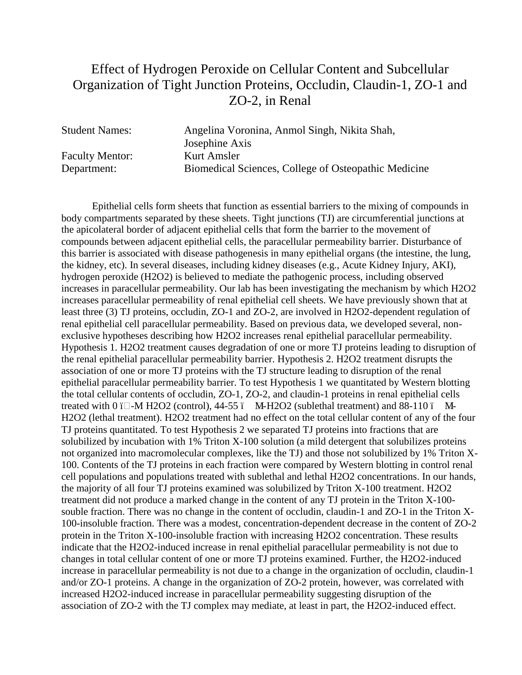## Effect of Hydrogen Peroxide on Cellular Content and Subcellular Organization of Tight Junction Proteins, Occludin, Claudin-1, ZO-1 and ZO-2, in Renal

| Angelina Voronina, Anmol Singh, Nikita Shah,         |
|------------------------------------------------------|
| Josephine Axis                                       |
| Kurt Amsler                                          |
| Biomedical Sciences, College of Osteopathic Medicine |
|                                                      |

Epithelial cells form sheets that function as essential barriers to the mixing of compounds in body compartments separated by these sheets. Tight junctions (TJ) are circumferential junctions at the apicolateral border of adjacent epithelial cells that form the barrier to the movement of compounds between adjacent epithelial cells, the paracellular permeability barrier. Disturbance of this barrier is associated with disease pathogenesis in many epithelial organs (the intestine, the lung, the kidney, etc). In several diseases, including kidney diseases (e.g., Acute Kidney Injury, AKI), hydrogen peroxide (H2O2) is believed to mediate the pathogenic process, including observed increases in paracellular permeability. Our lab has been investigating the mechanism by which H2O2 increases paracellular permeability of renal epithelial cell sheets. We have previously shown that at least three (3) TJ proteins, occludin, ZO-1 and ZO-2, are involved in H2O2-dependent regulation of renal epithelial cell paracellular permeability. Based on previous data, we developed several, nonexclusive hypotheses describing how H2O2 increases renal epithelial paracellular permeability. Hypothesis 1. H2O2 treatment causes degradation of one or more TJ proteins leading to disruption of the renal epithelial paracellular permeability barrier. Hypothesis 2. H2O2 treatment disrupts the association of one or more TJ proteins with the TJ structure leading to disruption of the renal epithelial paracellular permeability barrier. To test Hypothesis 1 we quantitated by Western blotting the total cellular contents of occludin, ZO-1, ZO-2, and claudin-1 proteins in renal epithelial cells treated with  $0$  i $\Box$ -M H2O2 (control), 44-55 ï M-H2O2 (sublethal treatment) and 88-110 ï M-H2O2 (lethal treatment). H2O2 treatment had no effect on the total cellular content of any of the four TJ proteins quantitated. To test Hypothesis 2 we separated TJ proteins into fractions that are solubilized by incubation with 1% Triton X-100 solution (a mild detergent that solubilizes proteins not organized into macromolecular complexes, like the TJ) and those not solubilized by 1% Triton X-100. Contents of the TJ proteins in each fraction were compared by Western blotting in control renal cell populations and populations treated with sublethal and lethal H2O2 concentrations. In our hands, the majority of all four TJ proteins examined was solubilized by Triton X-100 treatment. H2O2 treatment did not produce a marked change in the content of any TJ protein in the Triton X-100 souble fraction. There was no change in the content of occludin, claudin-1 and ZO-1 in the Triton X-100-insoluble fraction. There was a modest, concentration-dependent decrease in the content of ZO-2 protein in the Triton X-100-insoluble fraction with increasing H2O2 concentration. These results indicate that the H2O2-induced increase in renal epithelial paracellular permeability is not due to changes in total cellular content of one or more TJ proteins examined. Further, the H2O2-induced increase in paracellular permeability is not due to a change in the organization of occludin, claudin-1 and/or ZO-1 proteins. A change in the organization of ZO-2 protein, however, was correlated with increased H2O2-induced increase in paracellular permeability suggesting disruption of the association of ZO-2 with the TJ complex may mediate, at least in part, the H2O2-induced effect.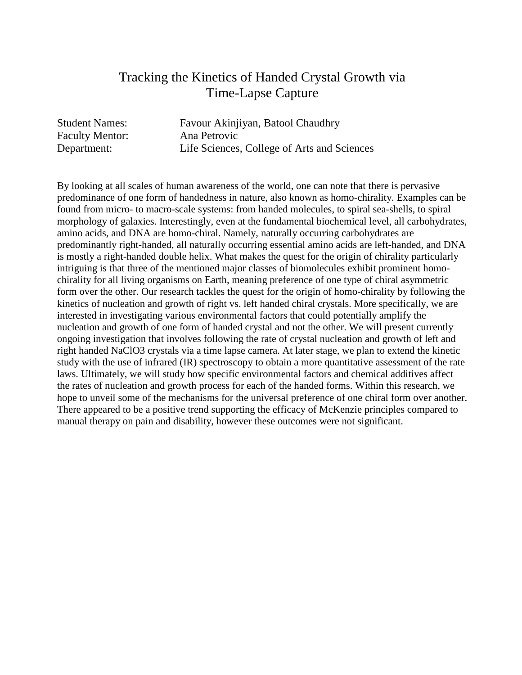### Tracking the Kinetics of Handed Crystal Growth via Time-Lapse Capture

| <b>Student Names:</b>  | Favour Akinjiyan, Batool Chaudhry           |
|------------------------|---------------------------------------------|
| <b>Faculty Mentor:</b> | Ana Petrovic                                |
| Department:            | Life Sciences, College of Arts and Sciences |

By looking at all scales of human awareness of the world, one can note that there is pervasive predominance of one form of handedness in nature, also known as homo-chirality. Examples can be found from micro- to macro-scale systems: from handed molecules, to spiral sea-shells, to spiral morphology of galaxies. Interestingly, even at the fundamental biochemical level, all carbohydrates, amino acids, and DNA are homo-chiral. Namely, naturally occurring carbohydrates are predominantly right-handed, all naturally occurring essential amino acids are left-handed, and DNA is mostly a right-handed double helix. What makes the quest for the origin of chirality particularly intriguing is that three of the mentioned major classes of biomolecules exhibit prominent homochirality for all living organisms on Earth, meaning preference of one type of chiral asymmetric form over the other. Our research tackles the quest for the origin of homo-chirality by following the kinetics of nucleation and growth of right vs. left handed chiral crystals. More specifically, we are interested in investigating various environmental factors that could potentially amplify the nucleation and growth of one form of handed crystal and not the other. We will present currently ongoing investigation that involves following the rate of crystal nucleation and growth of left and right handed NaClO3 crystals via a time lapse camera. At later stage, we plan to extend the kinetic study with the use of infrared (IR) spectroscopy to obtain a more quantitative assessment of the rate laws. Ultimately, we will study how specific environmental factors and chemical additives affect the rates of nucleation and growth process for each of the handed forms. Within this research, we hope to unveil some of the mechanisms for the universal preference of one chiral form over another. There appeared to be a positive trend supporting the efficacy of McKenzie principles compared to manual therapy on pain and disability, however these outcomes were not significant.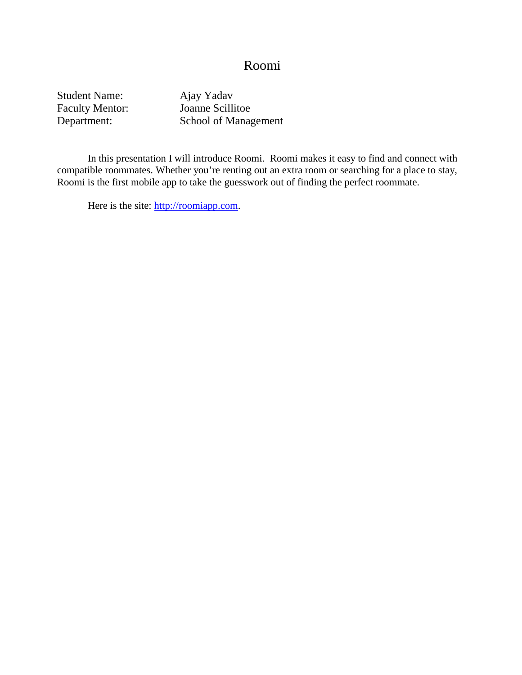#### Roomi

Student Name: Ajay Yadav<br>Faculty Mentor: Joanne Scillitoe Faculty Mentor:

Department: School of Management

In this presentation I will introduce Roomi. Roomi makes it easy to find and connect with compatible roommates. Whether you're renting out an extra room or searching for a place to stay, Roomi is the first mobile app to take the guesswork out of finding the perfect roommate.

Here is the site: [http://roomiapp.com.](http://roomiapp.com/)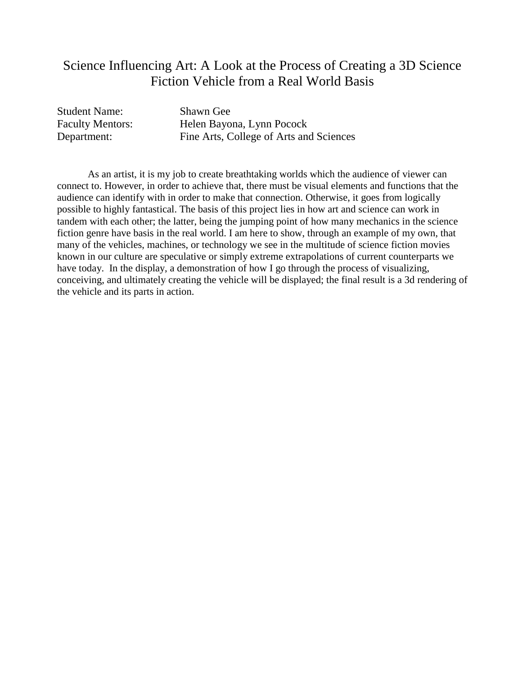#### Science Influencing Art: A Look at the Process of Creating a 3D Science Fiction Vehicle from a Real World Basis

Student Name: Shawn Gee

Faculty Mentors: Helen Bayona, Lynn Pocock Department: Fine Arts, College of Arts and Sciences

As an artist, it is my job to create breathtaking worlds which the audience of viewer can connect to. However, in order to achieve that, there must be visual elements and functions that the audience can identify with in order to make that connection. Otherwise, it goes from logically possible to highly fantastical. The basis of this project lies in how art and science can work in tandem with each other; the latter, being the jumping point of how many mechanics in the science fiction genre have basis in the real world. I am here to show, through an example of my own, that many of the vehicles, machines, or technology we see in the multitude of science fiction movies known in our culture are speculative or simply extreme extrapolations of current counterparts we have today. In the display, a demonstration of how I go through the process of visualizing, conceiving, and ultimately creating the vehicle will be displayed; the final result is a 3d rendering of the vehicle and its parts in action.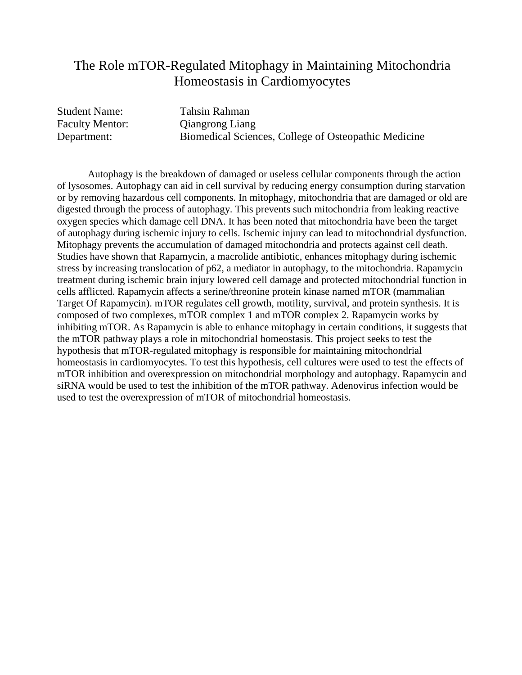#### The Role mTOR-Regulated Mitophagy in Maintaining Mitochondria Homeostasis in Cardiomyocytes

Student Name: Tahsin Rahman

Faculty Mentor: Ciangrong Liang Department: Biomedical Sciences, College of Osteopathic Medicine

Autophagy is the breakdown of damaged or useless cellular components through the action of lysosomes. Autophagy can aid in cell survival by reducing energy consumption during starvation or by removing hazardous cell components. In mitophagy, mitochondria that are damaged or old are digested through the process of autophagy. This prevents such mitochondria from leaking reactive oxygen species which damage cell DNA. It has been noted that mitochondria have been the target of autophagy during ischemic injury to cells. Ischemic injury can lead to mitochondrial dysfunction. Mitophagy prevents the accumulation of damaged mitochondria and protects against cell death. Studies have shown that Rapamycin, a macrolide antibiotic, enhances mitophagy during ischemic stress by increasing translocation of p62, a mediator in autophagy, to the mitochondria. Rapamycin treatment during ischemic brain injury lowered cell damage and protected mitochondrial function in cells afflicted. Rapamycin affects a serine/threonine protein kinase named mTOR (mammalian Target Of Rapamycin). mTOR regulates cell growth, motility, survival, and protein synthesis. It is composed of two complexes, mTOR complex 1 and mTOR complex 2. Rapamycin works by inhibiting mTOR. As Rapamycin is able to enhance mitophagy in certain conditions, it suggests that the mTOR pathway plays a role in mitochondrial homeostasis. This project seeks to test the hypothesis that mTOR-regulated mitophagy is responsible for maintaining mitochondrial homeostasis in cardiomyocytes. To test this hypothesis, cell cultures were used to test the effects of mTOR inhibition and overexpression on mitochondrial morphology and autophagy. Rapamycin and siRNA would be used to test the inhibition of the mTOR pathway. Adenovirus infection would be used to test the overexpression of mTOR of mitochondrial homeostasis.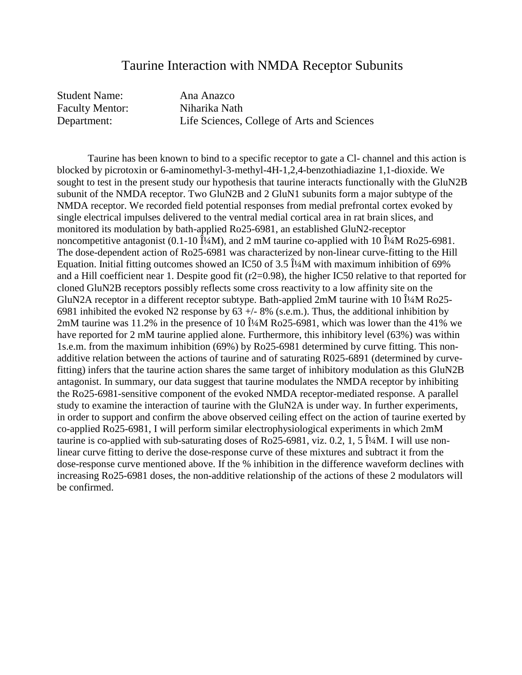#### Taurine Interaction with NMDA Receptor Subunits

Student Name: Ana Anazco Faculty Mentor: Niharika Nath Department: Life Sciences, College of Arts and Sciences

Taurine has been known to bind to a specific receptor to gate a Cl- channel and this action is blocked by picrotoxin or 6-aminomethyl-3-methyl-4H-1,2,4-benzothiadiazine 1,1-dioxide. We sought to test in the present study our hypothesis that taurine interacts functionally with the GluN2B subunit of the NMDA receptor. Two GluN2B and 2 GluN1 subunits form a major subtype of the NMDA receptor. We recorded field potential responses from medial prefrontal cortex evoked by single electrical impulses delivered to the ventral medial cortical area in rat brain slices, and monitored its modulation by bath-applied Ro25-6981, an established GluN2-receptor noncompetitive antagonist (0.1-10  $\hat{I}/4M$ ), and 2 mM taurine co-applied with 10  $\hat{I}/4M$  Ro25-6981. The dose-dependent action of Ro25-6981 was characterized by non-linear curve-fitting to the Hill Equation. Initial fitting outcomes showed an IC50 of 3.5  $\hat{I}$ <sup>4</sup>M with maximum inhibition of 69% and a Hill coefficient near 1. Despite good fit (r2=0.98), the higher IC50 relative to that reported for cloned GluN2B receptors possibly reflects some cross reactivity to a low affinity site on the GluN2A receptor in a different receptor subtype. Bath-applied  $2mM$  taurine with 10  $\hat{I}/4M$  Ro25-6981 inhibited the evoked N2 response by  $63 +/- 8\%$  (s.e.m.). Thus, the additional inhibition by 2mM taurine was 11.2% in the presence of 10  $\hat{I}$ <sup>4</sup>M Ro25-6981, which was lower than the 41% we have reported for 2 mM taurine applied alone. Furthermore, this inhibitory level (63%) was within 1s.e.m. from the maximum inhibition (69%) by Ro25-6981 determined by curve fitting. This nonadditive relation between the actions of taurine and of saturating R025-6891 (determined by curvefitting) infers that the taurine action shares the same target of inhibitory modulation as this GluN2B antagonist. In summary, our data suggest that taurine modulates the NMDA receptor by inhibiting the Ro25-6981-sensitive component of the evoked NMDA receptor-mediated response. A parallel study to examine the interaction of taurine with the GluN2A is under way. In further experiments, in order to support and confirm the above observed ceiling effect on the action of taurine exerted by co-applied Ro25-6981, I will perform similar electrophysiological experiments in which 2mM taurine is co-applied with sub-saturating doses of Ro25-6981, viz. 0.2, 1, 5  $\hat{I}$ <sup>4</sup> $\Delta$ M. I will use nonlinear curve fitting to derive the dose-response curve of these mixtures and subtract it from the dose-response curve mentioned above. If the % inhibition in the difference waveform declines with increasing Ro25-6981 doses, the non-additive relationship of the actions of these 2 modulators will be confirmed.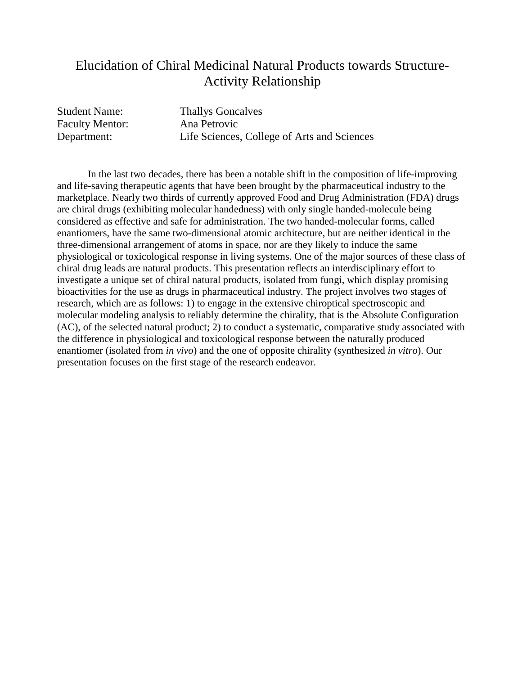### Elucidation of Chiral Medicinal Natural Products towards Structure-Activity Relationship

Faculty Mentor: Ana Petrovic

Student Name: Thallys Goncalves Department: Life Sciences, College of Arts and Sciences

In the last two decades, there has been a notable shift in the composition of life-improving and life-saving therapeutic agents that have been brought by the pharmaceutical industry to the marketplace. Nearly two thirds of currently approved Food and Drug Administration (FDA) drugs are chiral drugs (exhibiting molecular handedness) with only single handed-molecule being considered as effective and safe for administration. The two handed-molecular forms, called enantiomers, have the same two-dimensional atomic architecture, but are neither identical in the three-dimensional arrangement of atoms in space, nor are they likely to induce the same physiological or toxicological response in living systems. One of the major sources of these class of chiral drug leads are natural products. This presentation reflects an interdisciplinary effort to investigate a unique set of chiral natural products, isolated from fungi, which display promising bioactivities for the use as drugs in pharmaceutical industry. The project involves two stages of research, which are as follows: 1) to engage in the extensive chiroptical spectroscopic and molecular modeling analysis to reliably determine the chirality, that is the Absolute Configuration (AC), of the selected natural product; 2) to conduct a systematic, comparative study associated with the difference in physiological and toxicological response between the naturally produced enantiomer (isolated from *in vivo*) and the one of opposite chirality (synthesized *in vitro*). Our presentation focuses on the first stage of the research endeavor.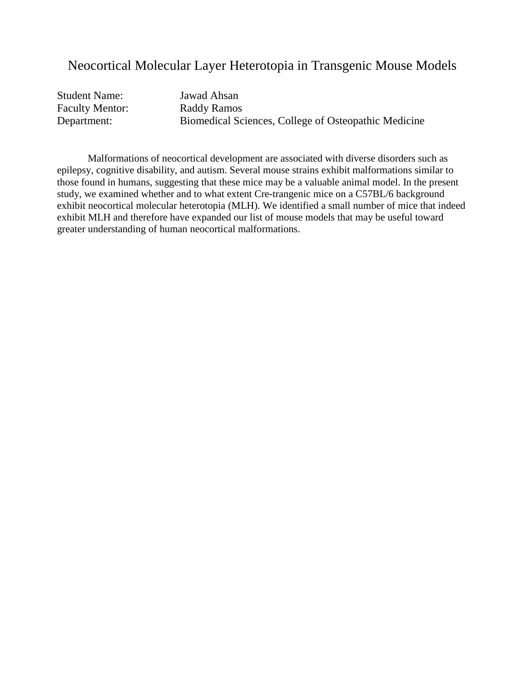#### Neocortical Molecular Layer Heterotopia in Transgenic Mouse Models

| <b>Student Name:</b>   | Jawad Ahsan                                          |
|------------------------|------------------------------------------------------|
| <b>Faculty Mentor:</b> | Raddy Ramos                                          |
| Department:            | Biomedical Sciences, College of Osteopathic Medicine |

Malformations of neocortical development are associated with diverse disorders such as epilepsy, cognitive disability, and autism. Several mouse strains exhibit malformations similar to those found in humans, suggesting that these mice may be a valuable animal model. In the present study, we examined whether and to what extent Cre-trangenic mice on a C57BL/6 background exhibit neocortical molecular heterotopia (MLH). We identified a small number of mice that indeed exhibit MLH and therefore have expanded our list of mouse models that may be useful toward greater understanding of human neocortical malformations.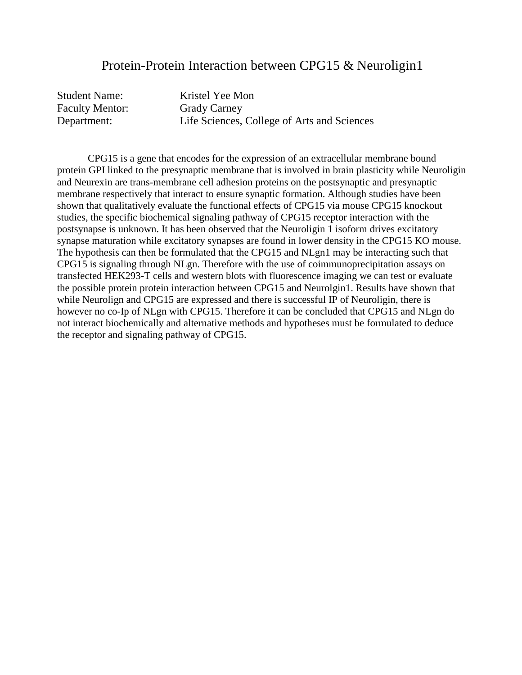#### Protein-Protein Interaction between CPG15 & Neuroligin1

Student Name: Kristel Yee Mon Faculty Mentor: Grady Carney

Department: Life Sciences, College of Arts and Sciences

CPG15 is a gene that encodes for the expression of an extracellular membrane bound protein GPI linked to the presynaptic membrane that is involved in brain plasticity while Neuroligin and Neurexin are trans-membrane cell adhesion proteins on the postsynaptic and presynaptic membrane respectively that interact to ensure synaptic formation. Although studies have been shown that qualitatively evaluate the functional effects of CPG15 via mouse CPG15 knockout studies, the specific biochemical signaling pathway of CPG15 receptor interaction with the postsynapse is unknown. It has been observed that the Neuroligin 1 isoform drives excitatory synapse maturation while excitatory synapses are found in lower density in the CPG15 KO mouse. The hypothesis can then be formulated that the CPG15 and NLgn1 may be interacting such that CPG15 is signaling through NLgn. Therefore with the use of coimmunoprecipitation assays on transfected HEK293-T cells and western blots with fluorescence imaging we can test or evaluate the possible protein protein interaction between CPG15 and Neurolgin1. Results have shown that while Neurolign and CPG15 are expressed and there is successful IP of Neuroligin, there is however no co-Ip of NLgn with CPG15. Therefore it can be concluded that CPG15 and NLgn do not interact biochemically and alternative methods and hypotheses must be formulated to deduce the receptor and signaling pathway of CPG15.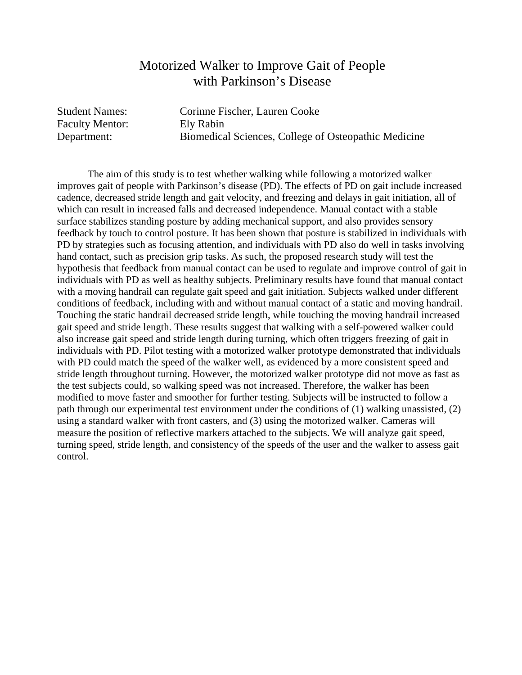## Motorized Walker to Improve Gait of People with Parkinson's Disease

Faculty Mentor: Ely Rabin

Student Names: Corinne Fischer, Lauren Cooke Department: Biomedical Sciences, College of Osteopathic Medicine

The aim of this study is to test whether walking while following a motorized walker improves gait of people with Parkinson's disease (PD). The effects of PD on gait include increased cadence, decreased stride length and gait velocity, and freezing and delays in gait initiation, all of which can result in increased falls and decreased independence. Manual contact with a stable surface stabilizes standing posture by adding mechanical support, and also provides sensory feedback by touch to control posture. It has been shown that posture is stabilized in individuals with PD by strategies such as focusing attention, and individuals with PD also do well in tasks involving hand contact, such as precision grip tasks. As such, the proposed research study will test the hypothesis that feedback from manual contact can be used to regulate and improve control of gait in individuals with PD as well as healthy subjects. Preliminary results have found that manual contact with a moving handrail can regulate gait speed and gait initiation. Subjects walked under different conditions of feedback, including with and without manual contact of a static and moving handrail. Touching the static handrail decreased stride length, while touching the moving handrail increased gait speed and stride length. These results suggest that walking with a self-powered walker could also increase gait speed and stride length during turning, which often triggers freezing of gait in individuals with PD. Pilot testing with a motorized walker prototype demonstrated that individuals with PD could match the speed of the walker well, as evidenced by a more consistent speed and stride length throughout turning. However, the motorized walker prototype did not move as fast as the test subjects could, so walking speed was not increased. Therefore, the walker has been modified to move faster and smoother for further testing. Subjects will be instructed to follow a path through our experimental test environment under the conditions of (1) walking unassisted, (2) using a standard walker with front casters, and (3) using the motorized walker. Cameras will measure the position of reflective markers attached to the subjects. We will analyze gait speed, turning speed, stride length, and consistency of the speeds of the user and the walker to assess gait control.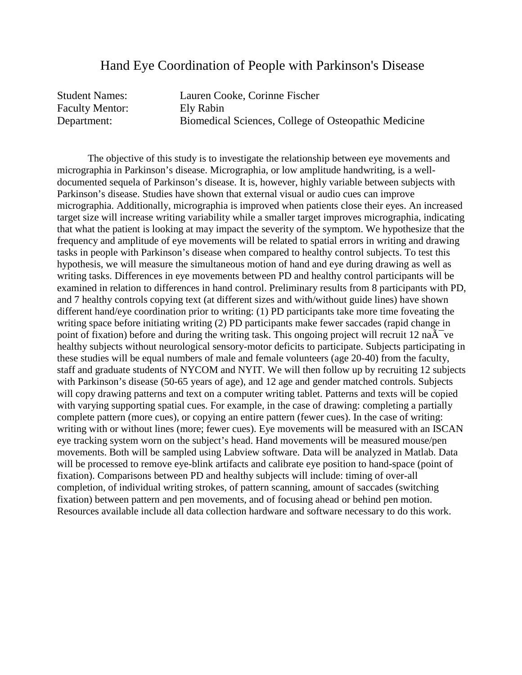#### Hand Eye Coordination of People with Parkinson's Disease

| <b>Student Names:</b> | Lauren Cooke, Corinne Fischer                        |
|-----------------------|------------------------------------------------------|
| Faculty Mentor:       | Ely Rabin                                            |
| Department:           | Biomedical Sciences, College of Osteopathic Medicine |

The objective of this study is to investigate the relationship between eye movements and micrographia in Parkinson's disease. Micrographia, or low amplitude handwriting, is a welldocumented sequela of Parkinson's disease. It is, however, highly variable between subjects with Parkinson's disease. Studies have shown that external visual or audio cues can improve micrographia. Additionally, micrographia is improved when patients close their eyes. An increased target size will increase writing variability while a smaller target improves micrographia, indicating that what the patient is looking at may impact the severity of the symptom. We hypothesize that the frequency and amplitude of eye movements will be related to spatial errors in writing and drawing tasks in people with Parkinson's disease when compared to healthy control subjects. To test this hypothesis, we will measure the simultaneous motion of hand and eye during drawing as well as writing tasks. Differences in eye movements between PD and healthy control participants will be examined in relation to differences in hand control. Preliminary results from 8 participants with PD, and 7 healthy controls copying text (at different sizes and with/without guide lines) have shown different hand/eye coordination prior to writing: (1) PD participants take more time foveating the writing space before initiating writing (2) PD participants make fewer saccades (rapid change in point of fixation) before and during the writing task. This ongoing project will recruit 12 na $\tilde{A}$  ve healthy subjects without neurological sensory-motor deficits to participate. Subjects participating in these studies will be equal numbers of male and female volunteers (age 20-40) from the faculty, staff and graduate students of NYCOM and NYIT. We will then follow up by recruiting 12 subjects with Parkinson's disease (50-65 years of age), and 12 age and gender matched controls. Subjects will copy drawing patterns and text on a computer writing tablet. Patterns and texts will be copied with varying supporting spatial cues. For example, in the case of drawing: completing a partially complete pattern (more cues), or copying an entire pattern (fewer cues). In the case of writing: writing with or without lines (more; fewer cues). Eye movements will be measured with an ISCAN eye tracking system worn on the subject's head. Hand movements will be measured mouse/pen movements. Both will be sampled using Labview software. Data will be analyzed in Matlab. Data will be processed to remove eye-blink artifacts and calibrate eye position to hand-space (point of fixation). Comparisons between PD and healthy subjects will include: timing of over-all completion, of individual writing strokes, of pattern scanning, amount of saccades (switching fixation) between pattern and pen movements, and of focusing ahead or behind pen motion. Resources available include all data collection hardware and software necessary to do this work.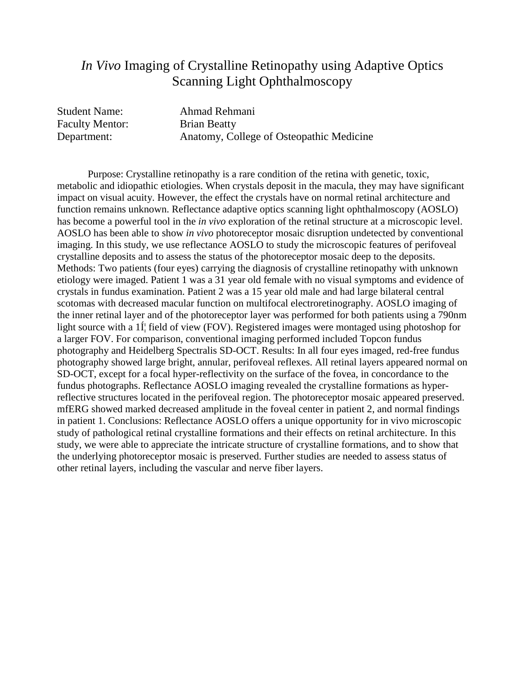## *In Vivo* Imaging of Crystalline Retinopathy using Adaptive Optics Scanning Light Ophthalmoscopy

Faculty Mentor: Brian Beatty

Student Name: Ahmad Rehmani Department: Anatomy, College of Osteopathic Medicine

Purpose: Crystalline retinopathy is a rare condition of the retina with genetic, toxic, metabolic and idiopathic etiologies. When crystals deposit in the macula, they may have significant impact on visual acuity. However, the effect the crystals have on normal retinal architecture and function remains unknown. Reflectance adaptive optics scanning light ophthalmoscopy (AOSLO) has become a powerful tool in the *in vivo* exploration of the retinal structure at a microscopic level. AOSLO has been able to show *in vivo* photoreceptor mosaic disruption undetected by conventional imaging. In this study, we use reflectance AOSLO to study the microscopic features of perifoveal crystalline deposits and to assess the status of the photoreceptor mosaic deep to the deposits. Methods: Two patients (four eyes) carrying the diagnosis of crystalline retinopathy with unknown etiology were imaged. Patient 1 was a 31 year old female with no visual symptoms and evidence of crystals in fundus examination. Patient 2 was a 15 year old male and had large bilateral central scotomas with decreased macular function on multifocal electroretinography. AOSLO imaging of the inner retinal layer and of the photoreceptor layer was performed for both patients using a 790nm light source with a  $1\hat{I}$  field of view (FOV). Registered images were montaged using photoshop for a larger FOV. For comparison, conventional imaging performed included Topcon fundus photography and Heidelberg Spectralis SD-OCT. Results: In all four eyes imaged, red-free fundus photography showed large bright, annular, perifoveal reflexes. All retinal layers appeared normal on SD-OCT, except for a focal hyper-reflectivity on the surface of the fovea, in concordance to the fundus photographs. Reflectance AOSLO imaging revealed the crystalline formations as hyperreflective structures located in the perifoveal region. The photoreceptor mosaic appeared preserved. mfERG showed marked decreased amplitude in the foveal center in patient 2, and normal findings in patient 1. Conclusions: Reflectance AOSLO offers a unique opportunity for in vivo microscopic study of pathological retinal crystalline formations and their effects on retinal architecture. In this study, we were able to appreciate the intricate structure of crystalline formations, and to show that the underlying photoreceptor mosaic is preserved. Further studies are needed to assess status of other retinal layers, including the vascular and nerve fiber layers.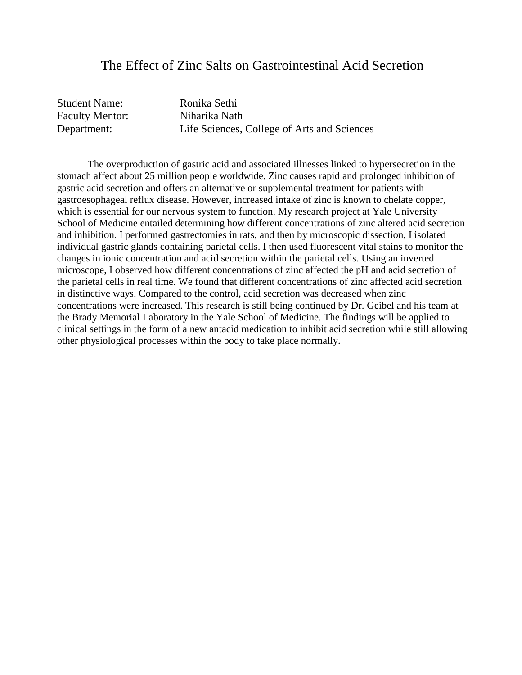#### The Effect of Zinc Salts on Gastrointestinal Acid Secretion

| <b>Student Name:</b>   | Ronika Sethi                                |
|------------------------|---------------------------------------------|
| <b>Faculty Mentor:</b> | Niharika Nath                               |
| Department:            | Life Sciences, College of Arts and Sciences |

The overproduction of gastric acid and associated illnesses linked to hypersecretion in the stomach affect about 25 million people worldwide. Zinc causes rapid and prolonged inhibition of gastric acid secretion and offers an alternative or supplemental treatment for patients with gastroesophageal reflux disease. However, increased intake of zinc is known to chelate copper, which is essential for our nervous system to function. My research project at Yale University School of Medicine entailed determining how different concentrations of zinc altered acid secretion and inhibition. I performed gastrectomies in rats, and then by microscopic dissection, I isolated individual gastric glands containing parietal cells. I then used fluorescent vital stains to monitor the changes in ionic concentration and acid secretion within the parietal cells. Using an inverted microscope, I observed how different concentrations of zinc affected the pH and acid secretion of the parietal cells in real time. We found that different concentrations of zinc affected acid secretion in distinctive ways. Compared to the control, acid secretion was decreased when zinc concentrations were increased. This research is still being continued by Dr. Geibel and his team at the Brady Memorial Laboratory in the Yale School of Medicine. The findings will be applied to clinical settings in the form of a new antacid medication to inhibit acid secretion while still allowing other physiological processes within the body to take place normally.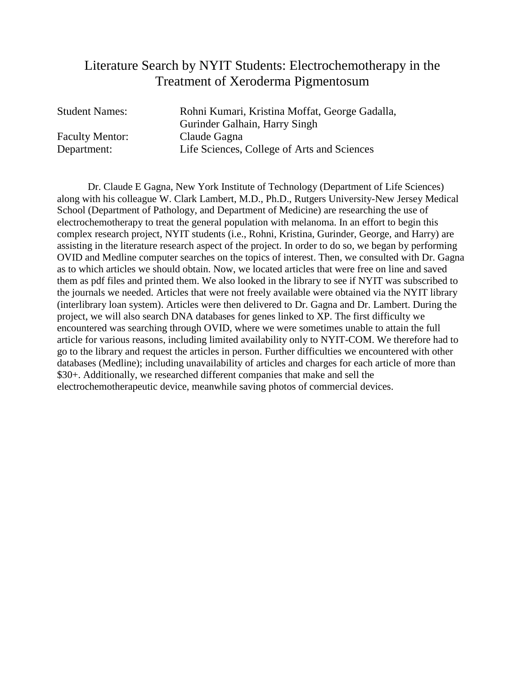## Literature Search by NYIT Students: Electrochemotherapy in the Treatment of Xeroderma Pigmentosum

| <b>Student Names:</b>  | Rohni Kumari, Kristina Moffat, George Gadalla, |
|------------------------|------------------------------------------------|
|                        | Gurinder Galhain, Harry Singh                  |
| <b>Faculty Mentor:</b> | Claude Gagna                                   |
| Department:            | Life Sciences, College of Arts and Sciences    |

Dr. Claude E Gagna, New York Institute of Technology (Department of Life Sciences) along with his colleague W. Clark Lambert, M.D., Ph.D., Rutgers University-New Jersey Medical School (Department of Pathology, and Department of Medicine) are researching the use of electrochemotherapy to treat the general population with melanoma. In an effort to begin this complex research project, NYIT students (i.e., Rohni, Kristina, Gurinder, George, and Harry) are assisting in the literature research aspect of the project. In order to do so, we began by performing OVID and Medline computer searches on the topics of interest. Then, we consulted with Dr. Gagna as to which articles we should obtain. Now, we located articles that were free on line and saved them as pdf files and printed them. We also looked in the library to see if NYIT was subscribed to the journals we needed. Articles that were not freely available were obtained via the NYIT library (interlibrary loan system). Articles were then delivered to Dr. Gagna and Dr. Lambert. During the project, we will also search DNA databases for genes linked to XP. The first difficulty we encountered was searching through OVID, where we were sometimes unable to attain the full article for various reasons, including limited availability only to NYIT-COM. We therefore had to go to the library and request the articles in person. Further difficulties we encountered with other databases (Medline); including unavailability of articles and charges for each article of more than \$30+. Additionally, we researched different companies that make and sell the electrochemotherapeutic device, meanwhile saving photos of commercial devices.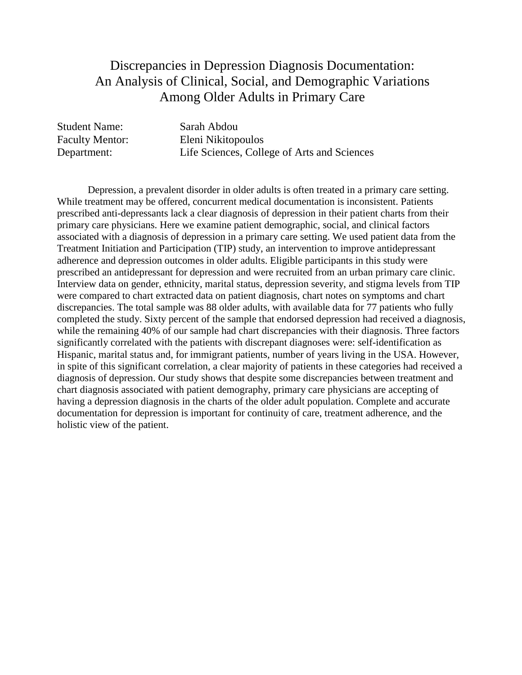# Discrepancies in Depression Diagnosis Documentation: An Analysis of Clinical, Social, and Demographic Variations Among Older Adults in Primary Care

| <b>Student Name:</b>   | Sarah Abdou                                 |
|------------------------|---------------------------------------------|
| <b>Faculty Mentor:</b> | Eleni Nikitopoulos                          |
| Department:            | Life Sciences, College of Arts and Sciences |

Depression, a prevalent disorder in older adults is often treated in a primary care setting. While treatment may be offered, concurrent medical documentation is inconsistent. Patients prescribed anti-depressants lack a clear diagnosis of depression in their patient charts from their primary care physicians. Here we examine patient demographic, social, and clinical factors associated with a diagnosis of depression in a primary care setting. We used patient data from the Treatment Initiation and Participation (TIP) study, an intervention to improve antidepressant adherence and depression outcomes in older adults. Eligible participants in this study were prescribed an antidepressant for depression and were recruited from an urban primary care clinic. Interview data on gender, ethnicity, marital status, depression severity, and stigma levels from TIP were compared to chart extracted data on patient diagnosis, chart notes on symptoms and chart discrepancies. The total sample was 88 older adults, with available data for 77 patients who fully completed the study. Sixty percent of the sample that endorsed depression had received a diagnosis, while the remaining 40% of our sample had chart discrepancies with their diagnosis. Three factors significantly correlated with the patients with discrepant diagnoses were: self-identification as Hispanic, marital status and, for immigrant patients, number of years living in the USA. However, in spite of this significant correlation, a clear majority of patients in these categories had received a diagnosis of depression. Our study shows that despite some discrepancies between treatment and chart diagnosis associated with patient demography, primary care physicians are accepting of having a depression diagnosis in the charts of the older adult population. Complete and accurate documentation for depression is important for continuity of care, treatment adherence, and the holistic view of the patient.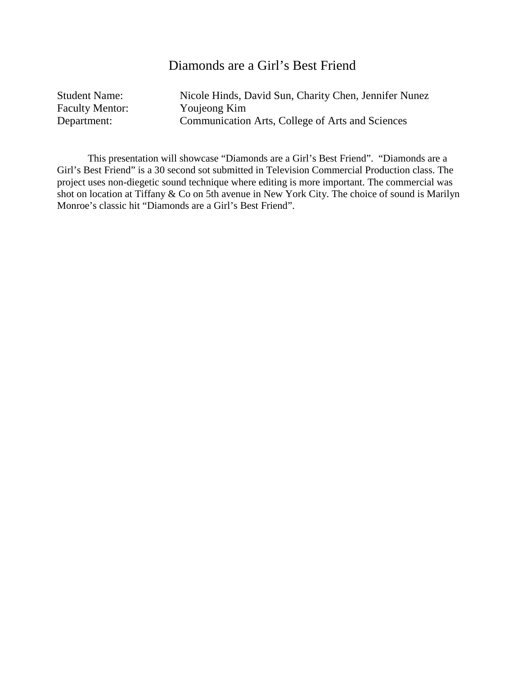## Diamonds are a Girl's Best Friend

| <b>Student Name:</b>   | Nicole Hinds, David Sun, Charity Chen, Jennifer Nunez |
|------------------------|-------------------------------------------------------|
| <b>Faculty Mentor:</b> | Youjeong Kim                                          |
| Department:            | Communication Arts, College of Arts and Sciences      |

This presentation will showcase "Diamonds are a Girl's Best Friend". "Diamonds are a Girl's Best Friend" is a 30 second sot submitted in Television Commercial Production class. The project uses non-diegetic sound technique where editing is more important. The commercial was shot on location at Tiffany & Co on 5th avenue in New York City. The choice of sound is Marilyn Monroe's classic hit "Diamonds are a Girl's Best Friend".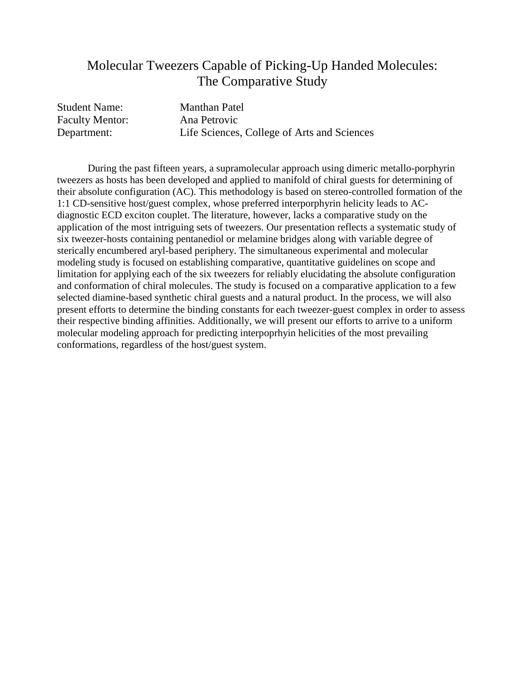## Molecular Tweezers Capable of Picking-Up Handed Molecules: The Comparative Study

| <b>Student Name:</b>   | <b>Manthan Patel</b>                        |
|------------------------|---------------------------------------------|
| <b>Faculty Mentor:</b> | Ana Petrovic                                |
| Department:            | Life Sciences, College of Arts and Sciences |

During the past fifteen years, a supramolecular approach using dimeric metallo-porphyrin tweezers as hosts has been developed and applied to manifold of chiral guests for determining of their absolute configuration (AC). This methodology is based on stereo-controlled formation of the 1:1 CD-sensitive host/guest complex, whose preferred interporphyrin helicity leads to ACdiagnostic ECD exciton couplet. The literature, however, lacks a comparative study on the application of the most intriguing sets of tweezers. Our presentation reflects a systematic study of six tweezer-hosts containing pentanediol or melamine bridges along with variable degree of sterically encumbered aryl-based periphery. The simultaneous experimental and molecular modeling study is focused on establishing comparative, quantitative guidelines on scope and limitation for applying each of the six tweezers for reliably elucidating the absolute configuration and conformation of chiral molecules. The study is focused on a comparative application to a few selected diamine-based synthetic chiral guests and a natural product. In the process, we will also present efforts to determine the binding constants for each tweezer-guest complex in order to assess their respective binding affinities. Additionally, we will present our efforts to arrive to a uniform molecular modeling approach for predicting interpoprhyin helicities of the most prevailing conformations, regardless of the host/guest system.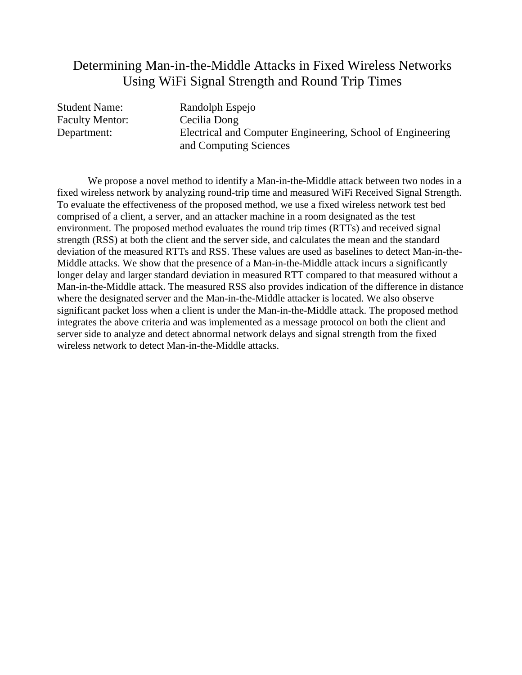## Determining Man-in-the-Middle Attacks in Fixed Wireless Networks Using WiFi Signal Strength and Round Trip Times

Faculty Mentor: Cecilia Dong

Student Name: Randolph Espejo Department: Electrical and Computer Engineering, School of Engineering and Computing Sciences

We propose a novel method to identify a Man-in-the-Middle attack between two nodes in a fixed wireless network by analyzing round-trip time and measured WiFi Received Signal Strength. To evaluate the effectiveness of the proposed method, we use a fixed wireless network test bed comprised of a client, a server, and an attacker machine in a room designated as the test environment. The proposed method evaluates the round trip times (RTTs) and received signal strength (RSS) at both the client and the server side, and calculates the mean and the standard deviation of the measured RTTs and RSS. These values are used as baselines to detect Man-in-the-Middle attacks. We show that the presence of a Man-in-the-Middle attack incurs a significantly longer delay and larger standard deviation in measured RTT compared to that measured without a Man-in-the-Middle attack. The measured RSS also provides indication of the difference in distance where the designated server and the Man-in-the-Middle attacker is located. We also observe significant packet loss when a client is under the Man-in-the-Middle attack. The proposed method integrates the above criteria and was implemented as a message protocol on both the client and server side to analyze and detect abnormal network delays and signal strength from the fixed wireless network to detect Man-in-the-Middle attacks.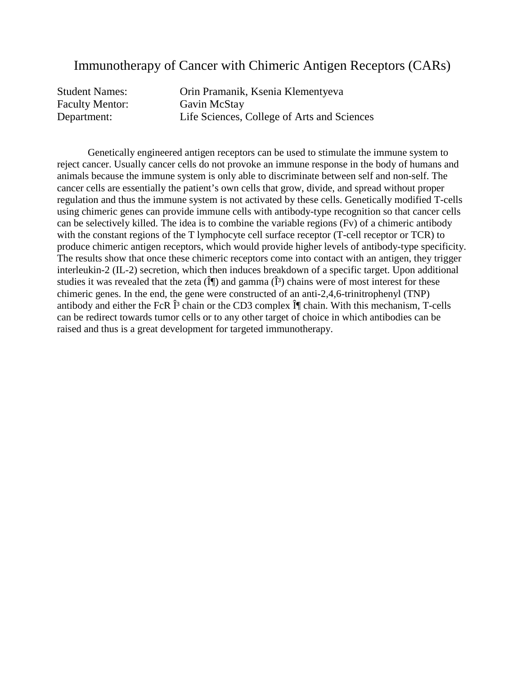### Immunotherapy of Cancer with Chimeric Antigen Receptors (CARs)

| <b>Student Names:</b>  | Orin Pramanik, Ksenia Klementyeva           |
|------------------------|---------------------------------------------|
| <b>Faculty Mentor:</b> | Gavin McStay                                |
| Department:            | Life Sciences, College of Arts and Sciences |

Genetically engineered antigen receptors can be used to stimulate the immune system to reject cancer. Usually cancer cells do not provoke an immune response in the body of humans and animals because the immune system is only able to discriminate between self and non-self. The cancer cells are essentially the patient's own cells that grow, divide, and spread without proper regulation and thus the immune system is not activated by these cells. Genetically modified T-cells using chimeric genes can provide immune cells with antibody-type recognition so that cancer cells can be selectively killed. The idea is to combine the variable regions (Fv) of a chimeric antibody with the constant regions of the T lymphocyte cell surface receptor (T-cell receptor or TCR) to produce chimeric antigen receptors, which would provide higher levels of antibody-type specificity. The results show that once these chimeric receptors come into contact with an antigen, they trigger interleukin-2 (IL-2) secretion, which then induces breakdown of a specific target. Upon additional studies it was revealed that the zeta  $(\hat{\mathbf{I}})$  and gamma  $(\hat{\mathbf{I}}^3)$  chains were of most interest for these chimeric genes. In the end, the gene were constructed of an anti-2,4,6-trinitrophenyl (TNP) antibody and either the FcR  $\hat{I}^3$  chain or the CD3 complex  $\hat{I}^{\parallel}$  chain. With this mechanism, T-cells can be redirect towards tumor cells or to any other target of choice in which antibodies can be raised and thus is a great development for targeted immunotherapy.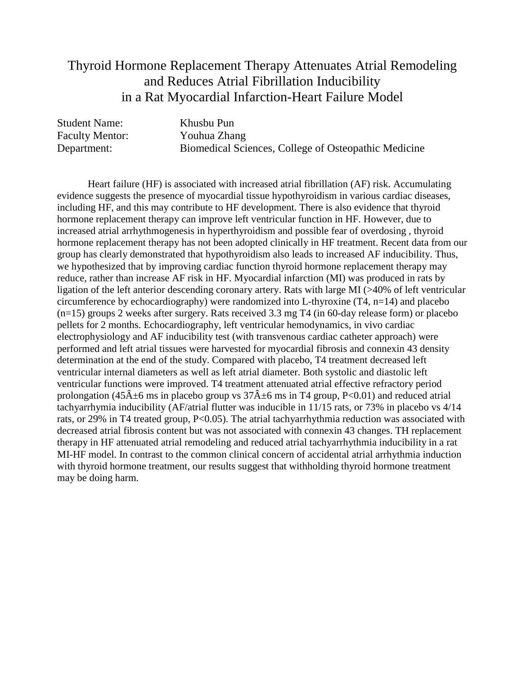# Thyroid Hormone Replacement Therapy Attenuates Atrial Remodeling and Reduces Atrial Fibrillation Inducibility in a Rat Myocardial Infarction-Heart Failure Model

| <b>Student Name:</b>   | Khusbu Pun                                           |
|------------------------|------------------------------------------------------|
| <b>Faculty Mentor:</b> | Youhua Zhang                                         |
| Department:            | Biomedical Sciences, College of Osteopathic Medicine |

Heart failure (HF) is associated with increased atrial fibrillation (AF) risk. Accumulating evidence suggests the presence of myocardial tissue hypothyroidism in various cardiac diseases, including HF, and this may contribute to HF development. There is also evidence that thyroid hormone replacement therapy can improve left ventricular function in HF. However, due to increased atrial arrhythmogenesis in hyperthyroidism and possible fear of overdosing , thyroid hormone replacement therapy has not been adopted clinically in HF treatment. Recent data from our group has clearly demonstrated that hypothyroidism also leads to increased AF inducibility. Thus, we hypothesized that by improving cardiac function thyroid hormone replacement therapy may reduce, rather than increase AF risk in HF. Myocardial infarction (MI) was produced in rats by ligation of the left anterior descending coronary artery. Rats with large MI (>40% of left ventricular circumference by echocardiography) were randomized into L-thyroxine (T4, n=14) and placebo (n=15) groups 2 weeks after surgery. Rats received 3.3 mg T4 (in 60-day release form) or placebo pellets for 2 months. Echocardiography, left ventricular hemodynamics, in vivo cardiac electrophysiology and AF inducibility test (with transvenous cardiac catheter approach) were performed and left atrial tissues were harvested for myocardial fibrosis and connexin 43 density determination at the end of the study. Compared with placebo, T4 treatment decreased left ventricular internal diameters as well as left atrial diameter. Both systolic and diastolic left ventricular functions were improved. T4 treatment attenuated atrial effective refractory period prolongation (45 $\hat{A}$ ±6 ms in placebo group vs 37 $\hat{A}$ ±6 ms in T4 group, P<0.01) and reduced atrial tachyarrhymia inducibility (AF/atrial flutter was inducible in 11/15 rats, or 73% in placebo vs 4/14 rats, or 29% in T4 treated group, P<0.05). The atrial tachyarrhythmia reduction was associated with decreased atrial fibrosis content but was not associated with connexin 43 changes. TH replacement therapy in HF attenuated atrial remodeling and reduced atrial tachyarrhythmia inducibility in a rat MI-HF model. In contrast to the common clinical concern of accidental atrial arrhythmia induction with thyroid hormone treatment, our results suggest that withholding thyroid hormone treatment may be doing harm.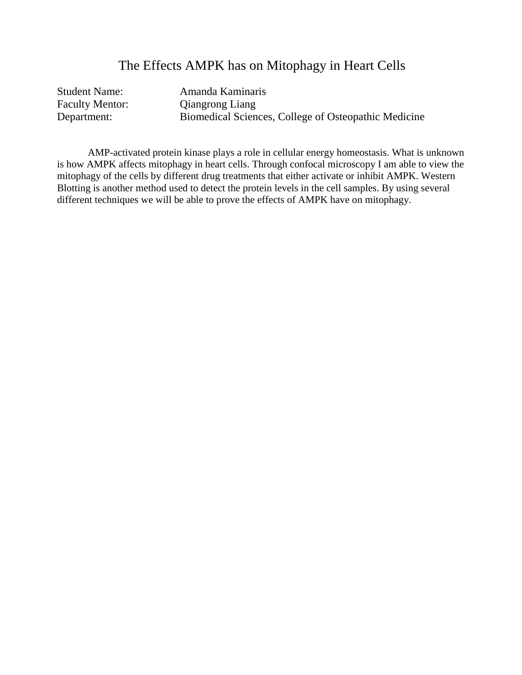## The Effects AMPK has on Mitophagy in Heart Cells

| <b>Student Name:</b>   | Amanda Kaminaris                                     |
|------------------------|------------------------------------------------------|
| <b>Faculty Mentor:</b> | <b>Qiangrong Liang</b>                               |
| Department:            | Biomedical Sciences, College of Osteopathic Medicine |

AMP-activated protein kinase plays a role in cellular energy homeostasis. What is unknown is how AMPK affects mitophagy in heart cells. Through confocal microscopy I am able to view the mitophagy of the cells by different drug treatments that either activate or inhibit AMPK. Western Blotting is another method used to detect the protein levels in the cell samples. By using several different techniques we will be able to prove the effects of AMPK have on mitophagy.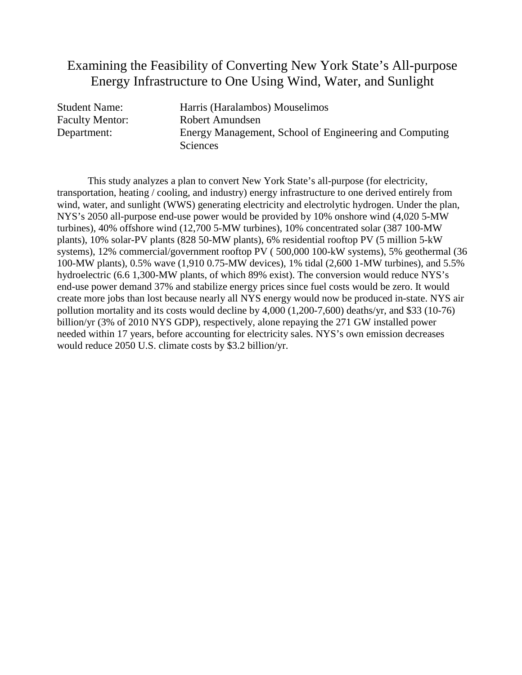## Examining the Feasibility of Converting New York State's All-purpose Energy Infrastructure to One Using Wind, Water, and Sunlight

| <b>Student Name:</b> | Harris (Haralambos) Mouselimos                         |
|----------------------|--------------------------------------------------------|
| Faculty Mentor:      | Robert Amundsen                                        |
| Department:          | Energy Management, School of Engineering and Computing |
|                      | <b>Sciences</b>                                        |

This study analyzes a plan to convert New York State's all-purpose (for electricity, transportation, heating / cooling, and industry) energy infrastructure to one derived entirely from wind, water, and sunlight (WWS) generating electricity and electrolytic hydrogen. Under the plan, NYS's 2050 all-purpose end-use power would be provided by 10% onshore wind (4,020 5-MW turbines), 40% offshore wind (12,700 5-MW turbines), 10% concentrated solar (387 100-MW plants), 10% solar-PV plants (828 50-MW plants), 6% residential rooftop PV (5 million 5-kW systems), 12% commercial/government rooftop PV ( 500,000 100-kW systems), 5% geothermal (36 100-MW plants), 0.5% wave (1,910 0.75-MW devices), 1% tidal (2,600 1-MW turbines), and 5.5% hydroelectric (6.6 1,300-MW plants, of which 89% exist). The conversion would reduce NYS's end-use power demand 37% and stabilize energy prices since fuel costs would be zero. It would create more jobs than lost because nearly all NYS energy would now be produced in-state. NYS air pollution mortality and its costs would decline by 4,000 (1,200-7,600) deaths/yr, and \$33 (10-76) billion/yr (3% of 2010 NYS GDP), respectively, alone repaying the 271 GW installed power needed within 17 years, before accounting for electricity sales. NYS's own emission decreases would reduce 2050 U.S. climate costs by \$3.2 billion/yr.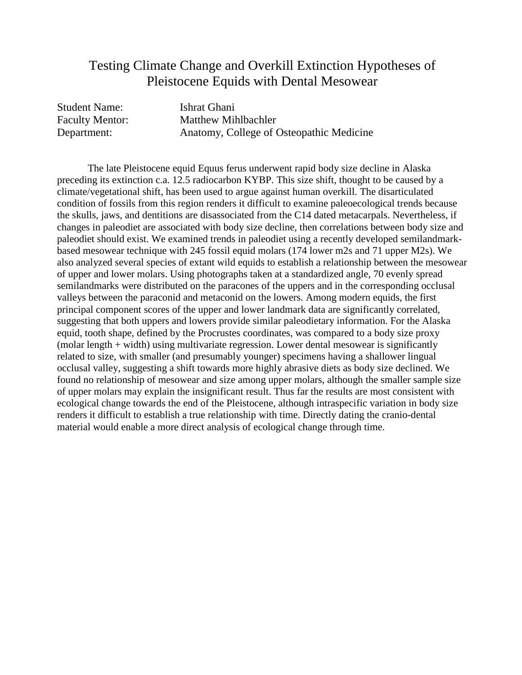## Testing Climate Change and Overkill Extinction Hypotheses of Pleistocene Equids with Dental Mesowear

| <b>Student Name:</b> | Ishrat Ghani                             |
|----------------------|------------------------------------------|
| Faculty Mentor:      | Matthew Mihlbachler                      |
| Department:          | Anatomy, College of Osteopathic Medicine |

The late Pleistocene equid Equus ferus underwent rapid body size decline in Alaska preceding its extinction c.a. 12.5 radiocarbon KYBP. This size shift, thought to be caused by a climate/vegetational shift, has been used to argue against human overkill. The disarticulated condition of fossils from this region renders it difficult to examine paleoecological trends because the skulls, jaws, and dentitions are disassociated from the C14 dated metacarpals. Nevertheless, if changes in paleodiet are associated with body size decline, then correlations between body size and paleodiet should exist. We examined trends in paleodiet using a recently developed semilandmarkbased mesowear technique with 245 fossil equid molars (174 lower m2s and 71 upper M2s). We also analyzed several species of extant wild equids to establish a relationship between the mesowear of upper and lower molars. Using photographs taken at a standardized angle, 70 evenly spread semilandmarks were distributed on the paracones of the uppers and in the corresponding occlusal valleys between the paraconid and metaconid on the lowers. Among modern equids, the first principal component scores of the upper and lower landmark data are significantly correlated, suggesting that both uppers and lowers provide similar paleodietary information. For the Alaska equid, tooth shape, defined by the Procrustes coordinates, was compared to a body size proxy (molar length + width) using multivariate regression. Lower dental mesowear is significantly related to size, with smaller (and presumably younger) specimens having a shallower lingual occlusal valley, suggesting a shift towards more highly abrasive diets as body size declined. We found no relationship of mesowear and size among upper molars, although the smaller sample size of upper molars may explain the insignificant result. Thus far the results are most consistent with ecological change towards the end of the Pleistocene, although intraspecific variation in body size renders it difficult to establish a true relationship with time. Directly dating the cranio-dental material would enable a more direct analysis of ecological change through time.